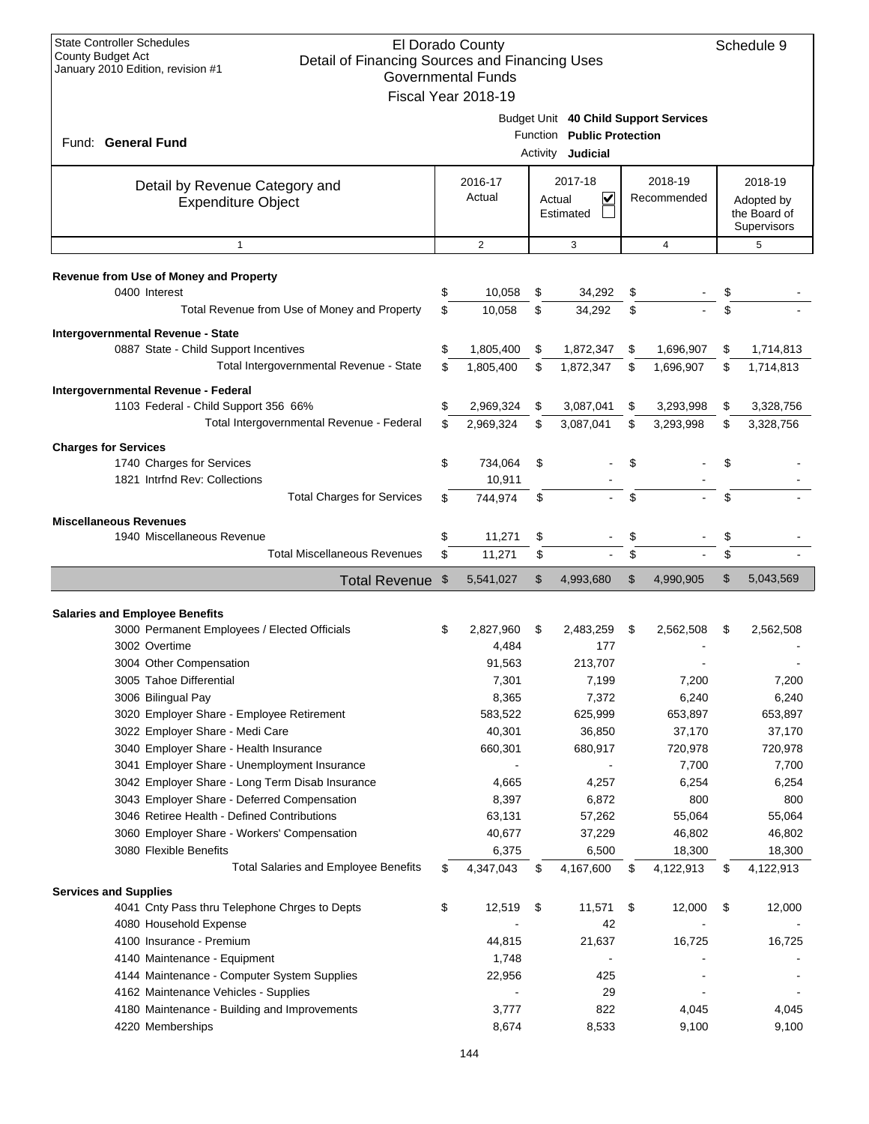| <b>State Controller Schedules</b><br>El Dorado County<br>County Budget Act<br>Detail of Financing Sources and Financing Uses<br>January 2010 Edition, revision #1<br><b>Governmental Funds</b><br>Fiscal Year 2018-19 |                   |                                                                                          | Schedule 9             |                |                                                      |                |
|-----------------------------------------------------------------------------------------------------------------------------------------------------------------------------------------------------------------------|-------------------|------------------------------------------------------------------------------------------|------------------------|----------------|------------------------------------------------------|----------------|
| Fund: General Fund                                                                                                                                                                                                    |                   | Budget Unit 40 Child Support Services<br>Function Public Protection<br>Activity Judicial |                        |                |                                                      |                |
| Detail by Revenue Category and<br><b>Expenditure Object</b>                                                                                                                                                           | 2016-17<br>Actual | 2017-18<br>V<br>Actual<br>Estimated                                                      | 2018-19<br>Recommended |                | 2018-19<br>Adopted by<br>the Board of<br>Supervisors |                |
| $\mathbf{1}$                                                                                                                                                                                                          | $\overline{2}$    | 3                                                                                        |                        | $\overline{4}$ |                                                      | 5              |
| Revenue from Use of Money and Property<br>0400 Interest                                                                                                                                                               | \$<br>10,058      | \$<br>34,292                                                                             | \$                     |                |                                                      |                |
| Total Revenue from Use of Money and Property                                                                                                                                                                          | \$<br>10,058      | \$<br>34,292                                                                             | \$                     |                | \$                                                   |                |
| Intergovernmental Revenue - State                                                                                                                                                                                     |                   |                                                                                          |                        |                |                                                      |                |
| 0887 State - Child Support Incentives                                                                                                                                                                                 | \$<br>1,805,400   | \$<br>1,872,347                                                                          | \$                     | 1,696,907      | \$                                                   | 1,714,813      |
| Total Intergovernmental Revenue - State                                                                                                                                                                               | \$<br>1,805,400   | \$<br>1,872,347                                                                          | \$                     | 1,696,907      | \$                                                   | 1,714,813      |
| Intergovernmental Revenue - Federal                                                                                                                                                                                   |                   |                                                                                          |                        |                |                                                      |                |
| 1103 Federal - Child Support 356 66%                                                                                                                                                                                  | \$<br>2,969,324   | \$<br>3,087,041                                                                          | \$                     | 3,293,998      | \$                                                   | 3,328,756      |
| Total Intergovernmental Revenue - Federal                                                                                                                                                                             | \$<br>2,969,324   | \$<br>3,087,041                                                                          | \$                     | 3,293,998      | S                                                    | 3,328,756      |
| <b>Charges for Services</b>                                                                                                                                                                                           |                   |                                                                                          |                        |                |                                                      |                |
| 1740 Charges for Services                                                                                                                                                                                             | \$<br>734,064     | \$                                                                                       | \$                     |                |                                                      |                |
| 1821 Intrind Rev: Collections                                                                                                                                                                                         | 10,911            |                                                                                          |                        |                |                                                      |                |
| <b>Total Charges for Services</b>                                                                                                                                                                                     | \$<br>744,974     | \$                                                                                       | \$                     |                |                                                      |                |
| <b>Miscellaneous Revenues</b>                                                                                                                                                                                         |                   |                                                                                          |                        |                |                                                      |                |
| 1940 Miscellaneous Revenue                                                                                                                                                                                            | \$<br>11,271      | \$                                                                                       | \$                     |                |                                                      |                |
| <b>Total Miscellaneous Revenues</b>                                                                                                                                                                                   | \$<br>11,271      | \$                                                                                       | \$                     |                | \$                                                   |                |
| <b>Total Revenue</b>                                                                                                                                                                                                  | \$<br>5,541,027   | \$<br>4,993,680                                                                          | \$                     | 4,990,905      | \$                                                   | 5,043,569      |
|                                                                                                                                                                                                                       |                   |                                                                                          |                        |                |                                                      |                |
| <b>Salaries and Employee Benefits</b>                                                                                                                                                                                 |                   |                                                                                          |                        |                |                                                      |                |
| 3000 Permanent Employees / Elected Officials                                                                                                                                                                          | \$<br>2,827,960   | \$<br>2,483,259                                                                          | \$                     | 2,562,508      | \$                                                   | 2,562,508      |
| 3002 Overtime                                                                                                                                                                                                         | 4,484             | 177                                                                                      |                        |                |                                                      |                |
| 3004 Other Compensation                                                                                                                                                                                               | 91,563            | 213,707                                                                                  |                        |                |                                                      |                |
| 3005 Tahoe Differential<br>3006 Bilingual Pay                                                                                                                                                                         |                   |                                                                                          |                        |                |                                                      |                |
|                                                                                                                                                                                                                       | 7,301             | 7,199                                                                                    |                        | 7,200          |                                                      | 7,200          |
|                                                                                                                                                                                                                       | 8,365             | 7,372                                                                                    |                        | 6,240          |                                                      | 6,240          |
| 3020 Employer Share - Employee Retirement                                                                                                                                                                             | 583,522           | 625,999                                                                                  |                        | 653,897        |                                                      | 653,897        |
| 3022 Employer Share - Medi Care                                                                                                                                                                                       | 40,301            | 36,850                                                                                   |                        | 37,170         |                                                      | 37,170         |
| 3040 Employer Share - Health Insurance                                                                                                                                                                                | 660,301           | 680,917                                                                                  |                        | 720,978        |                                                      | 720,978        |
| 3041 Employer Share - Unemployment Insurance<br>3042 Employer Share - Long Term Disab Insurance                                                                                                                       | 4,665             | 4,257                                                                                    |                        | 7,700<br>6,254 |                                                      | 7,700<br>6,254 |
| 3043 Employer Share - Deferred Compensation                                                                                                                                                                           | 8,397             | 6,872                                                                                    |                        | 800            |                                                      | 800            |
| 3046 Retiree Health - Defined Contributions                                                                                                                                                                           | 63,131            | 57,262                                                                                   |                        | 55,064         |                                                      | 55,064         |
| 3060 Employer Share - Workers' Compensation                                                                                                                                                                           | 40,677            | 37,229                                                                                   |                        | 46,802         |                                                      | 46,802         |
| 3080 Flexible Benefits                                                                                                                                                                                                | 6,375             | 6,500                                                                                    |                        | 18,300         |                                                      | 18,300         |
| <b>Total Salaries and Employee Benefits</b>                                                                                                                                                                           | \$<br>4,347,043   | \$<br>4,167,600                                                                          | \$                     | 4,122,913      | \$                                                   | 4,122,913      |
| <b>Services and Supplies</b>                                                                                                                                                                                          |                   |                                                                                          |                        |                |                                                      |                |
| 4041 Cnty Pass thru Telephone Chrges to Depts                                                                                                                                                                         | \$<br>12,519      | \$<br>11,571                                                                             | \$                     | 12,000         | \$                                                   | 12,000         |
| 4080 Household Expense                                                                                                                                                                                                |                   | 42                                                                                       |                        |                |                                                      |                |
| 4100 Insurance - Premium                                                                                                                                                                                              | 44,815            | 21,637                                                                                   |                        | 16,725         |                                                      | 16,725         |
| 4140 Maintenance - Equipment                                                                                                                                                                                          | 1,748             |                                                                                          |                        |                |                                                      |                |
| 4144 Maintenance - Computer System Supplies                                                                                                                                                                           | 22,956            | 425                                                                                      |                        |                |                                                      |                |
| 4162 Maintenance Vehicles - Supplies<br>4180 Maintenance - Building and Improvements                                                                                                                                  | 3,777             | 29<br>822                                                                                |                        | 4,045          |                                                      | 4,045          |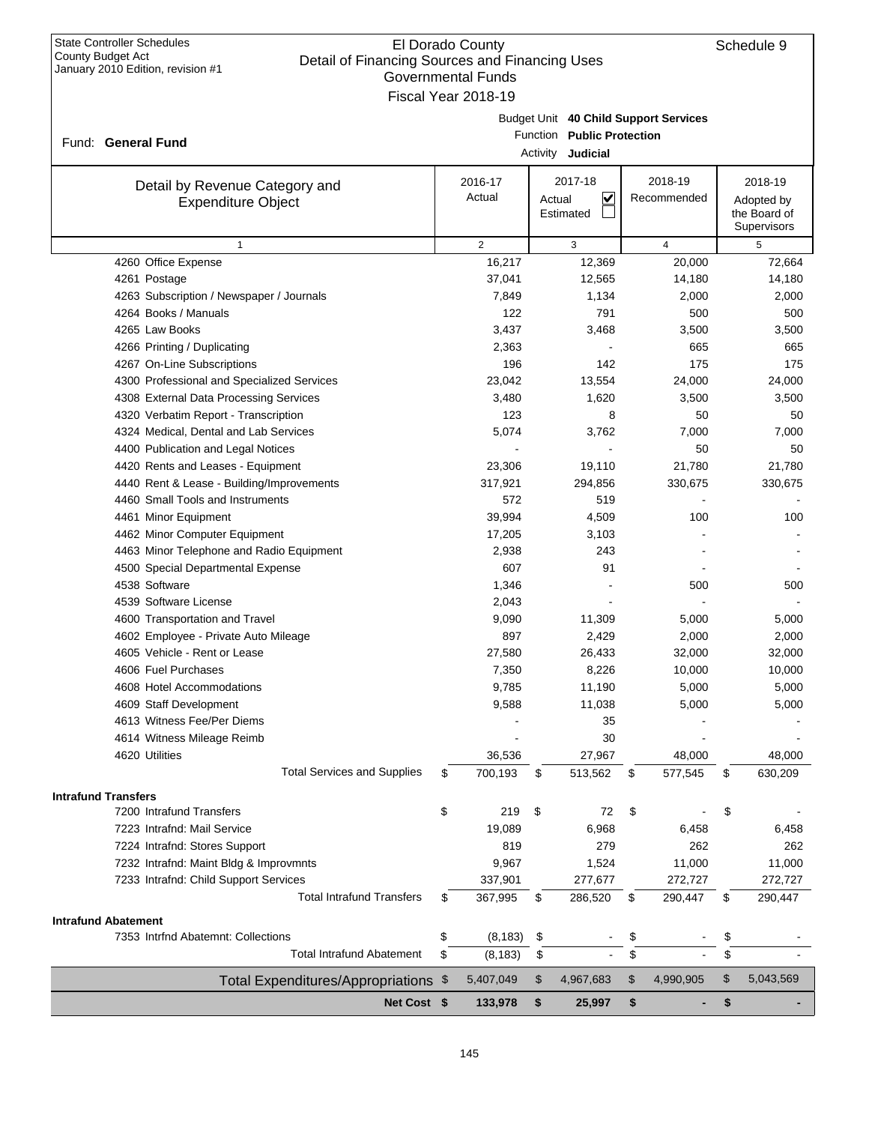| <b>State Controller Schedules</b><br>County Budget Act<br>January 2010 Edition, revision #1 | El Dorado County<br>Detail of Financing Sources and Financing Uses |                     |        |                            |    |                                       | Schedule 9        |
|---------------------------------------------------------------------------------------------|--------------------------------------------------------------------|---------------------|--------|----------------------------|----|---------------------------------------|-------------------|
|                                                                                             |                                                                    | Governmental Funds  |        |                            |    |                                       |                   |
|                                                                                             |                                                                    | Fiscal Year 2018-19 |        |                            |    |                                       |                   |
|                                                                                             |                                                                    |                     |        |                            |    | Budget Unit 40 Child Support Services |                   |
| Fund: General Fund                                                                          |                                                                    |                     |        | Function Public Protection |    |                                       |                   |
|                                                                                             |                                                                    |                     |        | Activity <b>Judicial</b>   |    |                                       |                   |
|                                                                                             |                                                                    | 2016-17             |        | 2017-18                    |    | 2018-19                               | 2018-19           |
| Detail by Revenue Category and<br><b>Expenditure Object</b>                                 |                                                                    | Actual              | Actual | $\checkmark$               |    | Recommended                           | Adopted by        |
|                                                                                             |                                                                    |                     |        | Estimated                  |    |                                       | the Board of      |
|                                                                                             |                                                                    |                     |        |                            |    |                                       | Supervisors       |
| $\mathbf{1}$                                                                                |                                                                    | $\overline{2}$      |        | 3                          |    | $\overline{4}$                        | 5                 |
| 4260 Office Expense                                                                         |                                                                    | 16,217              |        | 12,369                     |    | 20,000                                | 72,664            |
| 4261 Postage                                                                                |                                                                    | 37,041              |        | 12,565                     |    | 14,180                                | 14,180            |
| 4263 Subscription / Newspaper / Journals                                                    |                                                                    | 7,849               |        | 1,134                      |    | 2,000                                 | 2,000             |
| 4264 Books / Manuals                                                                        |                                                                    | 122                 |        | 791                        |    | 500                                   | 500               |
| 4265 Law Books                                                                              |                                                                    | 3,437               |        | 3,468                      |    | 3,500                                 | 3,500             |
| 4266 Printing / Duplicating                                                                 |                                                                    | 2,363               |        |                            |    | 665                                   | 665               |
| 4267 On-Line Subscriptions                                                                  |                                                                    | 196                 |        | 142                        |    | 175                                   | 175               |
| 4300 Professional and Specialized Services                                                  |                                                                    | 23,042              |        | 13,554                     |    | 24,000                                | 24,000            |
| 4308 External Data Processing Services                                                      |                                                                    | 3,480               |        | 1,620                      |    | 3,500                                 | 3,500             |
| 4320 Verbatim Report - Transcription<br>4324 Medical, Dental and Lab Services               |                                                                    | 123<br>5,074        |        | 8                          |    | 50<br>7,000                           | 50                |
| 4400 Publication and Legal Notices                                                          |                                                                    |                     |        | 3,762                      |    |                                       | 7,000             |
|                                                                                             |                                                                    | 23,306              |        | 19,110                     |    | 50<br>21,780                          | 50                |
| 4420 Rents and Leases - Equipment<br>4440 Rent & Lease - Building/Improvements              |                                                                    | 317,921             |        | 294,856                    |    | 330,675                               | 21,780<br>330,675 |
| 4460 Small Tools and Instruments                                                            |                                                                    | 572                 |        | 519                        |    |                                       |                   |
| 4461 Minor Equipment                                                                        |                                                                    | 39,994              |        | 4,509                      |    | 100                                   | 100               |
| 4462 Minor Computer Equipment                                                               |                                                                    | 17,205              |        | 3,103                      |    |                                       |                   |
| 4463 Minor Telephone and Radio Equipment                                                    |                                                                    | 2,938               |        | 243                        |    |                                       |                   |
| 4500 Special Departmental Expense                                                           |                                                                    | 607                 |        | 91                         |    |                                       |                   |
| 4538 Software                                                                               |                                                                    | 1,346               |        |                            |    | 500                                   | 500               |
| 4539 Software License                                                                       |                                                                    | 2,043               |        |                            |    |                                       |                   |
| 4600 Transportation and Travel                                                              |                                                                    | 9,090               |        | 11,309                     |    | 5,000                                 | 5,000             |
| 4602 Employee - Private Auto Mileage                                                        |                                                                    | 897                 |        | 2,429                      |    | 2,000                                 | 2,000             |
| 4605 Vehicle - Rent or Lease                                                                |                                                                    | 27,580              |        | 26,433                     |    | 32,000                                | 32,000            |
| 4606 Fuel Purchases                                                                         |                                                                    | 7,350               |        | 8,226                      |    | 10,000                                | 10,000            |
| 4608 Hotel Accommodations                                                                   |                                                                    | 9,785               |        | 11,190                     |    | 5,000                                 | 5,000             |
| 4609 Staff Development                                                                      |                                                                    | 9,588               |        | 11,038                     |    | 5,000                                 | 5,000             |
| 4613 Witness Fee/Per Diems                                                                  |                                                                    |                     |        | 35                         |    |                                       |                   |
| 4614 Witness Mileage Reimb                                                                  |                                                                    |                     |        | 30                         |    |                                       |                   |
| 4620 Utilities                                                                              |                                                                    | 36,536              |        | 27,967                     |    | 48,000                                | 48,000            |
| <b>Total Services and Supplies</b>                                                          | S                                                                  | 700,193             | \$     | 513,562                    | \$ | 577,545                               | \$<br>630,209     |
|                                                                                             |                                                                    |                     |        |                            |    |                                       |                   |
| <b>Intrafund Transfers</b><br>7200 Intrafund Transfers                                      | \$                                                                 | 219                 | \$     | 72                         | \$ |                                       | \$                |
| 7223 Intrafnd: Mail Service                                                                 |                                                                    | 19,089              |        | 6,968                      |    | 6,458                                 |                   |
| 7224 Intrafnd: Stores Support                                                               |                                                                    | 819                 |        | 279                        |    | 262                                   | 6,458             |
|                                                                                             |                                                                    |                     |        |                            |    |                                       | 262               |
| 7232 Intrafnd: Maint Bldg & Improvmnts                                                      |                                                                    | 9,967               |        | 1,524                      |    | 11,000                                | 11,000            |
| 7233 Intrafnd: Child Support Services<br><b>Total Intrafund Transfers</b>                   | \$                                                                 | 337,901<br>367,995  |        | 277,677                    |    | 272,727<br>290,447                    | 272,727           |
|                                                                                             |                                                                    |                     | \$     | 286,520                    | \$ |                                       | \$<br>290,447     |
| <b>Intrafund Abatement</b>                                                                  |                                                                    |                     |        |                            |    |                                       |                   |
| 7353 Intrfnd Abatemnt: Collections                                                          | \$                                                                 | (8, 183)            | \$     |                            | \$ |                                       | \$                |
| <b>Total Intrafund Abatement</b>                                                            | \$                                                                 | (8, 183)            | \$     |                            | \$ |                                       | \$                |
| Total Expenditures/Appropriations \$                                                        |                                                                    | 5,407,049           | \$     | 4,967,683                  | \$ | 4,990,905                             | \$<br>5,043,569   |
| Net Cost \$                                                                                 |                                                                    | 133,978             | \$     | 25,997                     | \$ |                                       | \$                |
|                                                                                             |                                                                    |                     |        |                            |    |                                       |                   |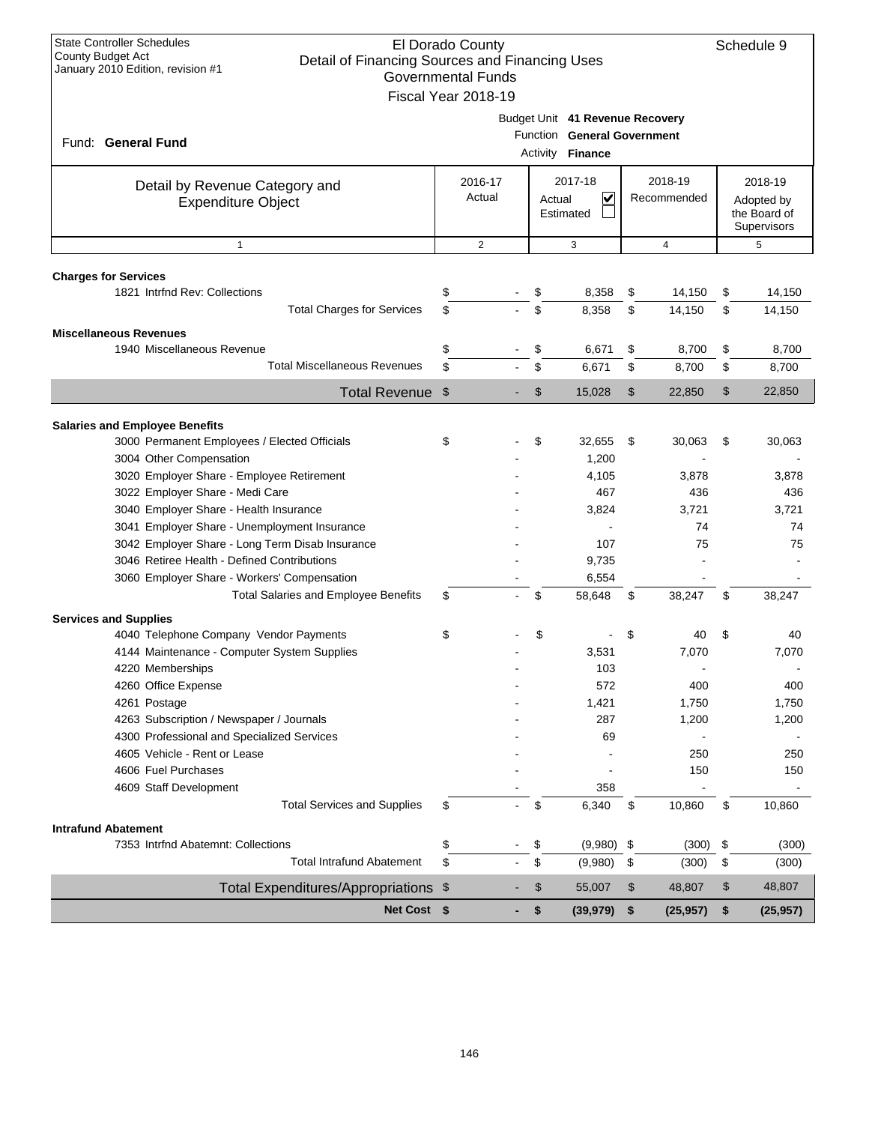| <b>State Controller Schedules</b><br><b>County Budget Act</b><br>Detail of Financing Sources and Financing Uses<br>January 2010 Edition, revision #1 | El Dorado County<br><b>Governmental Funds</b> |        |                                                                                    |    |                        |    | Schedule 9                                           |
|------------------------------------------------------------------------------------------------------------------------------------------------------|-----------------------------------------------|--------|------------------------------------------------------------------------------------|----|------------------------|----|------------------------------------------------------|
| Fund: General Fund                                                                                                                                   | Fiscal Year 2018-19                           |        | Budget Unit 41 Revenue Recovery<br>Function General Government<br>Activity Finance |    |                        |    |                                                      |
| Detail by Revenue Category and<br><b>Expenditure Object</b>                                                                                          | 2016-17<br>Actual                             | Actual | 2017-18<br>V<br>Estimated                                                          |    | 2018-19<br>Recommended |    | 2018-19<br>Adopted by<br>the Board of<br>Supervisors |
| $\mathbf{1}$                                                                                                                                         | $\overline{2}$                                |        | 3                                                                                  |    | $\overline{4}$         |    | 5                                                    |
|                                                                                                                                                      |                                               |        |                                                                                    |    |                        |    |                                                      |
| <b>Charges for Services</b><br>1821 Intrfnd Rev: Collections                                                                                         | \$                                            | \$     | 8,358                                                                              | \$ | 14,150                 | \$ | 14,150                                               |
| <b>Total Charges for Services</b>                                                                                                                    | \$                                            | \$     | 8,358                                                                              | \$ | 14,150                 | \$ | 14,150                                               |
|                                                                                                                                                      |                                               |        |                                                                                    |    |                        |    |                                                      |
| <b>Miscellaneous Revenues</b>                                                                                                                        |                                               |        |                                                                                    |    |                        |    |                                                      |
| 1940 Miscellaneous Revenue<br><b>Total Miscellaneous Revenues</b>                                                                                    | \$<br>\$                                      | \$     | 6,671                                                                              | \$ | 8,700                  | \$ | 8,700                                                |
|                                                                                                                                                      |                                               | \$     | 6,671                                                                              | \$ | 8,700                  | \$ | 8,700                                                |
| Total Revenue \$                                                                                                                                     |                                               | \$     | 15,028                                                                             | \$ | 22,850                 | \$ | 22,850                                               |
|                                                                                                                                                      |                                               |        |                                                                                    |    |                        |    |                                                      |
| <b>Salaries and Employee Benefits</b>                                                                                                                |                                               |        |                                                                                    |    |                        |    |                                                      |
| 3000 Permanent Employees / Elected Officials<br>3004 Other Compensation                                                                              | \$                                            | \$     | 32,655<br>1,200                                                                    | \$ | 30,063                 | \$ | 30,063                                               |
| 3020 Employer Share - Employee Retirement                                                                                                            |                                               |        | 4,105                                                                              |    | 3,878                  |    | 3,878                                                |
| 3022 Employer Share - Medi Care                                                                                                                      |                                               |        | 467                                                                                |    | 436                    |    | 436                                                  |
| 3040 Employer Share - Health Insurance                                                                                                               |                                               |        | 3,824                                                                              |    | 3,721                  |    | 3,721                                                |
| 3041 Employer Share - Unemployment Insurance                                                                                                         |                                               |        |                                                                                    |    | 74                     |    | 74                                                   |
| 3042 Employer Share - Long Term Disab Insurance                                                                                                      |                                               |        | 107                                                                                |    | 75                     |    | 75                                                   |
| 3046 Retiree Health - Defined Contributions                                                                                                          |                                               |        | 9,735                                                                              |    |                        |    |                                                      |
| 3060 Employer Share - Workers' Compensation                                                                                                          |                                               |        | 6,554                                                                              |    |                        |    |                                                      |
| <b>Total Salaries and Employee Benefits</b>                                                                                                          | \$                                            | \$     | 58,648                                                                             | \$ | 38,247                 | \$ | 38,247                                               |
| <b>Services and Supplies</b>                                                                                                                         |                                               |        |                                                                                    |    |                        |    |                                                      |
| 4040 Telephone Company Vendor Payments                                                                                                               | \$                                            | \$     |                                                                                    | S  | 40                     | \$ | 40                                                   |
| 4144 Maintenance - Computer System Supplies                                                                                                          |                                               |        | 3,531                                                                              |    | 7,070                  |    | 7,070                                                |
| 4220 Memberships                                                                                                                                     |                                               |        | 103                                                                                |    |                        |    |                                                      |
| 4260 Office Expense                                                                                                                                  |                                               |        | 572                                                                                |    | 400                    |    | 400                                                  |
| 4261 Postage                                                                                                                                         |                                               |        | 1,421                                                                              |    | 1,750                  |    | 1,750                                                |
| 4263 Subscription / Newspaper / Journals                                                                                                             |                                               |        | 287                                                                                |    | 1,200                  |    | 1,200                                                |
| 4300 Professional and Specialized Services                                                                                                           |                                               |        | 69                                                                                 |    |                        |    |                                                      |
| 4605 Vehicle - Rent or Lease                                                                                                                         |                                               |        |                                                                                    |    | 250                    |    | 250                                                  |
| 4606 Fuel Purchases                                                                                                                                  |                                               |        |                                                                                    |    | 150                    |    | 150                                                  |
| 4609 Staff Development                                                                                                                               |                                               |        | 358                                                                                |    |                        |    |                                                      |
| <b>Total Services and Supplies</b>                                                                                                                   | \$                                            | \$     | 6,340                                                                              | \$ | 10,860                 | \$ | 10,860                                               |
| Intrafund Abatement                                                                                                                                  |                                               |        |                                                                                    |    |                        |    |                                                      |
| 7353 Intrfnd Abatemnt: Collections                                                                                                                   | \$                                            | \$     | (9,980)                                                                            | \$ | (300)                  | \$ | (300)                                                |
| <b>Total Intrafund Abatement</b>                                                                                                                     | \$                                            | \$     | (9,980)                                                                            | \$ | (300)                  | \$ | (300)                                                |
| Total Expenditures/Appropriations \$                                                                                                                 |                                               | \$     | 55,007                                                                             | \$ | 48,807                 | \$ | 48,807                                               |
| Net Cost \$                                                                                                                                          |                                               | \$     | (39, 979)                                                                          | \$ | (25, 957)              | \$ | (25, 957)                                            |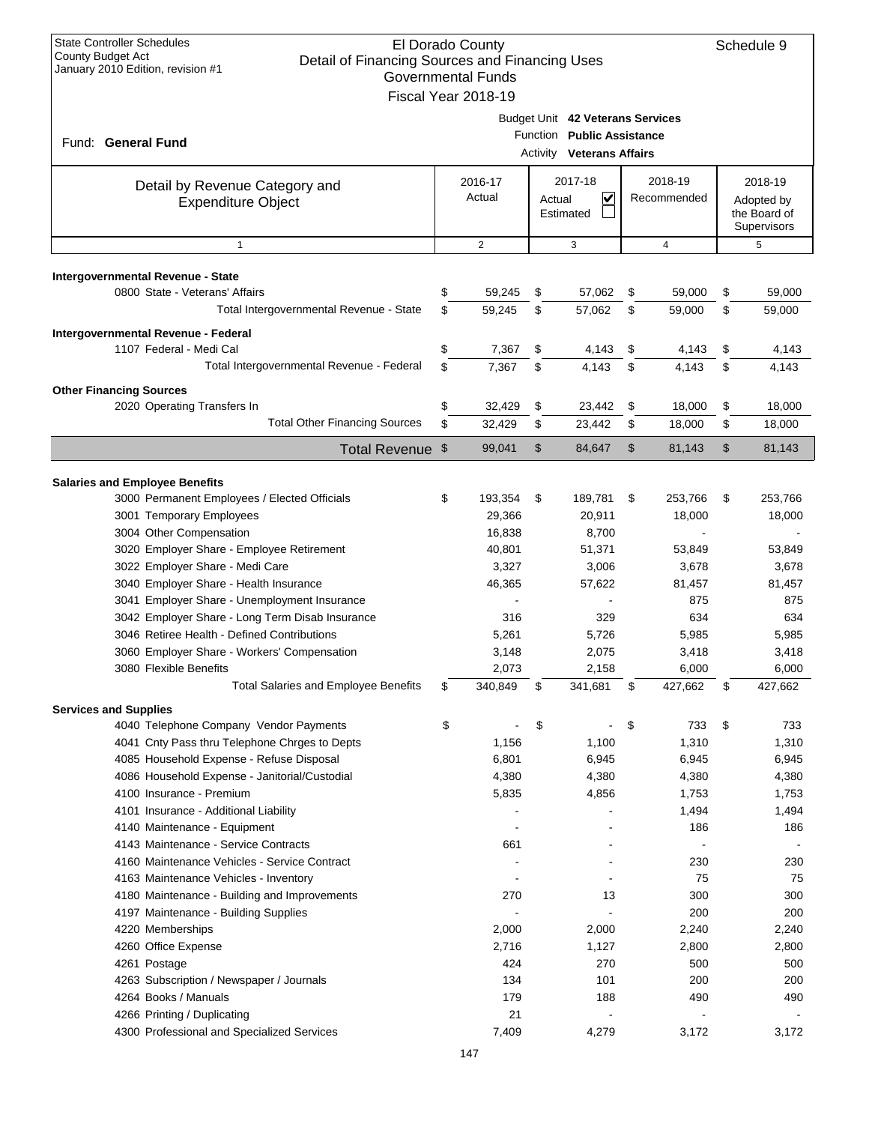| <b>State Controller Schedules</b><br>El Dorado County<br>County Budget Act<br>Detail of Financing Sources and Financing Uses<br>January 2010 Edition, revision #1<br><b>Governmental Funds</b><br>Fiscal Year 2018-19 |    |                   |        |                                                                                                    |    |                        |    |                                                      |
|-----------------------------------------------------------------------------------------------------------------------------------------------------------------------------------------------------------------------|----|-------------------|--------|----------------------------------------------------------------------------------------------------|----|------------------------|----|------------------------------------------------------|
| Fund: General Fund                                                                                                                                                                                                    |    |                   |        | Budget Unit 42 Veterans Services<br>Function Public Assistance<br><b>Activity Veterans Affairs</b> |    |                        |    |                                                      |
| Detail by Revenue Category and<br><b>Expenditure Object</b>                                                                                                                                                           |    | 2016-17<br>Actual | Actual | 2017-18<br>V<br>Estimated                                                                          |    | 2018-19<br>Recommended |    | 2018-19<br>Adopted by<br>the Board of<br>Supervisors |
| $\mathbf{1}$                                                                                                                                                                                                          |    | $\overline{2}$    |        | 3                                                                                                  |    | 4                      |    | 5                                                    |
| Intergovernmental Revenue - State                                                                                                                                                                                     |    |                   |        |                                                                                                    |    |                        |    |                                                      |
| 0800 State - Veterans' Affairs                                                                                                                                                                                        | \$ | 59,245            | \$     | 57,062                                                                                             | \$ | 59,000                 | \$ | 59,000                                               |
| Total Intergovernmental Revenue - State                                                                                                                                                                               | \$ | 59.245            | \$     | 57,062                                                                                             | \$ | 59.000                 | \$ | 59,000                                               |
| Intergovernmental Revenue - Federal                                                                                                                                                                                   |    |                   |        |                                                                                                    |    |                        |    |                                                      |
| 1107 Federal - Medi Cal                                                                                                                                                                                               | \$ | 7,367             | \$     | 4,143                                                                                              | \$ | 4,143                  | \$ | 4,143                                                |
| Total Intergovernmental Revenue - Federal                                                                                                                                                                             | \$ | 7,367             | \$     | 4,143                                                                                              | \$ | 4,143                  | \$ | 4,143                                                |
| <b>Other Financing Sources</b>                                                                                                                                                                                        |    |                   |        |                                                                                                    |    |                        |    |                                                      |
| 2020 Operating Transfers In                                                                                                                                                                                           | \$ | 32,429            | \$     | 23,442                                                                                             | \$ | 18,000                 | \$ | 18,000                                               |
| <b>Total Other Financing Sources</b>                                                                                                                                                                                  | \$ | 32,429            | \$     | 23,442                                                                                             | \$ | 18,000                 | \$ | 18,000                                               |
|                                                                                                                                                                                                                       |    | 99,041            | \$     | 84,647                                                                                             | \$ | 81,143                 | \$ | 81,143                                               |
| Total Revenue \$                                                                                                                                                                                                      |    |                   |        |                                                                                                    |    |                        |    |                                                      |
| <b>Salaries and Employee Benefits</b>                                                                                                                                                                                 |    |                   |        |                                                                                                    |    |                        |    |                                                      |
| 3000 Permanent Employees / Elected Officials                                                                                                                                                                          | \$ | 193,354           | \$     | 189,781                                                                                            | \$ | 253,766                | \$ | 253,766                                              |
| 3001 Temporary Employees                                                                                                                                                                                              |    | 29,366            |        | 20,911                                                                                             |    | 18,000                 |    | 18,000                                               |
| 3004 Other Compensation                                                                                                                                                                                               |    | 16,838            |        | 8,700                                                                                              |    |                        |    |                                                      |
| 3020 Employer Share - Employee Retirement                                                                                                                                                                             |    | 40,801            |        | 51,371                                                                                             |    | 53,849                 |    | 53,849                                               |
| 3022 Employer Share - Medi Care                                                                                                                                                                                       |    | 3,327             |        | 3,006                                                                                              |    | 3,678                  |    | 3,678                                                |
| 3040 Employer Share - Health Insurance                                                                                                                                                                                |    | 46,365            |        | 57,622                                                                                             |    | 81,457                 |    | 81,457                                               |
| 3041 Employer Share - Unemployment Insurance                                                                                                                                                                          |    |                   |        |                                                                                                    |    | 875                    |    | 875                                                  |
| 3042 Employer Share - Long Term Disab Insurance                                                                                                                                                                       |    | 316               |        | 329                                                                                                |    | 634                    |    | 634                                                  |
| 3046 Retiree Health - Defined Contributions                                                                                                                                                                           |    | 5,261             |        | 5,726                                                                                              |    | 5,985                  |    | 5,985                                                |
| 3060 Employer Share - Workers' Compensation                                                                                                                                                                           |    | 3,148             |        | 2,075                                                                                              |    | 3,418                  |    | 3,418                                                |
| 3080 Flexible Benefits                                                                                                                                                                                                |    | 2,073             |        | 2,158                                                                                              |    | 6,000                  |    | 6,000                                                |
| <b>Total Salaries and Employee Benefits</b>                                                                                                                                                                           | \$ | 340,849           | \$     | 341,681                                                                                            | \$ | 427,662                | \$ | 427,662                                              |
| <b>Services and Supplies</b>                                                                                                                                                                                          |    |                   |        |                                                                                                    |    |                        |    |                                                      |
| 4040 Telephone Company Vendor Payments                                                                                                                                                                                | \$ |                   | \$     |                                                                                                    | \$ | 733                    | \$ | 733                                                  |
| 4041 Cnty Pass thru Telephone Chrges to Depts                                                                                                                                                                         |    | 1,156             |        | 1,100                                                                                              |    | 1,310                  |    | 1,310                                                |
| 4085 Household Expense - Refuse Disposal                                                                                                                                                                              |    | 6,801             |        | 6,945                                                                                              |    | 6,945                  |    | 6,945                                                |
| 4086 Household Expense - Janitorial/Custodial                                                                                                                                                                         |    | 4,380             |        | 4,380                                                                                              |    | 4,380                  |    | 4,380                                                |
| 4100 Insurance - Premium                                                                                                                                                                                              |    | 5,835             |        | 4,856                                                                                              |    | 1,753                  |    | 1,753                                                |
| 4101 Insurance - Additional Liability                                                                                                                                                                                 |    |                   |        |                                                                                                    |    | 1,494                  |    | 1,494                                                |
| 4140 Maintenance - Equipment                                                                                                                                                                                          |    |                   |        |                                                                                                    |    | 186                    |    | 186                                                  |
| 4143 Maintenance - Service Contracts                                                                                                                                                                                  |    | 661               |        |                                                                                                    |    |                        |    |                                                      |
| 4160 Maintenance Vehicles - Service Contract                                                                                                                                                                          |    |                   |        |                                                                                                    |    | 230                    |    | 230                                                  |
| 4163 Maintenance Vehicles - Inventory                                                                                                                                                                                 |    |                   |        |                                                                                                    |    | 75                     |    | 75                                                   |
| 4180 Maintenance - Building and Improvements                                                                                                                                                                          |    | 270               |        | 13                                                                                                 |    | 300                    |    | 300                                                  |
| 4197 Maintenance - Building Supplies                                                                                                                                                                                  |    |                   |        |                                                                                                    |    | 200                    |    | 200                                                  |
| 4220 Memberships                                                                                                                                                                                                      |    | 2,000<br>2,716    |        | 2,000                                                                                              |    | 2,240                  |    | 2,240                                                |
| 4260 Office Expense<br>4261 Postage                                                                                                                                                                                   |    | 424               |        | 1,127<br>270                                                                                       |    | 2,800<br>500           |    | 2,800<br>500                                         |
| 4263 Subscription / Newspaper / Journals                                                                                                                                                                              |    | 134               |        | 101                                                                                                |    | 200                    |    | 200                                                  |
| 4264 Books / Manuals                                                                                                                                                                                                  |    | 179               |        | 188                                                                                                |    | 490                    |    | 490                                                  |
| 4266 Printing / Duplicating                                                                                                                                                                                           |    | 21                |        |                                                                                                    |    |                        |    |                                                      |
| 4300 Professional and Specialized Services                                                                                                                                                                            |    | 7,409             |        | 4,279                                                                                              |    | 3,172                  |    | 3,172                                                |
|                                                                                                                                                                                                                       |    |                   |        |                                                                                                    |    |                        |    |                                                      |
|                                                                                                                                                                                                                       |    | 147               |        |                                                                                                    |    |                        |    |                                                      |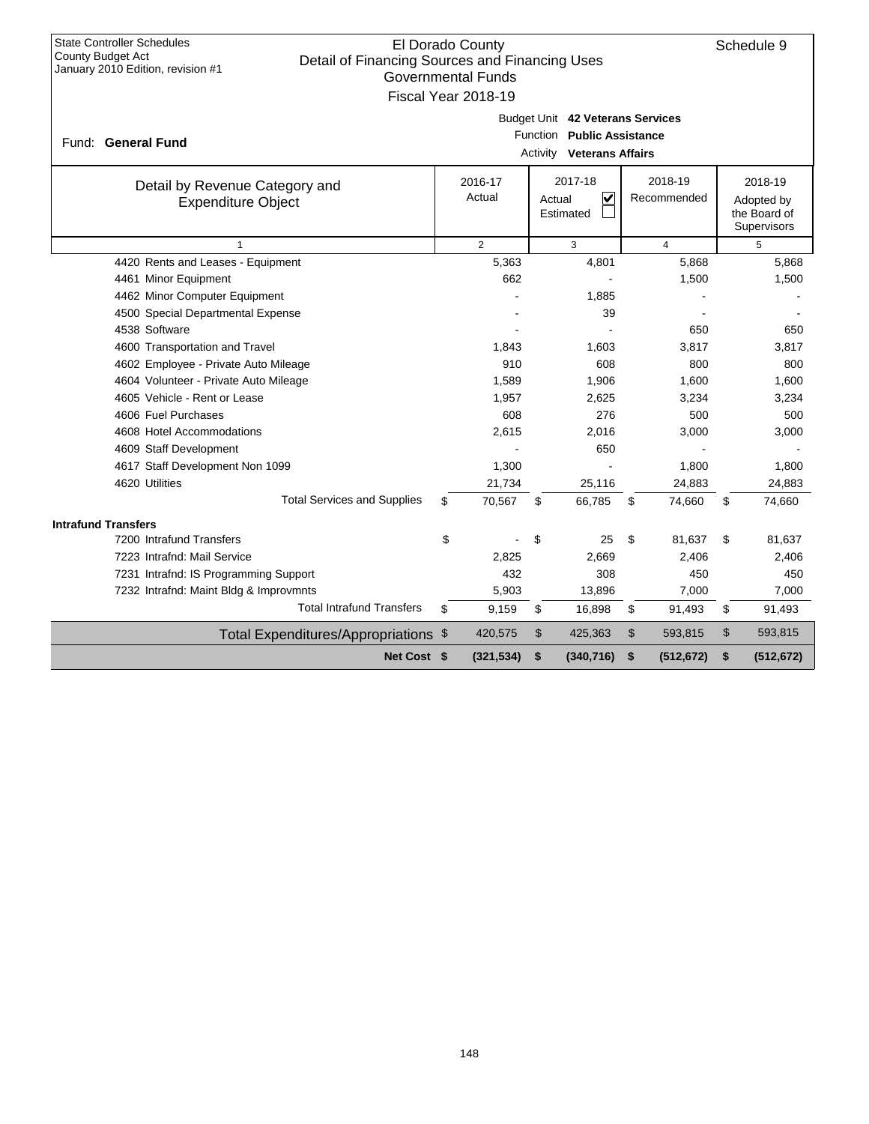| <b>State Controller Schedules</b><br><b>County Budget Act</b><br>January 2010 Edition, revision #1 | El Dorado County<br>Schedule 9<br>Detail of Financing Sources and Financing Uses<br><b>Governmental Funds</b><br>Fiscal Year 2018-19 |                   |                                                           |                        |    |                                                      |  |  |  |
|----------------------------------------------------------------------------------------------------|--------------------------------------------------------------------------------------------------------------------------------------|-------------------|-----------------------------------------------------------|------------------------|----|------------------------------------------------------|--|--|--|
| Fund: General Fund                                                                                 | Budget Unit 42 Veterans Services<br>Function Public Assistance<br><b>Activity Veterans Affairs</b>                                   |                   |                                                           |                        |    |                                                      |  |  |  |
| Detail by Revenue Category and<br><b>Expenditure Object</b>                                        |                                                                                                                                      | 2016-17<br>Actual | 2017-18<br>$\overline{\mathsf{v}}$<br>Actual<br>Estimated | 2018-19<br>Recommended |    | 2018-19<br>Adopted by<br>the Board of<br>Supervisors |  |  |  |
| $\mathbf{1}$                                                                                       |                                                                                                                                      | $\overline{2}$    | 3                                                         | $\overline{4}$         |    | 5                                                    |  |  |  |
| 4420 Rents and Leases - Equipment                                                                  |                                                                                                                                      | 5,363             | 4,801                                                     | 5,868                  |    | 5,868                                                |  |  |  |
| 4461 Minor Equipment                                                                               |                                                                                                                                      | 662               |                                                           | 1,500                  |    | 1,500                                                |  |  |  |
| 4462 Minor Computer Equipment                                                                      |                                                                                                                                      |                   | 1,885                                                     |                        |    |                                                      |  |  |  |
| 4500 Special Departmental Expense                                                                  |                                                                                                                                      |                   | 39                                                        |                        |    |                                                      |  |  |  |
| 4538 Software                                                                                      |                                                                                                                                      |                   |                                                           | 650                    |    | 650                                                  |  |  |  |
| 4600 Transportation and Travel                                                                     |                                                                                                                                      | 1,843             | 1,603                                                     | 3,817                  |    | 3,817                                                |  |  |  |
| 4602 Employee - Private Auto Mileage                                                               |                                                                                                                                      | 910               | 608                                                       | 800                    |    | 800                                                  |  |  |  |
| 4604 Volunteer - Private Auto Mileage                                                              |                                                                                                                                      | 1,589             | 1,906                                                     | 1,600                  |    | 1,600                                                |  |  |  |
| 4605 Vehicle - Rent or Lease                                                                       |                                                                                                                                      | 1,957             | 2.625                                                     | 3,234                  |    | 3,234                                                |  |  |  |
| 4606 Fuel Purchases                                                                                |                                                                                                                                      | 608               | 276                                                       | 500                    |    | 500                                                  |  |  |  |
| 4608 Hotel Accommodations                                                                          |                                                                                                                                      | 2,615             | 2,016                                                     | 3,000                  |    | 3,000                                                |  |  |  |
| 4609 Staff Development                                                                             |                                                                                                                                      |                   | 650                                                       |                        |    |                                                      |  |  |  |
| 4617 Staff Development Non 1099                                                                    |                                                                                                                                      | 1,300             |                                                           | 1,800                  |    | 1,800                                                |  |  |  |
| 4620 Utilities                                                                                     |                                                                                                                                      | 21,734            | 25,116                                                    | 24,883                 |    | 24,883                                               |  |  |  |
| <b>Total Services and Supplies</b>                                                                 | \$                                                                                                                                   | 70,567            | 66,785<br>\$                                              | 74,660<br>\$           | \$ | 74,660                                               |  |  |  |
| <b>Intrafund Transfers</b>                                                                         |                                                                                                                                      |                   |                                                           |                        |    |                                                      |  |  |  |
| 7200 Intrafund Transfers                                                                           | \$                                                                                                                                   |                   | \$<br>25                                                  | \$<br>81,637           | \$ | 81,637                                               |  |  |  |
| 7223 Intrafnd: Mail Service                                                                        |                                                                                                                                      | 2,825             | 2,669                                                     | 2,406                  |    | 2,406                                                |  |  |  |
| 7231 Intrafnd: IS Programming Support                                                              |                                                                                                                                      | 432               | 308                                                       | 450                    |    | 450                                                  |  |  |  |
| 7232 Intrafnd: Maint Bldg & Improvmnts                                                             |                                                                                                                                      | 5,903             | 13,896                                                    | 7,000                  |    | 7,000                                                |  |  |  |
| <b>Total Intrafund Transfers</b>                                                                   | \$                                                                                                                                   | 9,159             | \$<br>16,898                                              | \$<br>91,493           | \$ | 91,493                                               |  |  |  |
| Total Expenditures/Appropriations \$                                                               |                                                                                                                                      | 420,575           | $\mathfrak{L}$<br>425,363                                 | \$<br>593,815          | \$ | 593,815                                              |  |  |  |
| Net Cost \$                                                                                        |                                                                                                                                      | (321, 534)        | \$<br>(340, 716)                                          | \$<br>(512, 672)       | \$ | (512, 672)                                           |  |  |  |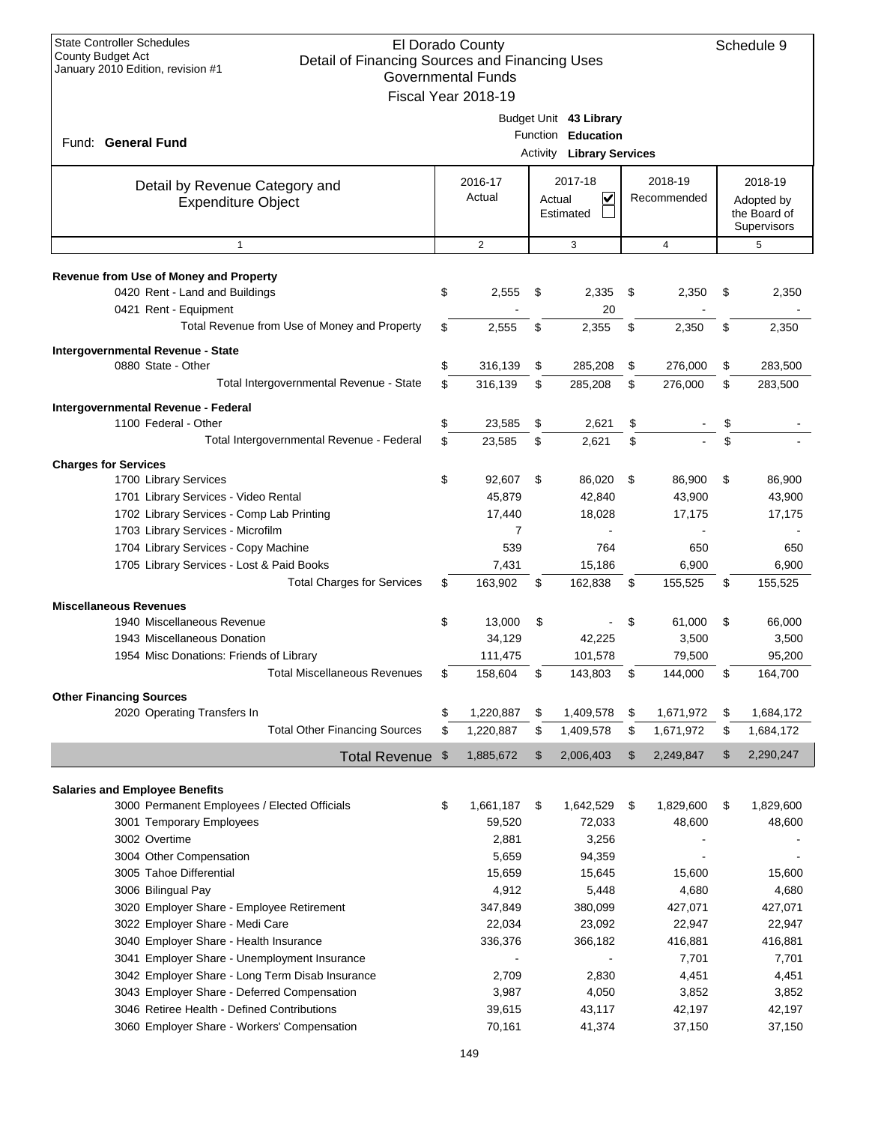| <b>State Controller Schedules</b><br>El Dorado County                                                           |    |                           |        |                                  |    |                  |    |                             |
|-----------------------------------------------------------------------------------------------------------------|----|---------------------------|--------|----------------------------------|----|------------------|----|-----------------------------|
| <b>County Budget Act</b><br>Detail of Financing Sources and Financing Uses<br>January 2010 Edition, revision #1 |    |                           |        |                                  |    |                  |    |                             |
|                                                                                                                 |    | <b>Governmental Funds</b> |        |                                  |    |                  |    |                             |
|                                                                                                                 |    | Fiscal Year 2018-19       |        |                                  |    |                  |    |                             |
|                                                                                                                 |    |                           |        | Budget Unit 43 Library           |    |                  |    |                             |
| Fund: General Fund                                                                                              |    |                           |        | Function Education               |    |                  |    |                             |
|                                                                                                                 |    |                           |        | <b>Activity Library Services</b> |    |                  |    |                             |
|                                                                                                                 |    |                           |        |                                  |    |                  |    |                             |
| Detail by Revenue Category and                                                                                  |    | 2016-17                   |        | 2017-18                          |    | 2018-19          |    | 2018-19                     |
| <b>Expenditure Object</b>                                                                                       |    | Actual                    | Actual | V                                |    | Recommended      |    | Adopted by                  |
|                                                                                                                 |    |                           |        | Estimated                        |    |                  |    | the Board of<br>Supervisors |
| $\mathbf{1}$                                                                                                    |    | $\overline{2}$            |        | 3                                |    | $\overline{4}$   |    | 5                           |
|                                                                                                                 |    |                           |        |                                  |    |                  |    |                             |
| <b>Revenue from Use of Money and Property</b>                                                                   |    |                           |        |                                  |    |                  |    |                             |
| 0420 Rent - Land and Buildings                                                                                  | \$ | 2,555                     | \$     | 2,335                            | \$ | 2,350            | \$ | 2,350                       |
| 0421 Rent - Equipment                                                                                           |    |                           |        | 20                               |    |                  |    |                             |
| Total Revenue from Use of Money and Property                                                                    | \$ | 2,555                     | \$     | 2,355                            | \$ | 2,350            | \$ | 2,350                       |
| Intergovernmental Revenue - State                                                                               |    |                           |        |                                  |    |                  |    |                             |
| 0880 State - Other                                                                                              | \$ | 316,139                   | \$     | 285,208                          | \$ | 276,000          | \$ | 283,500                     |
| Total Intergovernmental Revenue - State                                                                         | \$ | 316,139                   | \$     | 285,208                          | \$ | 276,000          | \$ | 283,500                     |
|                                                                                                                 |    |                           |        |                                  |    |                  |    |                             |
| Intergovernmental Revenue - Federal<br>1100 Federal - Other                                                     | \$ | 23,585                    | \$     | 2,621                            | \$ |                  | \$ |                             |
| Total Intergovernmental Revenue - Federal                                                                       | \$ | 23,585                    | \$     | 2,621                            | \$ |                  | \$ |                             |
|                                                                                                                 |    |                           |        |                                  |    |                  |    |                             |
| <b>Charges for Services</b><br>1700 Library Services                                                            | \$ | 92,607                    | \$     | 86,020                           | \$ | 86,900           | \$ | 86,900                      |
|                                                                                                                 |    | 45,879                    |        | 42,840                           |    | 43,900           |    | 43,900                      |
| 1701 Library Services - Video Rental                                                                            |    |                           |        | 18,028                           |    | 17,175           |    |                             |
| 1702 Library Services - Comp Lab Printing                                                                       |    | 17,440<br>7               |        |                                  |    |                  |    | 17,175                      |
| 1703 Library Services - Microfilm                                                                               |    |                           |        | 764                              |    |                  |    |                             |
| 1704 Library Services - Copy Machine                                                                            |    | 539                       |        |                                  |    | 650              |    | 650                         |
| 1705 Library Services - Lost & Paid Books<br><b>Total Charges for Services</b>                                  | \$ | 7,431<br>163,902          | \$     | 15,186<br>162,838                | \$ | 6,900<br>155,525 | \$ | 6,900<br>155,525            |
|                                                                                                                 |    |                           |        |                                  |    |                  |    |                             |
| <b>Miscellaneous Revenues</b>                                                                                   |    |                           |        |                                  |    |                  |    |                             |
| 1940 Miscellaneous Revenue                                                                                      | \$ | 13,000                    | \$     |                                  | \$ | 61,000           | \$ | 66,000                      |
| 1943 Miscellaneous Donation                                                                                     |    | 34,129                    |        | 42,225                           |    | 3,500            |    | 3,500                       |
| 1954 Misc Donations: Friends of Library                                                                         |    | 111,475                   |        | 101,578                          |    | 79,500           |    | 95,200                      |
| <b>Total Miscellaneous Revenues</b>                                                                             | \$ | 158,604                   | \$     | 143,803                          | \$ | 144,000          | \$ | 164,700                     |
| <b>Other Financing Sources</b>                                                                                  |    |                           |        |                                  |    |                  |    |                             |
| 2020 Operating Transfers In                                                                                     | \$ | 1,220,887                 | \$     | 1,409,578                        | \$ | 1,671,972        | \$ | 1,684,172                   |
| <b>Total Other Financing Sources</b>                                                                            | \$ | 1,220,887                 | \$     | 1,409,578                        | \$ | 1,671,972        | \$ | 1,684,172                   |
| Total Revenue \$                                                                                                |    | 1,885,672                 | \$     | 2,006,403                        | \$ | 2,249,847        | \$ | 2,290,247                   |
|                                                                                                                 |    |                           |        |                                  |    |                  |    |                             |
| <b>Salaries and Employee Benefits</b>                                                                           |    |                           |        |                                  |    |                  |    |                             |
| 3000 Permanent Employees / Elected Officials                                                                    | \$ | 1,661,187                 | \$     | 1,642,529                        | \$ | 1,829,600        | \$ | 1,829,600                   |
| 3001 Temporary Employees                                                                                        |    | 59,520                    |        | 72,033                           |    | 48,600           |    | 48,600                      |
| 3002 Overtime                                                                                                   |    | 2,881                     |        | 3,256                            |    |                  |    |                             |
| 3004 Other Compensation                                                                                         |    | 5,659                     |        | 94,359                           |    |                  |    |                             |
| 3005 Tahoe Differential                                                                                         |    | 15,659                    |        | 15,645                           |    | 15,600           |    | 15,600                      |
| 3006 Bilingual Pay                                                                                              |    | 4,912                     |        | 5,448                            |    | 4,680            |    | 4,680                       |
| 3020 Employer Share - Employee Retirement                                                                       |    | 347,849                   |        | 380,099                          |    | 427,071          |    | 427,071                     |
| 3022 Employer Share - Medi Care                                                                                 |    | 22,034                    |        | 23,092                           |    | 22,947           |    | 22,947                      |
| 3040 Employer Share - Health Insurance                                                                          |    | 336,376                   |        | 366,182                          |    | 416,881          |    | 416,881                     |
| 3041 Employer Share - Unemployment Insurance                                                                    |    |                           |        | $\blacksquare$                   |    | 7,701            |    | 7,701                       |
| 3042 Employer Share - Long Term Disab Insurance                                                                 |    | 2,709                     |        | 2,830                            |    | 4,451            |    | 4,451                       |
| 3043 Employer Share - Deferred Compensation                                                                     |    | 3,987                     |        | 4,050                            |    | 3,852            |    | 3,852                       |
| 3046 Retiree Health - Defined Contributions                                                                     |    | 39,615                    |        | 43,117                           |    | 42,197           |    | 42,197                      |
| 3060 Employer Share - Workers' Compensation                                                                     |    | 70,161                    |        | 41,374                           |    | 37,150           |    | 37,150                      |
|                                                                                                                 |    |                           |        |                                  |    |                  |    |                             |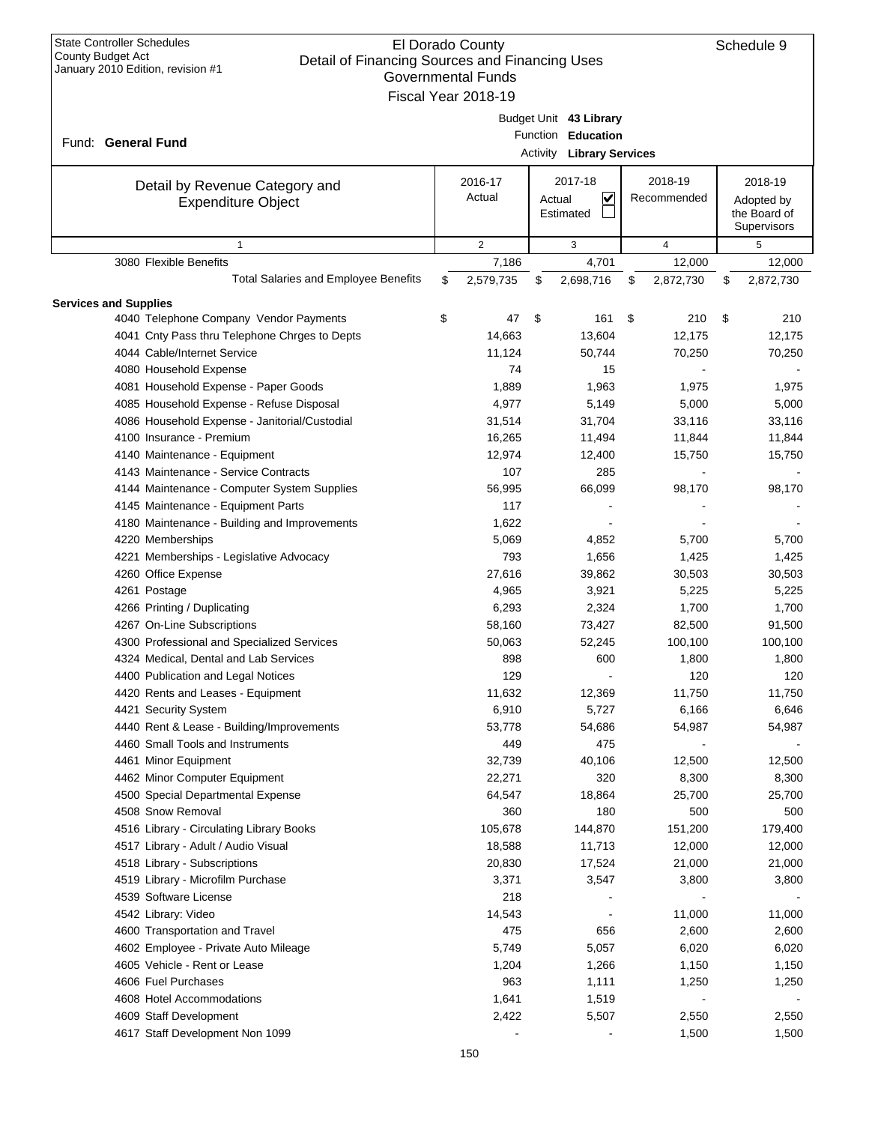| <b>State Controller Schedules</b><br>El Dorado County<br>Schedule 9<br>County Budget Act<br>Detail of Financing Sources and Financing Uses<br>January 2010 Edition, revision #1<br><b>Governmental Funds</b><br>Fiscal Year 2018-19 |    |                   |                                                                                  |                        |    |                                                      |  |
|-------------------------------------------------------------------------------------------------------------------------------------------------------------------------------------------------------------------------------------|----|-------------------|----------------------------------------------------------------------------------|------------------------|----|------------------------------------------------------|--|
| Fund: General Fund                                                                                                                                                                                                                  |    |                   | Budget Unit 43 Library<br>Function Education<br><b>Activity Library Services</b> |                        |    |                                                      |  |
| Detail by Revenue Category and<br><b>Expenditure Object</b>                                                                                                                                                                         |    | 2016-17<br>Actual | 2017-18<br>V<br>Actual<br>Estimated                                              | 2018-19<br>Recommended |    | 2018-19<br>Adopted by<br>the Board of<br>Supervisors |  |
| $\mathbf{1}$                                                                                                                                                                                                                        |    | 2                 | 3                                                                                | $\overline{4}$         |    | 5                                                    |  |
| 3080 Flexible Benefits                                                                                                                                                                                                              |    | 7,186             | 4,701                                                                            | 12,000                 |    | 12,000                                               |  |
| <b>Total Salaries and Employee Benefits</b>                                                                                                                                                                                         | \$ | 2,579,735         | 2,698,716<br>\$                                                                  | 2,872,730<br>\$        | \$ | 2,872,730                                            |  |
| <b>Services and Supplies</b>                                                                                                                                                                                                        |    |                   |                                                                                  |                        |    |                                                      |  |
| 4040 Telephone Company Vendor Payments                                                                                                                                                                                              | \$ | 47                | \$<br>161                                                                        | \$<br>210              | \$ | 210                                                  |  |
| 4041 Cnty Pass thru Telephone Chrges to Depts                                                                                                                                                                                       |    | 14,663            | 13,604                                                                           | 12,175                 |    | 12,175                                               |  |
| 4044 Cable/Internet Service                                                                                                                                                                                                         |    | 11,124            | 50,744                                                                           | 70,250                 |    | 70,250                                               |  |
| 4080 Household Expense                                                                                                                                                                                                              |    | 74                | 15                                                                               |                        |    |                                                      |  |
| 4081 Household Expense - Paper Goods                                                                                                                                                                                                |    | 1,889             | 1,963                                                                            | 1,975                  |    | 1,975                                                |  |
| 4085 Household Expense - Refuse Disposal                                                                                                                                                                                            |    | 4,977             | 5,149                                                                            | 5,000                  |    | 5,000                                                |  |
| 4086 Household Expense - Janitorial/Custodial                                                                                                                                                                                       |    | 31,514            | 31,704                                                                           | 33,116                 |    | 33,116                                               |  |
| 4100 Insurance - Premium                                                                                                                                                                                                            |    | 16,265            | 11,494                                                                           | 11,844                 |    | 11,844                                               |  |
| 4140 Maintenance - Equipment                                                                                                                                                                                                        |    | 12,974            | 12,400                                                                           | 15,750                 |    | 15,750                                               |  |
| 4143 Maintenance - Service Contracts                                                                                                                                                                                                |    | 107               | 285                                                                              |                        |    |                                                      |  |
| 4144 Maintenance - Computer System Supplies                                                                                                                                                                                         |    | 56,995            | 66,099                                                                           | 98,170                 |    | 98,170                                               |  |
| 4145 Maintenance - Equipment Parts                                                                                                                                                                                                  |    | 117               |                                                                                  |                        |    |                                                      |  |
| 4180 Maintenance - Building and Improvements                                                                                                                                                                                        |    | 1,622             |                                                                                  |                        |    |                                                      |  |
| 4220 Memberships                                                                                                                                                                                                                    |    | 5,069             | 4,852                                                                            | 5,700                  |    | 5,700                                                |  |
| 4221 Memberships - Legislative Advocacy                                                                                                                                                                                             |    | 793               | 1,656                                                                            | 1,425                  |    | 1,425                                                |  |
| 4260 Office Expense                                                                                                                                                                                                                 |    | 27,616            | 39,862                                                                           | 30,503                 |    | 30,503                                               |  |
| 4261 Postage                                                                                                                                                                                                                        |    | 4,965             | 3,921                                                                            | 5,225                  |    | 5,225                                                |  |
| 4266 Printing / Duplicating                                                                                                                                                                                                         |    | 6,293             | 2,324                                                                            | 1,700                  |    | 1,700                                                |  |
|                                                                                                                                                                                                                                     |    |                   | 73,427                                                                           | 82,500                 |    | 91,500                                               |  |
| 4267 On-Line Subscriptions                                                                                                                                                                                                          |    | 58,160            |                                                                                  |                        |    |                                                      |  |
| 4300 Professional and Specialized Services                                                                                                                                                                                          |    | 50,063            | 52,245                                                                           | 100,100                |    | 100,100                                              |  |
| 4324 Medical, Dental and Lab Services                                                                                                                                                                                               |    | 898               | 600                                                                              | 1,800                  |    | 1,800                                                |  |
| 4400 Publication and Legal Notices                                                                                                                                                                                                  |    | 129               |                                                                                  | 120                    |    | 120                                                  |  |
| 4420 Rents and Leases - Equipment                                                                                                                                                                                                   |    | 11,632            | 12,369                                                                           | 11,750                 |    | 11,750                                               |  |
| 4421 Security System                                                                                                                                                                                                                |    | 6,910             | 5,727                                                                            | 6,166                  |    | 6,646                                                |  |
| 4440 Rent & Lease - Building/Improvements                                                                                                                                                                                           |    | 53,778            | 54,686                                                                           | 54,987                 |    | 54,987                                               |  |
| 4460 Small Tools and Instruments                                                                                                                                                                                                    |    | 449               | 475                                                                              |                        |    |                                                      |  |
| 4461 Minor Equipment                                                                                                                                                                                                                |    | 32,739            | 40,106                                                                           | 12,500                 |    | 12,500                                               |  |
| 4462 Minor Computer Equipment                                                                                                                                                                                                       |    | 22,271            | 320                                                                              | 8,300                  |    | 8,300                                                |  |
| 4500 Special Departmental Expense                                                                                                                                                                                                   |    | 64,547            | 18,864                                                                           | 25,700                 |    | 25,700                                               |  |
| 4508 Snow Removal                                                                                                                                                                                                                   |    | 360               | 180                                                                              | 500                    |    | 500                                                  |  |
| 4516 Library - Circulating Library Books                                                                                                                                                                                            |    | 105,678           | 144,870                                                                          | 151,200                |    | 179,400                                              |  |
| 4517 Library - Adult / Audio Visual                                                                                                                                                                                                 |    | 18,588            | 11,713                                                                           | 12,000                 |    | 12,000                                               |  |
| 4518 Library - Subscriptions                                                                                                                                                                                                        |    | 20,830            | 17,524                                                                           | 21,000                 |    | 21,000                                               |  |
| 4519 Library - Microfilm Purchase                                                                                                                                                                                                   |    | 3,371             | 3,547                                                                            | 3,800                  |    | 3,800                                                |  |
| 4539 Software License                                                                                                                                                                                                               |    | 218               |                                                                                  |                        |    |                                                      |  |
| 4542 Library: Video                                                                                                                                                                                                                 |    | 14,543            |                                                                                  | 11,000                 |    | 11,000                                               |  |
| 4600 Transportation and Travel                                                                                                                                                                                                      |    | 475               | 656                                                                              | 2,600                  |    | 2,600                                                |  |
| 4602 Employee - Private Auto Mileage                                                                                                                                                                                                |    | 5,749             | 5,057                                                                            | 6,020                  |    | 6,020                                                |  |
| 4605 Vehicle - Rent or Lease                                                                                                                                                                                                        |    | 1,204             | 1,266                                                                            | 1,150                  |    | 1,150                                                |  |
| 4606 Fuel Purchases                                                                                                                                                                                                                 |    | 963               | 1,111                                                                            | 1,250                  |    | 1,250                                                |  |
| 4608 Hotel Accommodations                                                                                                                                                                                                           |    | 1,641             | 1,519                                                                            |                        |    |                                                      |  |
| 4609 Staff Development                                                                                                                                                                                                              |    | 2,422             | 5,507                                                                            | 2,550                  |    | 2,550                                                |  |
| 4617 Staff Development Non 1099                                                                                                                                                                                                     |    |                   |                                                                                  | 1,500                  |    | 1,500                                                |  |
|                                                                                                                                                                                                                                     |    |                   |                                                                                  |                        |    |                                                      |  |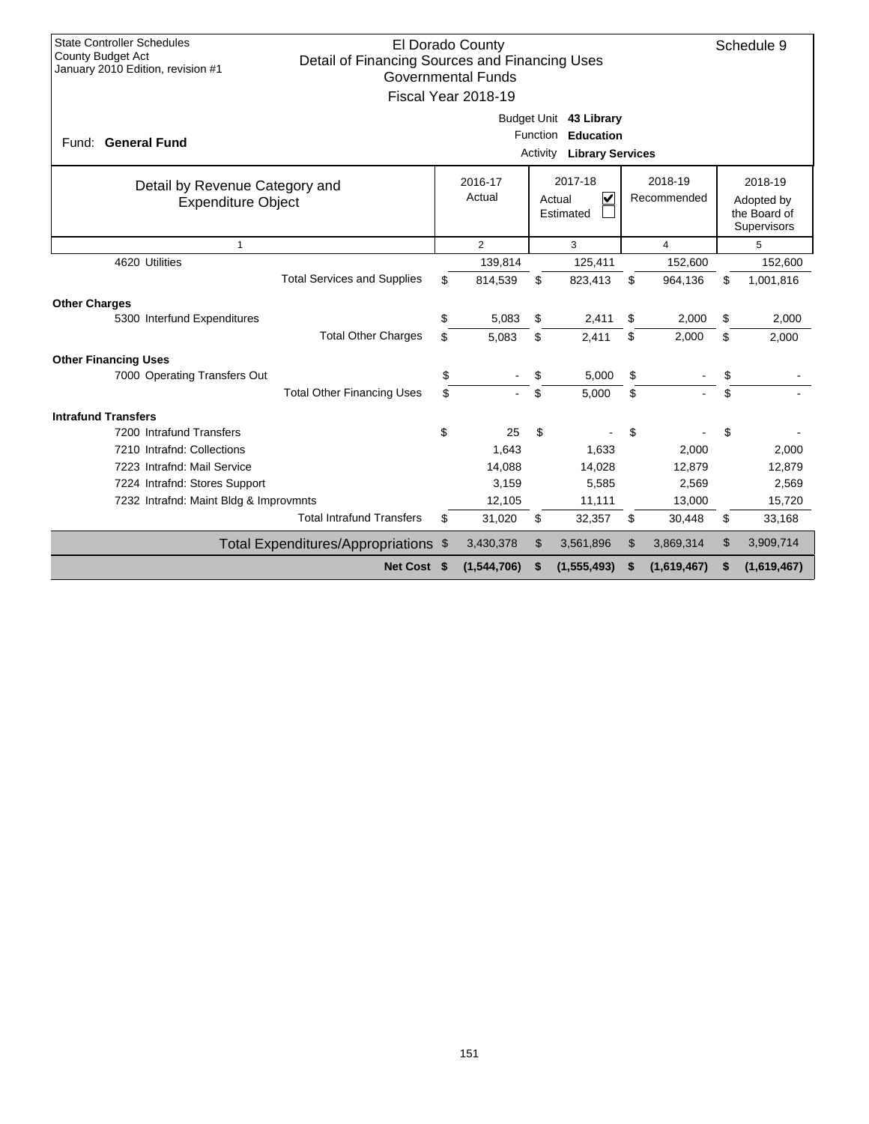| <b>State Controller Schedules</b><br>El Dorado County<br>Schedule 9<br>County Budget Act<br>Detail of Financing Sources and Financing Uses<br>January 2010 Edition, revision #1<br><b>Governmental Funds</b><br>Fiscal Year 2018-19 |  |    |                   |                             |                                                                |    |                        |    |                                                      |
|-------------------------------------------------------------------------------------------------------------------------------------------------------------------------------------------------------------------------------------|--|----|-------------------|-----------------------------|----------------------------------------------------------------|----|------------------------|----|------------------------------------------------------|
| Fund: General Fund                                                                                                                                                                                                                  |  |    |                   | <b>Function</b><br>Activity | Budget Unit 43 Library<br>Education<br><b>Library Services</b> |    |                        |    |                                                      |
| Detail by Revenue Category and<br><b>Expenditure Object</b>                                                                                                                                                                         |  |    | 2016-17<br>Actual |                             | 2017-18<br>$\checkmark$<br>Actual<br>Estimated                 |    | 2018-19<br>Recommended |    | 2018-19<br>Adopted by<br>the Board of<br>Supervisors |
| $\mathbf{1}$                                                                                                                                                                                                                        |  |    | $\overline{2}$    |                             | 3                                                              |    | $\overline{4}$         |    | 5                                                    |
| 4620 Utilities                                                                                                                                                                                                                      |  |    | 139,814           |                             | 125,411                                                        |    | 152,600                |    | 152,600                                              |
| <b>Total Services and Supplies</b>                                                                                                                                                                                                  |  | \$ | 814,539           | \$                          | 823,413                                                        | \$ | 964,136                | \$ | 1,001,816                                            |
| <b>Other Charges</b>                                                                                                                                                                                                                |  |    |                   |                             |                                                                |    |                        |    |                                                      |
| 5300 Interfund Expenditures                                                                                                                                                                                                         |  | \$ | 5,083             | \$                          | 2,411                                                          | \$ | 2,000                  | \$ | 2,000                                                |
| <b>Total Other Charges</b>                                                                                                                                                                                                          |  | \$ | 5.083             | \$                          | 2,411                                                          | \$ | 2,000                  | \$ | 2,000                                                |
| <b>Other Financing Uses</b>                                                                                                                                                                                                         |  |    |                   |                             |                                                                |    |                        |    |                                                      |
| 7000 Operating Transfers Out                                                                                                                                                                                                        |  | \$ |                   | \$                          | 5,000                                                          | \$ |                        | \$ |                                                      |
| <b>Total Other Financing Uses</b>                                                                                                                                                                                                   |  | \$ |                   | \$                          | 5,000                                                          | \$ |                        | \$ |                                                      |
| <b>Intrafund Transfers</b>                                                                                                                                                                                                          |  |    |                   |                             |                                                                |    |                        |    |                                                      |
| 7200 Intrafund Transfers                                                                                                                                                                                                            |  | \$ | 25                | \$                          |                                                                | \$ |                        | \$ |                                                      |
| 7210 Intrafnd: Collections                                                                                                                                                                                                          |  |    | 1,643             |                             | 1,633                                                          |    | 2,000                  |    | 2,000                                                |
| 7223 Intrafnd: Mail Service                                                                                                                                                                                                         |  |    | 14,088            |                             | 14,028                                                         |    | 12,879                 |    | 12,879                                               |
| 7224 Intrafnd: Stores Support                                                                                                                                                                                                       |  |    | 3,159             |                             | 5,585                                                          |    | 2,569                  |    | 2,569                                                |
| 7232 Intrafnd: Maint Bldg & Improvmnts                                                                                                                                                                                              |  |    | 12,105            |                             | 11,111                                                         |    | 13,000                 |    | 15,720                                               |
| <b>Total Intrafund Transfers</b>                                                                                                                                                                                                    |  | \$ | 31,020            | \$                          | 32,357                                                         | \$ | 30,448                 | \$ | 33,168                                               |
| Total Expenditures/Appropriations \$                                                                                                                                                                                                |  |    | 3,430,378         | \$                          | 3,561,896                                                      | \$ | 3,869,314              | \$ | 3,909,714                                            |
| Net Cost \$                                                                                                                                                                                                                         |  |    | (1,544,706)       | \$                          | (1, 555, 493)                                                  | \$ | (1,619,467)            | \$ | (1,619,467)                                          |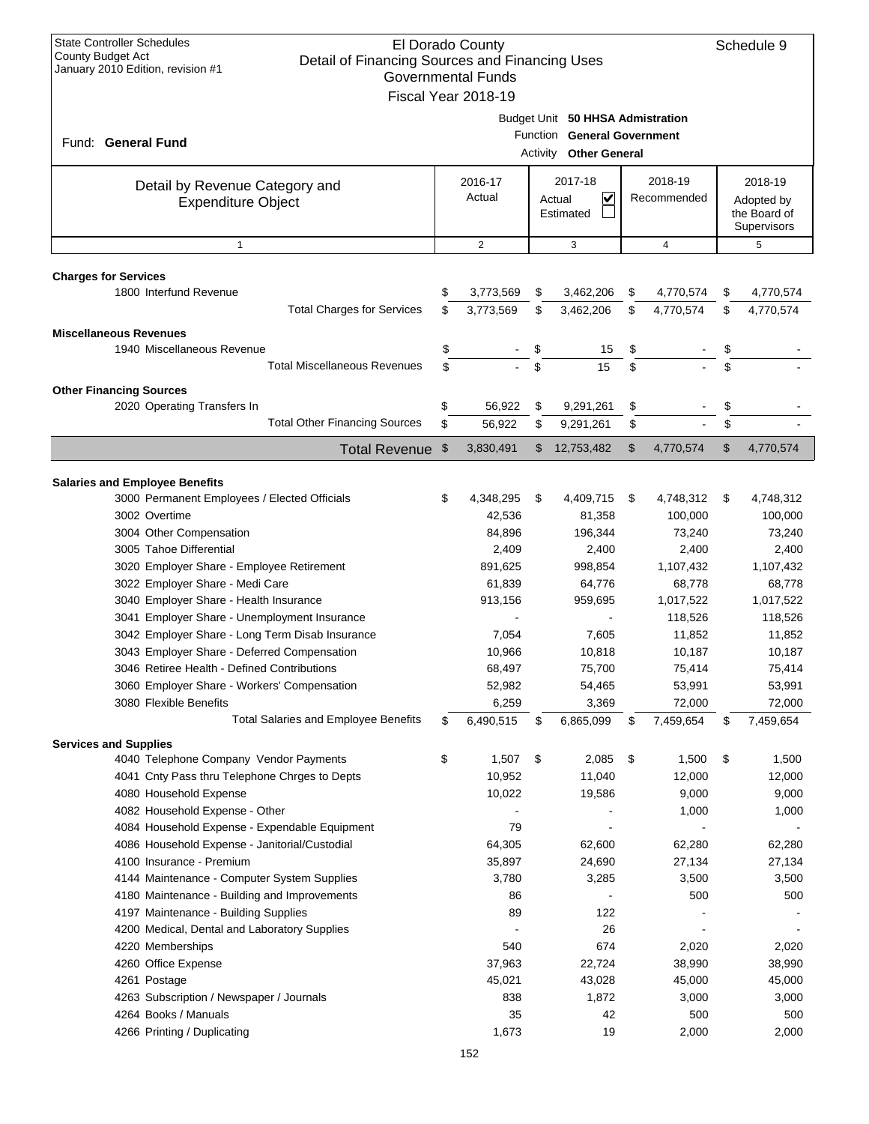| Budget Unit 50 HHSA Admistration<br>Function General Government<br>Fund: General Fund<br><b>Activity Other General</b><br>2018-19<br>2016-17<br>2017-18<br>2018-19<br>Detail by Revenue Category and<br>Actual<br>$\checkmark$<br>Recommended<br>Actual<br>Adopted by<br><b>Expenditure Object</b><br>the Board of<br>Estimated<br>Supervisors<br>$\overline{2}$<br>3<br>5<br>$\mathbf{1}$<br>$\overline{4}$<br><b>Charges for Services</b><br>1800 Interfund Revenue<br>\$<br>3,773,569<br>\$<br>3,462,206<br>\$<br>4,770,574<br>4,770,574<br>\$<br><b>Total Charges for Services</b><br>\$<br>3,462,206<br>\$<br>\$<br>3,773,569<br>4,770,574<br>\$<br>4,770,574<br><b>Miscellaneous Revenues</b><br>1940 Miscellaneous Revenue<br>\$<br>\$<br>\$<br>\$<br>15<br>\$<br>\$<br>\$<br>15<br>\$<br><b>Total Miscellaneous Revenues</b><br><b>Other Financing Sources</b><br>2020 Operating Transfers In<br>\$<br>56,922<br>\$<br>9,291,261<br>\$<br>\$<br>\$<br><b>Total Other Financing Sources</b><br>\$<br>\$<br>\$<br>56,922<br>9,291,261<br>\$<br>3,830,491<br>12,753,482<br>\$<br>4,770,574<br>Total Revenue \$<br>\$<br>4,770,574<br><b>Salaries and Employee Benefits</b><br>3000 Permanent Employees / Elected Officials<br>4,348,295<br>\$<br>4,409,715<br>4,748,312<br>\$<br>\$<br>\$<br>4,748,312<br>3002 Overtime<br>42,536<br>81,358<br>100,000<br>100,000<br>3004 Other Compensation<br>84,896<br>196,344<br>73,240<br>73,240<br>3005 Tahoe Differential<br>2,409<br>2,400<br>2,400<br>2,400<br>3020 Employer Share - Employee Retirement<br>891,625<br>1,107,432<br>998,854<br>1,107,432<br>3022 Employer Share - Medi Care<br>61,839<br>64.776<br>68,778<br>68,778<br>3040 Employer Share - Health Insurance<br>1,017,522<br>1,017,522<br>913,156<br>959,695<br>3041 Employer Share - Unemployment Insurance<br>118,526<br>118,526<br>3042 Employer Share - Long Term Disab Insurance<br>11,852<br>7,054<br>7,605<br>11,852<br>3043 Employer Share - Deferred Compensation<br>10,966<br>10,818<br>10,187<br>10,187<br>3046 Retiree Health - Defined Contributions<br>68,497<br>75,700<br>75,414<br>75,414<br>3060 Employer Share - Workers' Compensation<br>52,982<br>53,991<br>53,991<br>54,465<br>72,000<br>72,000<br>3080 Flexible Benefits<br>6,259<br>3,369<br><b>Total Salaries and Employee Benefits</b><br>6,490,515<br>\$<br>6,865,099<br>\$<br>7,459,654<br>\$<br>7,459,654<br>\$<br><b>Services and Supplies</b><br>4040 Telephone Company Vendor Payments<br>\$<br>1,507<br>\$<br>2,085<br>\$<br>1,500<br>1,500<br>\$<br>10,952<br>11,040<br>4041 Cnty Pass thru Telephone Chrges to Depts<br>12,000<br>12,000<br>4080 Household Expense<br>10,022<br>19,586<br>9,000<br>9,000<br>4082 Household Expense - Other<br>1,000<br>1,000<br>79<br>4084 Household Expense - Expendable Equipment<br>4086 Household Expense - Janitorial/Custodial<br>64,305<br>62,280<br>62,280<br>62,600<br>4100 Insurance - Premium<br>35,897<br>24,690<br>27,134<br>27,134<br>4144 Maintenance - Computer System Supplies<br>3,780<br>3,285<br>3,500<br>3,500<br>4180 Maintenance - Building and Improvements<br>86<br>500<br>500<br>89<br>122<br>4197 Maintenance - Building Supplies<br>4200 Medical, Dental and Laboratory Supplies<br>26<br>674<br>540<br>4220 Memberships<br>2,020<br>2,020<br>4260 Office Expense<br>37,963<br>22,724<br>38,990<br>38,990<br>45,021<br>4261 Postage<br>43,028<br>45,000<br>45,000<br>838<br>1,872<br>4263 Subscription / Newspaper / Journals<br>3,000<br>3,000<br>4264 Books / Manuals<br>35<br>500<br>42<br>500<br>1,673<br>19<br>4266 Printing / Duplicating<br>2,000<br>2,000<br>152 | <b>State Controller Schedules</b><br>El Dorado County<br><b>County Budget Act</b><br>Detail of Financing Sources and Financing Uses<br>January 2010 Edition, revision #1<br><b>Governmental Funds</b><br>Fiscal Year 2018-19 |  |  |  |  |  |  |  |  |  |
|---------------------------------------------------------------------------------------------------------------------------------------------------------------------------------------------------------------------------------------------------------------------------------------------------------------------------------------------------------------------------------------------------------------------------------------------------------------------------------------------------------------------------------------------------------------------------------------------------------------------------------------------------------------------------------------------------------------------------------------------------------------------------------------------------------------------------------------------------------------------------------------------------------------------------------------------------------------------------------------------------------------------------------------------------------------------------------------------------------------------------------------------------------------------------------------------------------------------------------------------------------------------------------------------------------------------------------------------------------------------------------------------------------------------------------------------------------------------------------------------------------------------------------------------------------------------------------------------------------------------------------------------------------------------------------------------------------------------------------------------------------------------------------------------------------------------------------------------------------------------------------------------------------------------------------------------------------------------------------------------------------------------------------------------------------------------------------------------------------------------------------------------------------------------------------------------------------------------------------------------------------------------------------------------------------------------------------------------------------------------------------------------------------------------------------------------------------------------------------------------------------------------------------------------------------------------------------------------------------------------------------------------------------------------------------------------------------------------------------------------------------------------------------------------------------------------------------------------------------------------------------------------------------------------------------------------------------------------------------------------------------------------------------------------------------------------------------------------------------------------------------------------------------------------------------------------------------------------------------------------------------------------------------------------------------------------------------------------------------------------------------------------------------------------------------------------------------------------------------------------------------------------------------------------------------------------------------------------------------------------------------------|------------------------------------------------------------------------------------------------------------------------------------------------------------------------------------------------------------------------------|--|--|--|--|--|--|--|--|--|
|                                                                                                                                                                                                                                                                                                                                                                                                                                                                                                                                                                                                                                                                                                                                                                                                                                                                                                                                                                                                                                                                                                                                                                                                                                                                                                                                                                                                                                                                                                                                                                                                                                                                                                                                                                                                                                                                                                                                                                                                                                                                                                                                                                                                                                                                                                                                                                                                                                                                                                                                                                                                                                                                                                                                                                                                                                                                                                                                                                                                                                                                                                                                                                                                                                                                                                                                                                                                                                                                                                                                                                                                                                       |                                                                                                                                                                                                                              |  |  |  |  |  |  |  |  |  |
|                                                                                                                                                                                                                                                                                                                                                                                                                                                                                                                                                                                                                                                                                                                                                                                                                                                                                                                                                                                                                                                                                                                                                                                                                                                                                                                                                                                                                                                                                                                                                                                                                                                                                                                                                                                                                                                                                                                                                                                                                                                                                                                                                                                                                                                                                                                                                                                                                                                                                                                                                                                                                                                                                                                                                                                                                                                                                                                                                                                                                                                                                                                                                                                                                                                                                                                                                                                                                                                                                                                                                                                                                                       |                                                                                                                                                                                                                              |  |  |  |  |  |  |  |  |  |
|                                                                                                                                                                                                                                                                                                                                                                                                                                                                                                                                                                                                                                                                                                                                                                                                                                                                                                                                                                                                                                                                                                                                                                                                                                                                                                                                                                                                                                                                                                                                                                                                                                                                                                                                                                                                                                                                                                                                                                                                                                                                                                                                                                                                                                                                                                                                                                                                                                                                                                                                                                                                                                                                                                                                                                                                                                                                                                                                                                                                                                                                                                                                                                                                                                                                                                                                                                                                                                                                                                                                                                                                                                       |                                                                                                                                                                                                                              |  |  |  |  |  |  |  |  |  |
|                                                                                                                                                                                                                                                                                                                                                                                                                                                                                                                                                                                                                                                                                                                                                                                                                                                                                                                                                                                                                                                                                                                                                                                                                                                                                                                                                                                                                                                                                                                                                                                                                                                                                                                                                                                                                                                                                                                                                                                                                                                                                                                                                                                                                                                                                                                                                                                                                                                                                                                                                                                                                                                                                                                                                                                                                                                                                                                                                                                                                                                                                                                                                                                                                                                                                                                                                                                                                                                                                                                                                                                                                                       |                                                                                                                                                                                                                              |  |  |  |  |  |  |  |  |  |
|                                                                                                                                                                                                                                                                                                                                                                                                                                                                                                                                                                                                                                                                                                                                                                                                                                                                                                                                                                                                                                                                                                                                                                                                                                                                                                                                                                                                                                                                                                                                                                                                                                                                                                                                                                                                                                                                                                                                                                                                                                                                                                                                                                                                                                                                                                                                                                                                                                                                                                                                                                                                                                                                                                                                                                                                                                                                                                                                                                                                                                                                                                                                                                                                                                                                                                                                                                                                                                                                                                                                                                                                                                       |                                                                                                                                                                                                                              |  |  |  |  |  |  |  |  |  |
|                                                                                                                                                                                                                                                                                                                                                                                                                                                                                                                                                                                                                                                                                                                                                                                                                                                                                                                                                                                                                                                                                                                                                                                                                                                                                                                                                                                                                                                                                                                                                                                                                                                                                                                                                                                                                                                                                                                                                                                                                                                                                                                                                                                                                                                                                                                                                                                                                                                                                                                                                                                                                                                                                                                                                                                                                                                                                                                                                                                                                                                                                                                                                                                                                                                                                                                                                                                                                                                                                                                                                                                                                                       |                                                                                                                                                                                                                              |  |  |  |  |  |  |  |  |  |
|                                                                                                                                                                                                                                                                                                                                                                                                                                                                                                                                                                                                                                                                                                                                                                                                                                                                                                                                                                                                                                                                                                                                                                                                                                                                                                                                                                                                                                                                                                                                                                                                                                                                                                                                                                                                                                                                                                                                                                                                                                                                                                                                                                                                                                                                                                                                                                                                                                                                                                                                                                                                                                                                                                                                                                                                                                                                                                                                                                                                                                                                                                                                                                                                                                                                                                                                                                                                                                                                                                                                                                                                                                       |                                                                                                                                                                                                                              |  |  |  |  |  |  |  |  |  |
|                                                                                                                                                                                                                                                                                                                                                                                                                                                                                                                                                                                                                                                                                                                                                                                                                                                                                                                                                                                                                                                                                                                                                                                                                                                                                                                                                                                                                                                                                                                                                                                                                                                                                                                                                                                                                                                                                                                                                                                                                                                                                                                                                                                                                                                                                                                                                                                                                                                                                                                                                                                                                                                                                                                                                                                                                                                                                                                                                                                                                                                                                                                                                                                                                                                                                                                                                                                                                                                                                                                                                                                                                                       |                                                                                                                                                                                                                              |  |  |  |  |  |  |  |  |  |
|                                                                                                                                                                                                                                                                                                                                                                                                                                                                                                                                                                                                                                                                                                                                                                                                                                                                                                                                                                                                                                                                                                                                                                                                                                                                                                                                                                                                                                                                                                                                                                                                                                                                                                                                                                                                                                                                                                                                                                                                                                                                                                                                                                                                                                                                                                                                                                                                                                                                                                                                                                                                                                                                                                                                                                                                                                                                                                                                                                                                                                                                                                                                                                                                                                                                                                                                                                                                                                                                                                                                                                                                                                       |                                                                                                                                                                                                                              |  |  |  |  |  |  |  |  |  |
|                                                                                                                                                                                                                                                                                                                                                                                                                                                                                                                                                                                                                                                                                                                                                                                                                                                                                                                                                                                                                                                                                                                                                                                                                                                                                                                                                                                                                                                                                                                                                                                                                                                                                                                                                                                                                                                                                                                                                                                                                                                                                                                                                                                                                                                                                                                                                                                                                                                                                                                                                                                                                                                                                                                                                                                                                                                                                                                                                                                                                                                                                                                                                                                                                                                                                                                                                                                                                                                                                                                                                                                                                                       |                                                                                                                                                                                                                              |  |  |  |  |  |  |  |  |  |
|                                                                                                                                                                                                                                                                                                                                                                                                                                                                                                                                                                                                                                                                                                                                                                                                                                                                                                                                                                                                                                                                                                                                                                                                                                                                                                                                                                                                                                                                                                                                                                                                                                                                                                                                                                                                                                                                                                                                                                                                                                                                                                                                                                                                                                                                                                                                                                                                                                                                                                                                                                                                                                                                                                                                                                                                                                                                                                                                                                                                                                                                                                                                                                                                                                                                                                                                                                                                                                                                                                                                                                                                                                       |                                                                                                                                                                                                                              |  |  |  |  |  |  |  |  |  |
|                                                                                                                                                                                                                                                                                                                                                                                                                                                                                                                                                                                                                                                                                                                                                                                                                                                                                                                                                                                                                                                                                                                                                                                                                                                                                                                                                                                                                                                                                                                                                                                                                                                                                                                                                                                                                                                                                                                                                                                                                                                                                                                                                                                                                                                                                                                                                                                                                                                                                                                                                                                                                                                                                                                                                                                                                                                                                                                                                                                                                                                                                                                                                                                                                                                                                                                                                                                                                                                                                                                                                                                                                                       |                                                                                                                                                                                                                              |  |  |  |  |  |  |  |  |  |
|                                                                                                                                                                                                                                                                                                                                                                                                                                                                                                                                                                                                                                                                                                                                                                                                                                                                                                                                                                                                                                                                                                                                                                                                                                                                                                                                                                                                                                                                                                                                                                                                                                                                                                                                                                                                                                                                                                                                                                                                                                                                                                                                                                                                                                                                                                                                                                                                                                                                                                                                                                                                                                                                                                                                                                                                                                                                                                                                                                                                                                                                                                                                                                                                                                                                                                                                                                                                                                                                                                                                                                                                                                       |                                                                                                                                                                                                                              |  |  |  |  |  |  |  |  |  |
|                                                                                                                                                                                                                                                                                                                                                                                                                                                                                                                                                                                                                                                                                                                                                                                                                                                                                                                                                                                                                                                                                                                                                                                                                                                                                                                                                                                                                                                                                                                                                                                                                                                                                                                                                                                                                                                                                                                                                                                                                                                                                                                                                                                                                                                                                                                                                                                                                                                                                                                                                                                                                                                                                                                                                                                                                                                                                                                                                                                                                                                                                                                                                                                                                                                                                                                                                                                                                                                                                                                                                                                                                                       |                                                                                                                                                                                                                              |  |  |  |  |  |  |  |  |  |
|                                                                                                                                                                                                                                                                                                                                                                                                                                                                                                                                                                                                                                                                                                                                                                                                                                                                                                                                                                                                                                                                                                                                                                                                                                                                                                                                                                                                                                                                                                                                                                                                                                                                                                                                                                                                                                                                                                                                                                                                                                                                                                                                                                                                                                                                                                                                                                                                                                                                                                                                                                                                                                                                                                                                                                                                                                                                                                                                                                                                                                                                                                                                                                                                                                                                                                                                                                                                                                                                                                                                                                                                                                       |                                                                                                                                                                                                                              |  |  |  |  |  |  |  |  |  |
|                                                                                                                                                                                                                                                                                                                                                                                                                                                                                                                                                                                                                                                                                                                                                                                                                                                                                                                                                                                                                                                                                                                                                                                                                                                                                                                                                                                                                                                                                                                                                                                                                                                                                                                                                                                                                                                                                                                                                                                                                                                                                                                                                                                                                                                                                                                                                                                                                                                                                                                                                                                                                                                                                                                                                                                                                                                                                                                                                                                                                                                                                                                                                                                                                                                                                                                                                                                                                                                                                                                                                                                                                                       |                                                                                                                                                                                                                              |  |  |  |  |  |  |  |  |  |
|                                                                                                                                                                                                                                                                                                                                                                                                                                                                                                                                                                                                                                                                                                                                                                                                                                                                                                                                                                                                                                                                                                                                                                                                                                                                                                                                                                                                                                                                                                                                                                                                                                                                                                                                                                                                                                                                                                                                                                                                                                                                                                                                                                                                                                                                                                                                                                                                                                                                                                                                                                                                                                                                                                                                                                                                                                                                                                                                                                                                                                                                                                                                                                                                                                                                                                                                                                                                                                                                                                                                                                                                                                       |                                                                                                                                                                                                                              |  |  |  |  |  |  |  |  |  |
|                                                                                                                                                                                                                                                                                                                                                                                                                                                                                                                                                                                                                                                                                                                                                                                                                                                                                                                                                                                                                                                                                                                                                                                                                                                                                                                                                                                                                                                                                                                                                                                                                                                                                                                                                                                                                                                                                                                                                                                                                                                                                                                                                                                                                                                                                                                                                                                                                                                                                                                                                                                                                                                                                                                                                                                                                                                                                                                                                                                                                                                                                                                                                                                                                                                                                                                                                                                                                                                                                                                                                                                                                                       |                                                                                                                                                                                                                              |  |  |  |  |  |  |  |  |  |
|                                                                                                                                                                                                                                                                                                                                                                                                                                                                                                                                                                                                                                                                                                                                                                                                                                                                                                                                                                                                                                                                                                                                                                                                                                                                                                                                                                                                                                                                                                                                                                                                                                                                                                                                                                                                                                                                                                                                                                                                                                                                                                                                                                                                                                                                                                                                                                                                                                                                                                                                                                                                                                                                                                                                                                                                                                                                                                                                                                                                                                                                                                                                                                                                                                                                                                                                                                                                                                                                                                                                                                                                                                       |                                                                                                                                                                                                                              |  |  |  |  |  |  |  |  |  |
|                                                                                                                                                                                                                                                                                                                                                                                                                                                                                                                                                                                                                                                                                                                                                                                                                                                                                                                                                                                                                                                                                                                                                                                                                                                                                                                                                                                                                                                                                                                                                                                                                                                                                                                                                                                                                                                                                                                                                                                                                                                                                                                                                                                                                                                                                                                                                                                                                                                                                                                                                                                                                                                                                                                                                                                                                                                                                                                                                                                                                                                                                                                                                                                                                                                                                                                                                                                                                                                                                                                                                                                                                                       |                                                                                                                                                                                                                              |  |  |  |  |  |  |  |  |  |
|                                                                                                                                                                                                                                                                                                                                                                                                                                                                                                                                                                                                                                                                                                                                                                                                                                                                                                                                                                                                                                                                                                                                                                                                                                                                                                                                                                                                                                                                                                                                                                                                                                                                                                                                                                                                                                                                                                                                                                                                                                                                                                                                                                                                                                                                                                                                                                                                                                                                                                                                                                                                                                                                                                                                                                                                                                                                                                                                                                                                                                                                                                                                                                                                                                                                                                                                                                                                                                                                                                                                                                                                                                       |                                                                                                                                                                                                                              |  |  |  |  |  |  |  |  |  |
|                                                                                                                                                                                                                                                                                                                                                                                                                                                                                                                                                                                                                                                                                                                                                                                                                                                                                                                                                                                                                                                                                                                                                                                                                                                                                                                                                                                                                                                                                                                                                                                                                                                                                                                                                                                                                                                                                                                                                                                                                                                                                                                                                                                                                                                                                                                                                                                                                                                                                                                                                                                                                                                                                                                                                                                                                                                                                                                                                                                                                                                                                                                                                                                                                                                                                                                                                                                                                                                                                                                                                                                                                                       |                                                                                                                                                                                                                              |  |  |  |  |  |  |  |  |  |
|                                                                                                                                                                                                                                                                                                                                                                                                                                                                                                                                                                                                                                                                                                                                                                                                                                                                                                                                                                                                                                                                                                                                                                                                                                                                                                                                                                                                                                                                                                                                                                                                                                                                                                                                                                                                                                                                                                                                                                                                                                                                                                                                                                                                                                                                                                                                                                                                                                                                                                                                                                                                                                                                                                                                                                                                                                                                                                                                                                                                                                                                                                                                                                                                                                                                                                                                                                                                                                                                                                                                                                                                                                       |                                                                                                                                                                                                                              |  |  |  |  |  |  |  |  |  |
|                                                                                                                                                                                                                                                                                                                                                                                                                                                                                                                                                                                                                                                                                                                                                                                                                                                                                                                                                                                                                                                                                                                                                                                                                                                                                                                                                                                                                                                                                                                                                                                                                                                                                                                                                                                                                                                                                                                                                                                                                                                                                                                                                                                                                                                                                                                                                                                                                                                                                                                                                                                                                                                                                                                                                                                                                                                                                                                                                                                                                                                                                                                                                                                                                                                                                                                                                                                                                                                                                                                                                                                                                                       |                                                                                                                                                                                                                              |  |  |  |  |  |  |  |  |  |
|                                                                                                                                                                                                                                                                                                                                                                                                                                                                                                                                                                                                                                                                                                                                                                                                                                                                                                                                                                                                                                                                                                                                                                                                                                                                                                                                                                                                                                                                                                                                                                                                                                                                                                                                                                                                                                                                                                                                                                                                                                                                                                                                                                                                                                                                                                                                                                                                                                                                                                                                                                                                                                                                                                                                                                                                                                                                                                                                                                                                                                                                                                                                                                                                                                                                                                                                                                                                                                                                                                                                                                                                                                       |                                                                                                                                                                                                                              |  |  |  |  |  |  |  |  |  |
|                                                                                                                                                                                                                                                                                                                                                                                                                                                                                                                                                                                                                                                                                                                                                                                                                                                                                                                                                                                                                                                                                                                                                                                                                                                                                                                                                                                                                                                                                                                                                                                                                                                                                                                                                                                                                                                                                                                                                                                                                                                                                                                                                                                                                                                                                                                                                                                                                                                                                                                                                                                                                                                                                                                                                                                                                                                                                                                                                                                                                                                                                                                                                                                                                                                                                                                                                                                                                                                                                                                                                                                                                                       |                                                                                                                                                                                                                              |  |  |  |  |  |  |  |  |  |
|                                                                                                                                                                                                                                                                                                                                                                                                                                                                                                                                                                                                                                                                                                                                                                                                                                                                                                                                                                                                                                                                                                                                                                                                                                                                                                                                                                                                                                                                                                                                                                                                                                                                                                                                                                                                                                                                                                                                                                                                                                                                                                                                                                                                                                                                                                                                                                                                                                                                                                                                                                                                                                                                                                                                                                                                                                                                                                                                                                                                                                                                                                                                                                                                                                                                                                                                                                                                                                                                                                                                                                                                                                       |                                                                                                                                                                                                                              |  |  |  |  |  |  |  |  |  |
|                                                                                                                                                                                                                                                                                                                                                                                                                                                                                                                                                                                                                                                                                                                                                                                                                                                                                                                                                                                                                                                                                                                                                                                                                                                                                                                                                                                                                                                                                                                                                                                                                                                                                                                                                                                                                                                                                                                                                                                                                                                                                                                                                                                                                                                                                                                                                                                                                                                                                                                                                                                                                                                                                                                                                                                                                                                                                                                                                                                                                                                                                                                                                                                                                                                                                                                                                                                                                                                                                                                                                                                                                                       |                                                                                                                                                                                                                              |  |  |  |  |  |  |  |  |  |
|                                                                                                                                                                                                                                                                                                                                                                                                                                                                                                                                                                                                                                                                                                                                                                                                                                                                                                                                                                                                                                                                                                                                                                                                                                                                                                                                                                                                                                                                                                                                                                                                                                                                                                                                                                                                                                                                                                                                                                                                                                                                                                                                                                                                                                                                                                                                                                                                                                                                                                                                                                                                                                                                                                                                                                                                                                                                                                                                                                                                                                                                                                                                                                                                                                                                                                                                                                                                                                                                                                                                                                                                                                       |                                                                                                                                                                                                                              |  |  |  |  |  |  |  |  |  |
|                                                                                                                                                                                                                                                                                                                                                                                                                                                                                                                                                                                                                                                                                                                                                                                                                                                                                                                                                                                                                                                                                                                                                                                                                                                                                                                                                                                                                                                                                                                                                                                                                                                                                                                                                                                                                                                                                                                                                                                                                                                                                                                                                                                                                                                                                                                                                                                                                                                                                                                                                                                                                                                                                                                                                                                                                                                                                                                                                                                                                                                                                                                                                                                                                                                                                                                                                                                                                                                                                                                                                                                                                                       |                                                                                                                                                                                                                              |  |  |  |  |  |  |  |  |  |
|                                                                                                                                                                                                                                                                                                                                                                                                                                                                                                                                                                                                                                                                                                                                                                                                                                                                                                                                                                                                                                                                                                                                                                                                                                                                                                                                                                                                                                                                                                                                                                                                                                                                                                                                                                                                                                                                                                                                                                                                                                                                                                                                                                                                                                                                                                                                                                                                                                                                                                                                                                                                                                                                                                                                                                                                                                                                                                                                                                                                                                                                                                                                                                                                                                                                                                                                                                                                                                                                                                                                                                                                                                       |                                                                                                                                                                                                                              |  |  |  |  |  |  |  |  |  |
|                                                                                                                                                                                                                                                                                                                                                                                                                                                                                                                                                                                                                                                                                                                                                                                                                                                                                                                                                                                                                                                                                                                                                                                                                                                                                                                                                                                                                                                                                                                                                                                                                                                                                                                                                                                                                                                                                                                                                                                                                                                                                                                                                                                                                                                                                                                                                                                                                                                                                                                                                                                                                                                                                                                                                                                                                                                                                                                                                                                                                                                                                                                                                                                                                                                                                                                                                                                                                                                                                                                                                                                                                                       |                                                                                                                                                                                                                              |  |  |  |  |  |  |  |  |  |
|                                                                                                                                                                                                                                                                                                                                                                                                                                                                                                                                                                                                                                                                                                                                                                                                                                                                                                                                                                                                                                                                                                                                                                                                                                                                                                                                                                                                                                                                                                                                                                                                                                                                                                                                                                                                                                                                                                                                                                                                                                                                                                                                                                                                                                                                                                                                                                                                                                                                                                                                                                                                                                                                                                                                                                                                                                                                                                                                                                                                                                                                                                                                                                                                                                                                                                                                                                                                                                                                                                                                                                                                                                       |                                                                                                                                                                                                                              |  |  |  |  |  |  |  |  |  |
|                                                                                                                                                                                                                                                                                                                                                                                                                                                                                                                                                                                                                                                                                                                                                                                                                                                                                                                                                                                                                                                                                                                                                                                                                                                                                                                                                                                                                                                                                                                                                                                                                                                                                                                                                                                                                                                                                                                                                                                                                                                                                                                                                                                                                                                                                                                                                                                                                                                                                                                                                                                                                                                                                                                                                                                                                                                                                                                                                                                                                                                                                                                                                                                                                                                                                                                                                                                                                                                                                                                                                                                                                                       |                                                                                                                                                                                                                              |  |  |  |  |  |  |  |  |  |
|                                                                                                                                                                                                                                                                                                                                                                                                                                                                                                                                                                                                                                                                                                                                                                                                                                                                                                                                                                                                                                                                                                                                                                                                                                                                                                                                                                                                                                                                                                                                                                                                                                                                                                                                                                                                                                                                                                                                                                                                                                                                                                                                                                                                                                                                                                                                                                                                                                                                                                                                                                                                                                                                                                                                                                                                                                                                                                                                                                                                                                                                                                                                                                                                                                                                                                                                                                                                                                                                                                                                                                                                                                       |                                                                                                                                                                                                                              |  |  |  |  |  |  |  |  |  |
|                                                                                                                                                                                                                                                                                                                                                                                                                                                                                                                                                                                                                                                                                                                                                                                                                                                                                                                                                                                                                                                                                                                                                                                                                                                                                                                                                                                                                                                                                                                                                                                                                                                                                                                                                                                                                                                                                                                                                                                                                                                                                                                                                                                                                                                                                                                                                                                                                                                                                                                                                                                                                                                                                                                                                                                                                                                                                                                                                                                                                                                                                                                                                                                                                                                                                                                                                                                                                                                                                                                                                                                                                                       |                                                                                                                                                                                                                              |  |  |  |  |  |  |  |  |  |
|                                                                                                                                                                                                                                                                                                                                                                                                                                                                                                                                                                                                                                                                                                                                                                                                                                                                                                                                                                                                                                                                                                                                                                                                                                                                                                                                                                                                                                                                                                                                                                                                                                                                                                                                                                                                                                                                                                                                                                                                                                                                                                                                                                                                                                                                                                                                                                                                                                                                                                                                                                                                                                                                                                                                                                                                                                                                                                                                                                                                                                                                                                                                                                                                                                                                                                                                                                                                                                                                                                                                                                                                                                       |                                                                                                                                                                                                                              |  |  |  |  |  |  |  |  |  |
|                                                                                                                                                                                                                                                                                                                                                                                                                                                                                                                                                                                                                                                                                                                                                                                                                                                                                                                                                                                                                                                                                                                                                                                                                                                                                                                                                                                                                                                                                                                                                                                                                                                                                                                                                                                                                                                                                                                                                                                                                                                                                                                                                                                                                                                                                                                                                                                                                                                                                                                                                                                                                                                                                                                                                                                                                                                                                                                                                                                                                                                                                                                                                                                                                                                                                                                                                                                                                                                                                                                                                                                                                                       |                                                                                                                                                                                                                              |  |  |  |  |  |  |  |  |  |
|                                                                                                                                                                                                                                                                                                                                                                                                                                                                                                                                                                                                                                                                                                                                                                                                                                                                                                                                                                                                                                                                                                                                                                                                                                                                                                                                                                                                                                                                                                                                                                                                                                                                                                                                                                                                                                                                                                                                                                                                                                                                                                                                                                                                                                                                                                                                                                                                                                                                                                                                                                                                                                                                                                                                                                                                                                                                                                                                                                                                                                                                                                                                                                                                                                                                                                                                                                                                                                                                                                                                                                                                                                       |                                                                                                                                                                                                                              |  |  |  |  |  |  |  |  |  |
|                                                                                                                                                                                                                                                                                                                                                                                                                                                                                                                                                                                                                                                                                                                                                                                                                                                                                                                                                                                                                                                                                                                                                                                                                                                                                                                                                                                                                                                                                                                                                                                                                                                                                                                                                                                                                                                                                                                                                                                                                                                                                                                                                                                                                                                                                                                                                                                                                                                                                                                                                                                                                                                                                                                                                                                                                                                                                                                                                                                                                                                                                                                                                                                                                                                                                                                                                                                                                                                                                                                                                                                                                                       |                                                                                                                                                                                                                              |  |  |  |  |  |  |  |  |  |
|                                                                                                                                                                                                                                                                                                                                                                                                                                                                                                                                                                                                                                                                                                                                                                                                                                                                                                                                                                                                                                                                                                                                                                                                                                                                                                                                                                                                                                                                                                                                                                                                                                                                                                                                                                                                                                                                                                                                                                                                                                                                                                                                                                                                                                                                                                                                                                                                                                                                                                                                                                                                                                                                                                                                                                                                                                                                                                                                                                                                                                                                                                                                                                                                                                                                                                                                                                                                                                                                                                                                                                                                                                       |                                                                                                                                                                                                                              |  |  |  |  |  |  |  |  |  |
|                                                                                                                                                                                                                                                                                                                                                                                                                                                                                                                                                                                                                                                                                                                                                                                                                                                                                                                                                                                                                                                                                                                                                                                                                                                                                                                                                                                                                                                                                                                                                                                                                                                                                                                                                                                                                                                                                                                                                                                                                                                                                                                                                                                                                                                                                                                                                                                                                                                                                                                                                                                                                                                                                                                                                                                                                                                                                                                                                                                                                                                                                                                                                                                                                                                                                                                                                                                                                                                                                                                                                                                                                                       |                                                                                                                                                                                                                              |  |  |  |  |  |  |  |  |  |
|                                                                                                                                                                                                                                                                                                                                                                                                                                                                                                                                                                                                                                                                                                                                                                                                                                                                                                                                                                                                                                                                                                                                                                                                                                                                                                                                                                                                                                                                                                                                                                                                                                                                                                                                                                                                                                                                                                                                                                                                                                                                                                                                                                                                                                                                                                                                                                                                                                                                                                                                                                                                                                                                                                                                                                                                                                                                                                                                                                                                                                                                                                                                                                                                                                                                                                                                                                                                                                                                                                                                                                                                                                       |                                                                                                                                                                                                                              |  |  |  |  |  |  |  |  |  |
|                                                                                                                                                                                                                                                                                                                                                                                                                                                                                                                                                                                                                                                                                                                                                                                                                                                                                                                                                                                                                                                                                                                                                                                                                                                                                                                                                                                                                                                                                                                                                                                                                                                                                                                                                                                                                                                                                                                                                                                                                                                                                                                                                                                                                                                                                                                                                                                                                                                                                                                                                                                                                                                                                                                                                                                                                                                                                                                                                                                                                                                                                                                                                                                                                                                                                                                                                                                                                                                                                                                                                                                                                                       |                                                                                                                                                                                                                              |  |  |  |  |  |  |  |  |  |
|                                                                                                                                                                                                                                                                                                                                                                                                                                                                                                                                                                                                                                                                                                                                                                                                                                                                                                                                                                                                                                                                                                                                                                                                                                                                                                                                                                                                                                                                                                                                                                                                                                                                                                                                                                                                                                                                                                                                                                                                                                                                                                                                                                                                                                                                                                                                                                                                                                                                                                                                                                                                                                                                                                                                                                                                                                                                                                                                                                                                                                                                                                                                                                                                                                                                                                                                                                                                                                                                                                                                                                                                                                       |                                                                                                                                                                                                                              |  |  |  |  |  |  |  |  |  |
|                                                                                                                                                                                                                                                                                                                                                                                                                                                                                                                                                                                                                                                                                                                                                                                                                                                                                                                                                                                                                                                                                                                                                                                                                                                                                                                                                                                                                                                                                                                                                                                                                                                                                                                                                                                                                                                                                                                                                                                                                                                                                                                                                                                                                                                                                                                                                                                                                                                                                                                                                                                                                                                                                                                                                                                                                                                                                                                                                                                                                                                                                                                                                                                                                                                                                                                                                                                                                                                                                                                                                                                                                                       |                                                                                                                                                                                                                              |  |  |  |  |  |  |  |  |  |
|                                                                                                                                                                                                                                                                                                                                                                                                                                                                                                                                                                                                                                                                                                                                                                                                                                                                                                                                                                                                                                                                                                                                                                                                                                                                                                                                                                                                                                                                                                                                                                                                                                                                                                                                                                                                                                                                                                                                                                                                                                                                                                                                                                                                                                                                                                                                                                                                                                                                                                                                                                                                                                                                                                                                                                                                                                                                                                                                                                                                                                                                                                                                                                                                                                                                                                                                                                                                                                                                                                                                                                                                                                       |                                                                                                                                                                                                                              |  |  |  |  |  |  |  |  |  |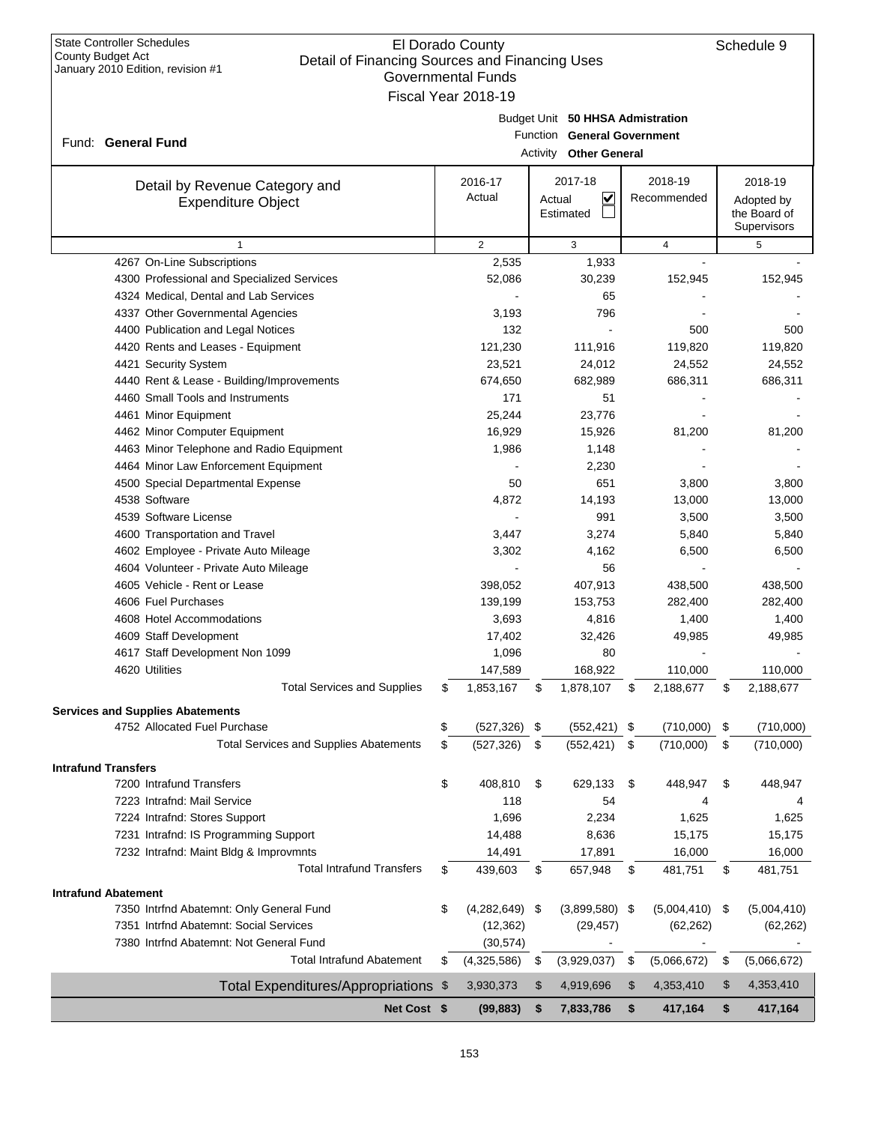| <b>State Controller Schedules</b><br>County Budget Act<br>Detail of Financing Sources and Financing Uses |          | El Dorado County          |        |                                  |                   | Schedule 9        |
|----------------------------------------------------------------------------------------------------------|----------|---------------------------|--------|----------------------------------|-------------------|-------------------|
| January 2010 Edition, revision #1                                                                        |          | <b>Governmental Funds</b> |        |                                  |                   |                   |
|                                                                                                          |          | Fiscal Year 2018-19       |        |                                  |                   |                   |
|                                                                                                          |          |                           |        |                                  |                   |                   |
|                                                                                                          |          |                           |        | Budget Unit 50 HHSA Admistration |                   |                   |
| Fund: General Fund                                                                                       |          |                           |        | Function General Government      |                   |                   |
|                                                                                                          |          |                           |        | <b>Activity Other General</b>    |                   |                   |
| Detail by Revenue Category and                                                                           |          | 2016-17                   |        | 2017-18                          | 2018-19           | 2018-19           |
| <b>Expenditure Object</b>                                                                                |          | Actual                    | Actual | V                                | Recommended       | Adopted by        |
|                                                                                                          |          |                           |        | Estimated                        |                   | the Board of      |
|                                                                                                          |          |                           |        |                                  |                   | Supervisors       |
| $\mathbf{1}$                                                                                             |          | 2                         |        | 3                                | 4                 | 5                 |
| 4267 On-Line Subscriptions                                                                               |          | 2,535                     |        | 1,933                            |                   |                   |
| 4300 Professional and Specialized Services                                                               |          | 52,086                    |        | 30,239                           | 152,945           | 152,945           |
| 4324 Medical, Dental and Lab Services                                                                    |          |                           |        | 65                               |                   |                   |
| 4337 Other Governmental Agencies                                                                         |          | 3,193                     |        | 796<br>$\overline{\phantom{a}}$  |                   |                   |
| 4400 Publication and Legal Notices                                                                       |          | 132                       |        |                                  | 500               | 500               |
| 4420 Rents and Leases - Equipment                                                                        |          | 121,230                   |        | 111,916                          | 119,820           | 119,820           |
| 4421 Security System<br>4440 Rent & Lease - Building/Improvements                                        |          | 23,521<br>674,650         |        | 24,012                           | 24,552<br>686,311 | 24,552<br>686,311 |
| 4460 Small Tools and Instruments                                                                         |          | 171                       |        | 682,989<br>51                    |                   |                   |
| 4461 Minor Equipment                                                                                     |          | 25,244                    |        | 23,776                           |                   |                   |
| 4462 Minor Computer Equipment                                                                            |          | 16,929                    |        | 15,926                           | 81,200            | 81,200            |
| 4463 Minor Telephone and Radio Equipment                                                                 |          | 1,986                     |        | 1,148                            |                   |                   |
| 4464 Minor Law Enforcement Equipment                                                                     |          |                           |        | 2,230                            |                   |                   |
| 4500 Special Departmental Expense                                                                        |          | 50                        |        | 651                              | 3,800             | 3,800             |
| 4538 Software                                                                                            |          | 4,872                     |        | 14,193                           | 13,000            | 13,000            |
| 4539 Software License                                                                                    |          |                           |        | 991                              | 3,500             | 3,500             |
| 4600 Transportation and Travel                                                                           |          | 3,447                     |        | 3,274                            | 5,840             | 5,840             |
| 4602 Employee - Private Auto Mileage                                                                     |          | 3,302                     |        | 4,162                            | 6,500             | 6,500             |
| 4604 Volunteer - Private Auto Mileage                                                                    |          |                           |        | 56                               |                   |                   |
| 4605 Vehicle - Rent or Lease                                                                             |          | 398,052                   |        | 407,913                          | 438,500           | 438,500           |
| 4606 Fuel Purchases                                                                                      |          | 139,199                   |        | 153,753                          | 282,400           | 282,400           |
| 4608 Hotel Accommodations                                                                                |          | 3,693                     |        | 4,816                            | 1,400             | 1,400             |
| 4609 Staff Development                                                                                   |          | 17,402                    |        | 32,426                           | 49,985            | 49,985            |
| 4617 Staff Development Non 1099                                                                          |          | 1,096                     |        | 80                               |                   |                   |
| 4620 Utilities                                                                                           |          | 147,589                   |        | 168,922                          | 110,000           | 110,000           |
| <b>Total Services and Supplies</b>                                                                       | \$       | 1,853,167                 | \$     | 1,878,107                        | \$<br>2,188,677   | \$<br>2,188,677   |
|                                                                                                          |          |                           |        |                                  |                   |                   |
| <b>Services and Supplies Abatements</b><br>4752 Allocated Fuel Purchase                                  |          | (527, 326)                |        |                                  |                   |                   |
| <b>Total Services and Supplies Abatements</b>                                                            | \$<br>\$ | (527, 326)                | \$     | $(552, 421)$ \$<br>(552, 421)    | (710,000)         | \$<br>(710,000)   |
|                                                                                                          |          |                           | \$     |                                  | \$<br>(710,000)   | \$<br>(710,000)   |
| <b>Intrafund Transfers</b>                                                                               |          |                           |        |                                  |                   |                   |
| 7200 Intrafund Transfers                                                                                 | \$       | 408,810                   | \$     | 629,133                          | \$<br>448,947     | \$<br>448,947     |
| 7223 Intrafnd: Mail Service                                                                              |          | 118                       |        | 54                               | 4                 | 4                 |
| 7224 Intrafnd: Stores Support                                                                            |          | 1,696                     |        | 2,234                            | 1,625             | 1,625             |
| 7231 Intrafnd: IS Programming Support                                                                    |          | 14,488                    |        | 8,636                            | 15,175            | 15,175            |
| 7232 Intrafnd: Maint Bldg & Improvmnts                                                                   |          | 14,491                    |        | 17,891                           | 16,000            | 16,000            |
| <b>Total Intrafund Transfers</b>                                                                         | \$       | 439,603                   | \$     | 657,948                          | \$<br>481,751     | \$<br>481,751     |
| <b>Intrafund Abatement</b>                                                                               |          |                           |        |                                  |                   |                   |
| 7350 Intrfnd Abatemnt: Only General Fund                                                                 | \$       | (4,282,649)               | - \$   | $(3,899,580)$ \$                 | (5,004,410)       | \$<br>(5,004,410) |
| 7351 Intrfnd Abatemnt: Social Services                                                                   |          | (12, 362)                 |        | (29, 457)                        | (62, 262)         | (62, 262)         |
| 7380 Intrfnd Abatemnt: Not General Fund                                                                  |          | (30, 574)                 |        |                                  |                   |                   |
| <b>Total Intrafund Abatement</b>                                                                         | \$       | (4,325,586)               | \$     | (3,929,037)                      | \$<br>(5,066,672) | \$<br>(5,066,672) |
| Total Expenditures/Appropriations \$                                                                     |          | 3,930,373                 | \$     | 4,919,696                        | \$<br>4,353,410   | \$<br>4,353,410   |
|                                                                                                          |          |                           |        |                                  |                   |                   |
| Net Cost \$                                                                                              |          | (99, 883)                 | \$     | 7,833,786                        | \$<br>417,164     | \$<br>417,164     |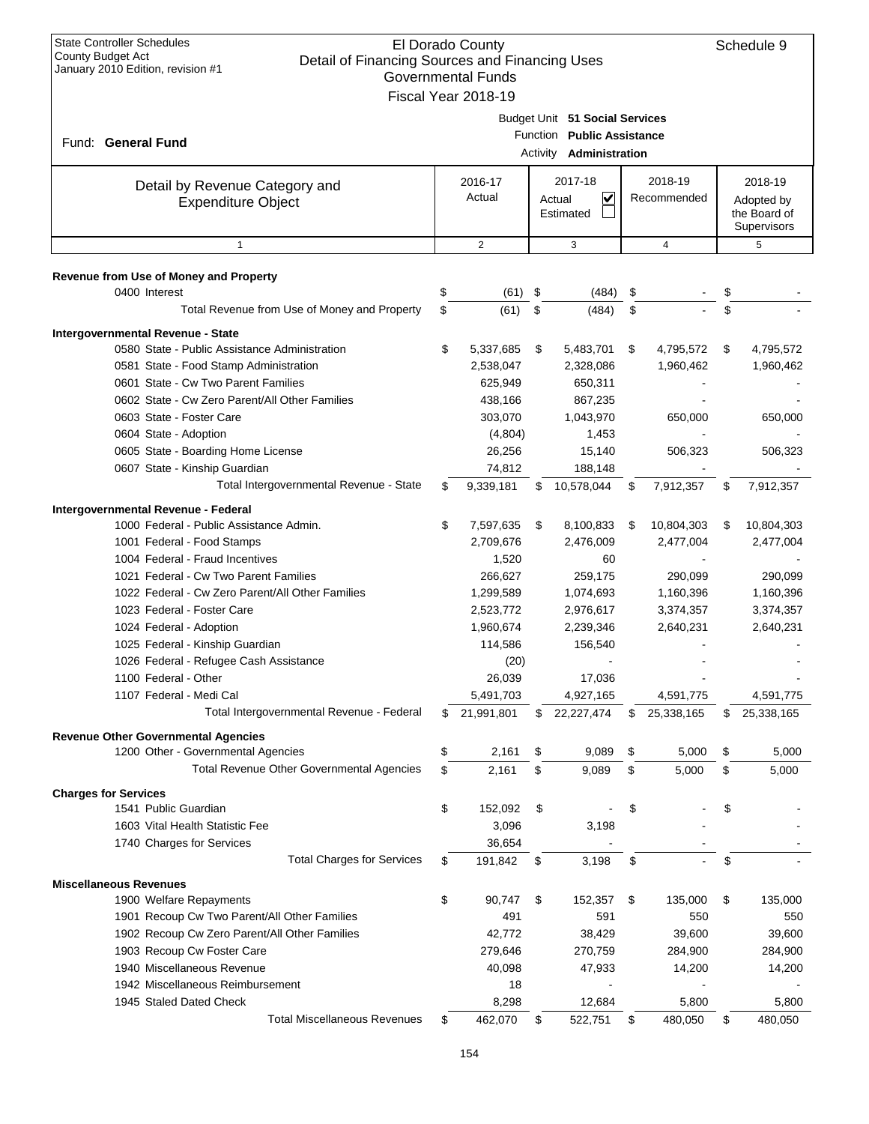| <b>State Controller Schedules</b><br>El Dorado County<br>County Budget Act<br>Detail of Financing Sources and Financing Uses<br>January 2010 Edition, revision #1<br><b>Governmental Funds</b><br>Fiscal Year 2018-19 |    |                                            |                                              |                                                |    |                         |    |                                                      |
|-----------------------------------------------------------------------------------------------------------------------------------------------------------------------------------------------------------------------|----|--------------------------------------------|----------------------------------------------|------------------------------------------------|----|-------------------------|----|------------------------------------------------------|
| Fund: General Fund                                                                                                                                                                                                    |    | Budget Unit 51 Social Services<br>Activity | Function Public Assistance<br>Administration |                                                |    |                         |    |                                                      |
| Detail by Revenue Category and<br><b>Expenditure Object</b>                                                                                                                                                           |    | 2016-17<br>Actual                          |                                              | 2017-18<br>$\checkmark$<br>Actual<br>Estimated |    | 2018-19<br>Recommended  |    | 2018-19<br>Adopted by<br>the Board of<br>Supervisors |
| $\mathbf{1}$                                                                                                                                                                                                          |    | $\overline{2}$                             |                                              | 3                                              |    | 4                       |    | 5                                                    |
| Revenue from Use of Money and Property<br>0400 Interest                                                                                                                                                               | \$ | (61)                                       | \$                                           | (484)                                          | \$ |                         | \$ |                                                      |
| Total Revenue from Use of Money and Property                                                                                                                                                                          | \$ | (61)                                       | \$                                           | (484)                                          | \$ |                         | \$ |                                                      |
| Intergovernmental Revenue - State<br>0580 State - Public Assistance Administration<br>0581 State - Food Stamp Administration<br>0601 State - Cw Two Parent Families                                                   | \$ | 5,337,685<br>2,538,047<br>625,949          | \$                                           | 5,483,701<br>2,328,086<br>650,311              | \$ | 4,795,572<br>1,960,462  | \$ | 4,795,572<br>1,960,462                               |
| 0602 State - Cw Zero Parent/All Other Families<br>0603 State - Foster Care<br>0604 State - Adoption                                                                                                                   |    | 438,166<br>303,070<br>(4,804)              |                                              | 867,235<br>1,043,970<br>1,453                  |    | 650,000                 |    | 650,000                                              |
| 0605 State - Boarding Home License<br>0607 State - Kinship Guardian<br>Total Intergovernmental Revenue - State                                                                                                        | S  | 26,256<br>74,812<br>9,339,181              | \$                                           | 15,140<br>188,148<br>10,578,044                | \$ | 506,323<br>7,912,357    | \$ | 506,323<br>7,912,357                                 |
|                                                                                                                                                                                                                       |    |                                            |                                              |                                                |    |                         |    |                                                      |
| Intergovernmental Revenue - Federal<br>1000 Federal - Public Assistance Admin.<br>1001 Federal - Food Stamps                                                                                                          | \$ | 7,597,635<br>2,709,676                     | \$                                           | 8,100,833<br>2,476,009                         | \$ | 10,804,303<br>2,477,004 | \$ | 10,804,303<br>2,477,004                              |
| 1004 Federal - Fraud Incentives                                                                                                                                                                                       |    | 1,520                                      |                                              | 60                                             |    |                         |    |                                                      |
| 1021 Federal - Cw Two Parent Families                                                                                                                                                                                 |    | 266,627                                    |                                              | 259,175                                        |    | 290,099                 |    | 290,099                                              |
| 1022 Federal - Cw Zero Parent/All Other Families                                                                                                                                                                      |    | 1,299,589                                  |                                              | 1,074,693                                      |    | 1,160,396               |    | 1,160,396                                            |
| 1023 Federal - Foster Care<br>1024 Federal - Adoption                                                                                                                                                                 |    | 2,523,772<br>1,960,674                     |                                              | 2,976,617<br>2,239,346                         |    | 3,374,357<br>2,640,231  |    | 3,374,357<br>2,640,231                               |
| 1025 Federal - Kinship Guardian                                                                                                                                                                                       |    | 114,586                                    |                                              | 156,540                                        |    |                         |    |                                                      |
| 1026 Federal - Refugee Cash Assistance                                                                                                                                                                                |    | (20)                                       |                                              |                                                |    |                         |    |                                                      |
| 1100 Federal - Other                                                                                                                                                                                                  |    | 26,039                                     |                                              | 17,036                                         |    |                         |    |                                                      |
| 1107 Federal - Medi Cal                                                                                                                                                                                               |    | 5,491,703                                  |                                              | 4,927,165                                      |    | 4,591,775               |    | 4,591,775                                            |
| Total Intergovernmental Revenue - Federal                                                                                                                                                                             | \$ | 21,991,801                                 | \$                                           | 22,227,474                                     | \$ | 25,338,165              | S. | 25,338,165                                           |
| <b>Revenue Other Governmental Agencies</b><br>1200 Other - Governmental Agencies                                                                                                                                      | \$ | 2,161                                      | \$                                           | 9,089                                          | \$ | 5,000                   | \$ | 5,000                                                |
| <b>Total Revenue Other Governmental Agencies</b>                                                                                                                                                                      | \$ | 2,161                                      | \$                                           | 9,089                                          | \$ | 5,000                   | \$ | 5,000                                                |
| <b>Charges for Services</b>                                                                                                                                                                                           |    |                                            |                                              |                                                |    |                         |    |                                                      |
| 1541 Public Guardian                                                                                                                                                                                                  | \$ | 152,092                                    | \$                                           |                                                | \$ |                         | \$ |                                                      |
| 1603 Vital Health Statistic Fee                                                                                                                                                                                       |    | 3,096                                      |                                              | 3,198                                          |    |                         |    |                                                      |
| 1740 Charges for Services                                                                                                                                                                                             |    | 36,654                                     |                                              |                                                |    |                         |    |                                                      |
| <b>Total Charges for Services</b>                                                                                                                                                                                     | S  | 191,842                                    | \$                                           | 3,198                                          | \$ |                         | \$ |                                                      |
| <b>Miscellaneous Revenues</b>                                                                                                                                                                                         |    |                                            |                                              |                                                |    |                         |    |                                                      |
| 1900 Welfare Repayments                                                                                                                                                                                               | \$ | 90,747                                     | \$                                           | 152,357                                        | \$ | 135,000                 | \$ | 135,000                                              |
| 1901 Recoup Cw Two Parent/All Other Families                                                                                                                                                                          |    | 491                                        |                                              | 591                                            |    | 550                     |    | 550                                                  |
| 1902 Recoup Cw Zero Parent/All Other Families                                                                                                                                                                         |    | 42,772                                     |                                              | 38,429                                         |    | 39,600                  |    | 39,600                                               |
| 1903 Recoup Cw Foster Care                                                                                                                                                                                            |    | 279,646                                    |                                              | 270,759                                        |    | 284,900                 |    | 284,900                                              |
| 1940 Miscellaneous Revenue                                                                                                                                                                                            |    | 40,098                                     |                                              | 47,933                                         |    | 14,200                  |    | 14,200                                               |
| 1942 Miscellaneous Reimbursement                                                                                                                                                                                      |    | 18                                         |                                              |                                                |    |                         |    |                                                      |
| 1945 Staled Dated Check<br><b>Total Miscellaneous Revenues</b>                                                                                                                                                        |    | 8,298                                      |                                              | 12,684                                         |    | 5,800                   |    | 5,800                                                |
|                                                                                                                                                                                                                       | \$ | 462,070                                    | \$                                           | 522,751                                        | \$ | 480,050                 | \$ | 480,050                                              |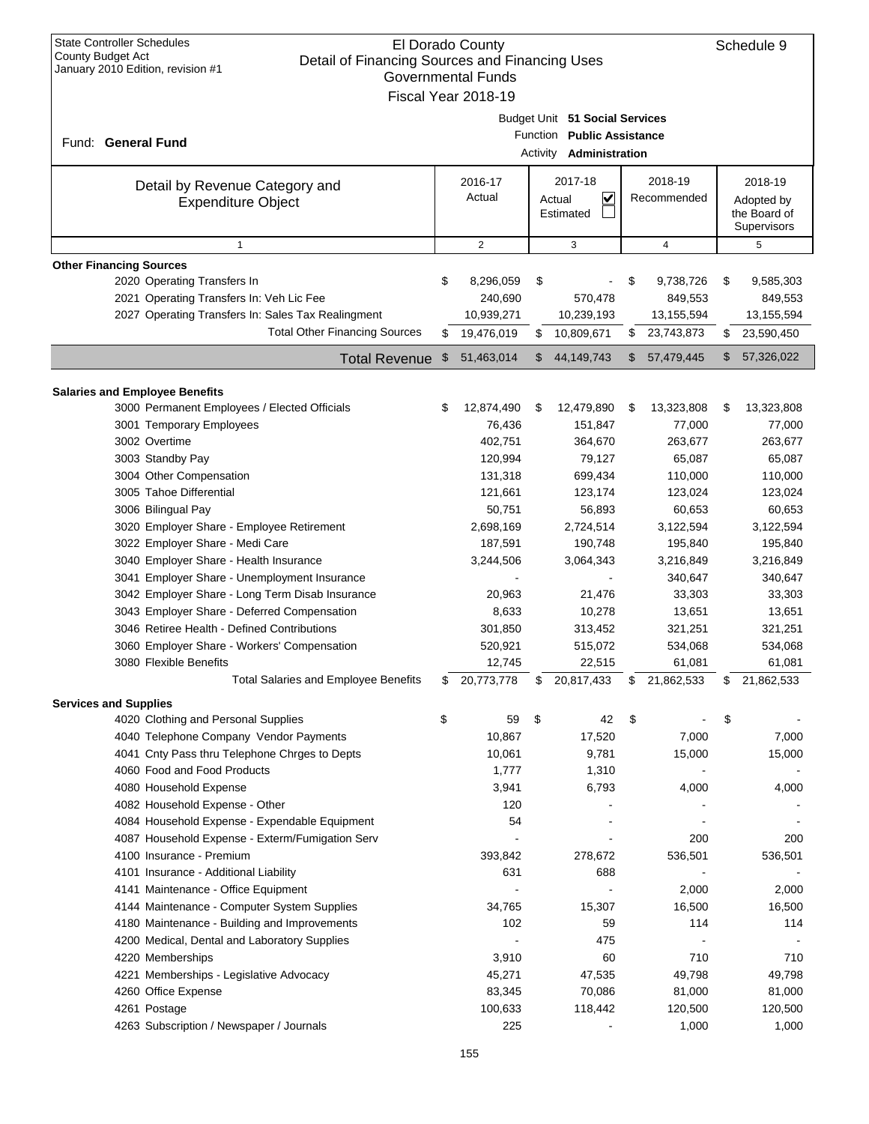| <b>State Controller Schedules</b><br>County Budget Act | El Dorado County<br>Detail of Financing Sources and Financing Uses |                     |    |                                |    |             |    |                            |  |
|--------------------------------------------------------|--------------------------------------------------------------------|---------------------|----|--------------------------------|----|-------------|----|----------------------------|--|
| January 2010 Edition, revision #1                      |                                                                    | Governmental Funds  |    |                                |    |             |    |                            |  |
|                                                        |                                                                    | Fiscal Year 2018-19 |    |                                |    |             |    |                            |  |
|                                                        |                                                                    |                     |    |                                |    |             |    |                            |  |
|                                                        |                                                                    |                     |    | Budget Unit 51 Social Services |    |             |    |                            |  |
| Fund: General Fund                                     |                                                                    |                     |    | Function Public Assistance     |    |             |    |                            |  |
|                                                        |                                                                    |                     |    | Activity <b>Administration</b> |    |             |    |                            |  |
|                                                        |                                                                    | 2016-17             |    | 2017-18                        |    | 2018-19     |    | 2018-19                    |  |
| Detail by Revenue Category and                         |                                                                    | Actual              |    | <u>V</u>                       |    | Recommended |    |                            |  |
| <b>Expenditure Object</b>                              |                                                                    |                     |    | Actual<br>Estimated            |    |             |    | Adopted by<br>the Board of |  |
|                                                        |                                                                    |                     |    |                                |    |             |    | Supervisors                |  |
| $\mathbf{1}$                                           |                                                                    | $\overline{c}$      |    | 3                              |    | 4           |    | 5                          |  |
| <b>Other Financing Sources</b>                         |                                                                    |                     |    |                                |    |             |    |                            |  |
| 2020 Operating Transfers In                            | \$                                                                 | 8,296,059           | \$ |                                | \$ | 9,738,726   | \$ | 9,585,303                  |  |
| 2021 Operating Transfers In: Veh Lic Fee               |                                                                    | 240,690             |    | 570,478                        |    | 849,553     |    | 849,553                    |  |
| 2027 Operating Transfers In: Sales Tax Realingment     |                                                                    | 10,939,271          |    | 10,239,193                     |    | 13,155,594  |    | 13,155,594                 |  |
| <b>Total Other Financing Sources</b>                   | \$                                                                 | 19,476,019          | \$ | 10,809,671                     |    |             |    |                            |  |
|                                                        |                                                                    |                     |    |                                | \$ | 23,743,873  | \$ | 23,590,450                 |  |
| <b>Total Revenue</b>                                   | \$                                                                 | 51,463,014          | \$ | 44,149,743                     | \$ | 57,479,445  | \$ | 57,326,022                 |  |
|                                                        |                                                                    |                     |    |                                |    |             |    |                            |  |
| <b>Salaries and Employee Benefits</b>                  |                                                                    |                     |    |                                |    |             |    |                            |  |
| 3000 Permanent Employees / Elected Officials           | \$                                                                 | 12,874,490          | \$ | 12,479,890                     | \$ | 13,323,808  | \$ | 13,323,808                 |  |
| 3001 Temporary Employees                               |                                                                    | 76,436              |    | 151,847                        |    | 77,000      |    | 77,000                     |  |
| 3002 Overtime                                          |                                                                    | 402,751             |    | 364,670                        |    | 263,677     |    | 263,677                    |  |
| 3003 Standby Pay                                       |                                                                    | 120,994             |    | 79,127                         |    | 65,087      |    | 65,087                     |  |
| 3004 Other Compensation                                |                                                                    | 131,318             |    | 699,434                        |    | 110,000     |    | 110,000                    |  |
| 3005 Tahoe Differential                                |                                                                    | 121,661             |    | 123,174                        |    | 123,024     |    | 123,024                    |  |
| 3006 Bilingual Pay                                     |                                                                    | 50,751              |    | 56,893                         |    | 60,653      |    | 60,653                     |  |
| 3020 Employer Share - Employee Retirement              |                                                                    | 2,698,169           |    | 2,724,514                      |    | 3,122,594   |    | 3,122,594                  |  |
| 3022 Employer Share - Medi Care                        |                                                                    | 187,591             |    | 190,748                        |    | 195,840     |    | 195,840                    |  |
| 3040 Employer Share - Health Insurance                 |                                                                    | 3,244,506           |    | 3,064,343                      |    | 3,216,849   |    | 3,216,849                  |  |
| 3041 Employer Share - Unemployment Insurance           |                                                                    |                     |    |                                |    | 340,647     |    | 340,647                    |  |
| 3042 Employer Share - Long Term Disab Insurance        |                                                                    | 20,963              |    | 21,476                         |    | 33,303      |    | 33,303                     |  |
| 3043 Employer Share - Deferred Compensation            |                                                                    | 8,633               |    | 10,278                         |    | 13,651      |    | 13,651                     |  |
| 3046 Retiree Health - Defined Contributions            |                                                                    | 301,850             |    | 313,452                        |    | 321,251     |    | 321,251                    |  |
| 3060 Employer Share - Workers' Compensation            |                                                                    | 520,921             |    | 515,072                        |    | 534,068     |    | 534,068                    |  |
| 3080 Flexible Benefits                                 |                                                                    | 12,745              |    | 22,515                         |    | 61,081      |    | 61,081                     |  |
| Total Salaries and Employee Benefits                   | S                                                                  | 20,773,778          | \$ | 20,817,433                     | \$ | 21,862,533  | \$ | 21,862,533                 |  |
|                                                        |                                                                    |                     |    |                                |    |             |    |                            |  |
| <b>Services and Supplies</b>                           |                                                                    |                     |    | 42                             |    |             |    |                            |  |
| 4020 Clothing and Personal Supplies                    | \$                                                                 | 59                  | \$ |                                | \$ |             | \$ |                            |  |
| 4040 Telephone Company Vendor Payments                 |                                                                    | 10,867              |    | 17,520                         |    | 7,000       |    | 7,000                      |  |
| 4041 Cnty Pass thru Telephone Chrges to Depts          |                                                                    | 10,061              |    | 9,781                          |    | 15,000      |    | 15,000                     |  |
| 4060 Food and Food Products                            |                                                                    | 1,777               |    | 1,310                          |    |             |    |                            |  |
| 4080 Household Expense                                 |                                                                    | 3,941               |    | 6,793                          |    | 4,000       |    | 4,000                      |  |
| 4082 Household Expense - Other                         |                                                                    | 120                 |    |                                |    |             |    |                            |  |
| 4084 Household Expense - Expendable Equipment          |                                                                    | 54                  |    |                                |    |             |    |                            |  |
| 4087 Household Expense - Exterm/Fumigation Serv        |                                                                    |                     |    |                                |    | 200         |    | 200                        |  |
| 4100 Insurance - Premium                               |                                                                    | 393,842             |    | 278,672                        |    | 536,501     |    | 536,501                    |  |
| 4101 Insurance - Additional Liability                  |                                                                    | 631                 |    | 688                            |    |             |    |                            |  |
| 4141 Maintenance - Office Equipment                    |                                                                    |                     |    |                                |    | 2,000       |    | 2,000                      |  |
| 4144 Maintenance - Computer System Supplies            |                                                                    | 34,765              |    | 15,307                         |    | 16,500      |    | 16,500                     |  |
| 4180 Maintenance - Building and Improvements           |                                                                    | 102                 |    | 59                             |    | 114         |    | 114                        |  |
| 4200 Medical, Dental and Laboratory Supplies           |                                                                    |                     |    | 475                            |    |             |    |                            |  |
| 4220 Memberships                                       |                                                                    | 3,910               |    | 60                             |    | 710         |    | 710                        |  |
| 4221 Memberships - Legislative Advocacy                |                                                                    | 45,271              |    | 47,535                         |    | 49,798      |    | 49,798                     |  |
| 4260 Office Expense                                    |                                                                    | 83,345              |    | 70,086                         |    | 81,000      |    | 81,000                     |  |
| 4261 Postage                                           |                                                                    | 100,633             |    | 118,442                        |    | 120,500     |    | 120,500                    |  |
| 4263 Subscription / Newspaper / Journals               |                                                                    | 225                 |    |                                |    | 1,000       |    | 1,000                      |  |
|                                                        |                                                                    |                     |    |                                |    |             |    |                            |  |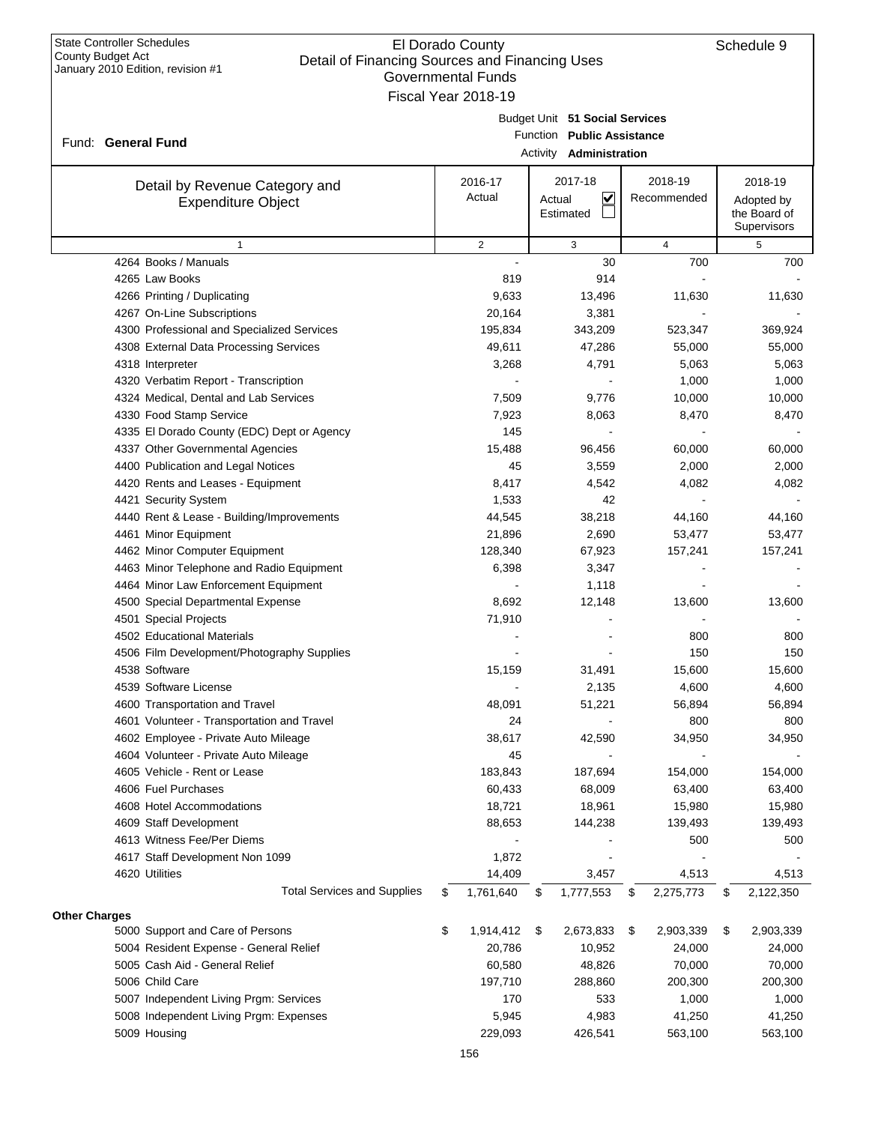| <b>State Controller Schedules</b><br>El Dorado County<br>County Budget Act<br>Detail of Financing Sources and Financing Uses<br>January 2010 Edition, revision #1<br>Governmental Funds<br>Fiscal Year 2018-19 |     |                   |                     |                                                                                                |    |                        |    | Schedule 9                                           |
|----------------------------------------------------------------------------------------------------------------------------------------------------------------------------------------------------------------|-----|-------------------|---------------------|------------------------------------------------------------------------------------------------|----|------------------------|----|------------------------------------------------------|
| Fund: General Fund                                                                                                                                                                                             |     |                   |                     | Budget Unit 51 Social Services<br>Function Public Assistance<br>Activity <b>Administration</b> |    |                        |    |                                                      |
| Detail by Revenue Category and<br><b>Expenditure Object</b>                                                                                                                                                    |     | 2016-17<br>Actual | Actual<br>Estimated | 2017-18<br>$\overline{\mathbf{v}}$                                                             |    | 2018-19<br>Recommended |    | 2018-19<br>Adopted by<br>the Board of<br>Supervisors |
| $\mathbf{1}$                                                                                                                                                                                                   |     | $\mathbf{2}$      |                     | 3                                                                                              |    | $\overline{4}$         |    | 5                                                    |
| 4264 Books / Manuals                                                                                                                                                                                           |     |                   |                     | 30                                                                                             |    | 700                    |    | 700                                                  |
| 4265 Law Books                                                                                                                                                                                                 |     | 819               |                     | 914                                                                                            |    |                        |    |                                                      |
| 4266 Printing / Duplicating                                                                                                                                                                                    |     | 9,633             |                     | 13,496                                                                                         |    | 11,630                 |    | 11,630                                               |
| 4267 On-Line Subscriptions                                                                                                                                                                                     |     | 20,164            |                     | 3,381                                                                                          |    |                        |    |                                                      |
| 4300 Professional and Specialized Services                                                                                                                                                                     |     | 195,834           |                     | 343,209                                                                                        |    | 523,347                |    | 369,924                                              |
| 4308 External Data Processing Services                                                                                                                                                                         |     | 49,611            |                     | 47,286                                                                                         |    | 55,000                 |    | 55,000                                               |
| 4318 Interpreter                                                                                                                                                                                               |     | 3,268             |                     | 4,791                                                                                          |    | 5,063                  |    | 5,063                                                |
| 4320 Verbatim Report - Transcription                                                                                                                                                                           |     |                   |                     |                                                                                                |    | 1,000                  |    | 1,000                                                |
| 4324 Medical, Dental and Lab Services                                                                                                                                                                          |     | 7,509             |                     | 9,776                                                                                          |    | 10,000                 |    | 10,000                                               |
| 4330 Food Stamp Service                                                                                                                                                                                        |     | 7,923             |                     | 8,063                                                                                          |    | 8,470                  |    | 8,470                                                |
| 4335 El Dorado County (EDC) Dept or Agency                                                                                                                                                                     |     | 145               |                     |                                                                                                |    |                        |    |                                                      |
| 4337 Other Governmental Agencies                                                                                                                                                                               |     | 15,488            |                     | 96,456                                                                                         |    | 60,000                 |    | 60,000                                               |
| 4400 Publication and Legal Notices                                                                                                                                                                             |     | 45<br>8,417       |                     | 3,559<br>4,542                                                                                 |    | 2,000<br>4,082         |    | 2,000<br>4,082                                       |
| 4420 Rents and Leases - Equipment                                                                                                                                                                              |     |                   |                     | 42                                                                                             |    |                        |    |                                                      |
| 4421 Security System                                                                                                                                                                                           |     | 1,533             |                     |                                                                                                |    |                        |    |                                                      |
| 4440 Rent & Lease - Building/Improvements                                                                                                                                                                      |     | 44,545            |                     | 38,218                                                                                         |    | 44,160                 |    | 44,160                                               |
| 4461 Minor Equipment                                                                                                                                                                                           |     | 21,896            |                     | 2,690                                                                                          |    | 53,477                 |    | 53,477                                               |
| 4462 Minor Computer Equipment                                                                                                                                                                                  |     | 128,340           |                     | 67,923                                                                                         |    | 157,241                |    | 157,241                                              |
| 4463 Minor Telephone and Radio Equipment                                                                                                                                                                       |     | 6,398             |                     | 3,347                                                                                          |    |                        |    |                                                      |
| 4464 Minor Law Enforcement Equipment                                                                                                                                                                           |     |                   |                     | 1,118                                                                                          |    |                        |    |                                                      |
| 4500 Special Departmental Expense                                                                                                                                                                              |     | 8,692             |                     | 12,148                                                                                         |    | 13,600                 |    | 13,600                                               |
| 4501 Special Projects<br>4502 Educational Materials                                                                                                                                                            |     | 71,910            |                     |                                                                                                |    |                        |    |                                                      |
| 4506 Film Development/Photography Supplies                                                                                                                                                                     |     |                   |                     |                                                                                                |    | 800<br>150             |    | 800<br>150                                           |
| 4538 Software                                                                                                                                                                                                  |     |                   |                     |                                                                                                |    |                        |    |                                                      |
| 4539 Software License                                                                                                                                                                                          |     | 15,159            |                     | 31,491                                                                                         |    | 15,600<br>4,600        |    | 15,600                                               |
| 4600 Transportation and Travel                                                                                                                                                                                 |     | 48,091            |                     | 2,135<br>51,221                                                                                |    | 56,894                 |    | 4,600<br>56,894                                      |
| 4601 Volunteer - Transportation and Travel                                                                                                                                                                     |     | 24                |                     |                                                                                                |    | 800                    |    | 800                                                  |
| 4602 Employee - Private Auto Mileage                                                                                                                                                                           |     | 38,617            |                     | 42,590                                                                                         |    | 34,950                 |    | 34,950                                               |
| 4604 Volunteer - Private Auto Mileage                                                                                                                                                                          |     | 45                |                     | $\overline{\phantom{a}}$                                                                       |    | $\blacksquare$         |    |                                                      |
| 4605 Vehicle - Rent or Lease                                                                                                                                                                                   |     | 183,843           |                     | 187,694                                                                                        |    | 154,000                |    | 154,000                                              |
| 4606 Fuel Purchases                                                                                                                                                                                            |     | 60,433            |                     | 68,009                                                                                         |    | 63,400                 |    | 63,400                                               |
| 4608 Hotel Accommodations                                                                                                                                                                                      |     | 18,721            |                     | 18,961                                                                                         |    | 15,980                 |    | 15,980                                               |
| 4609 Staff Development                                                                                                                                                                                         |     | 88,653            |                     | 144,238                                                                                        |    | 139,493                |    | 139,493                                              |
| 4613 Witness Fee/Per Diems                                                                                                                                                                                     |     |                   |                     |                                                                                                |    | 500                    |    | 500                                                  |
| 4617 Staff Development Non 1099                                                                                                                                                                                |     | 1,872             |                     |                                                                                                |    |                        |    |                                                      |
| 4620 Utilities                                                                                                                                                                                                 |     | 14,409            |                     | 3,457                                                                                          |    | 4,513                  |    | 4,513                                                |
| <b>Total Services and Supplies</b>                                                                                                                                                                             | S   | 1,761,640         | \$                  | 1,777,553                                                                                      | \$ | 2,275,773              | \$ | 2,122,350                                            |
|                                                                                                                                                                                                                |     |                   |                     |                                                                                                |    |                        |    |                                                      |
| <b>Other Charges</b>                                                                                                                                                                                           |     |                   |                     |                                                                                                |    |                        |    |                                                      |
| 5000 Support and Care of Persons                                                                                                                                                                               | \$  | 1,914,412         | \$                  | 2,673,833                                                                                      | \$ | 2,903,339              | \$ | 2,903,339                                            |
| 5004 Resident Expense - General Relief                                                                                                                                                                         |     | 20,786            |                     | 10,952                                                                                         |    | 24,000                 |    | 24,000                                               |
| 5005 Cash Aid - General Relief                                                                                                                                                                                 |     | 60,580            |                     | 48,826                                                                                         |    | 70,000                 |    | 70,000                                               |
| 5006 Child Care                                                                                                                                                                                                |     | 197,710           |                     | 288,860                                                                                        |    | 200,300                |    | 200,300                                              |
| 5007 Independent Living Prgm: Services                                                                                                                                                                         |     | 170               |                     | 533                                                                                            |    | 1,000                  |    | 1,000                                                |
| 5008 Independent Living Prgm: Expenses                                                                                                                                                                         |     | 5,945             |                     | 4,983                                                                                          |    | 41,250                 |    | 41,250                                               |
| 5009 Housing                                                                                                                                                                                                   |     | 229,093           |                     | 426,541                                                                                        |    | 563,100                |    | 563,100                                              |
|                                                                                                                                                                                                                | 156 |                   |                     |                                                                                                |    |                        |    |                                                      |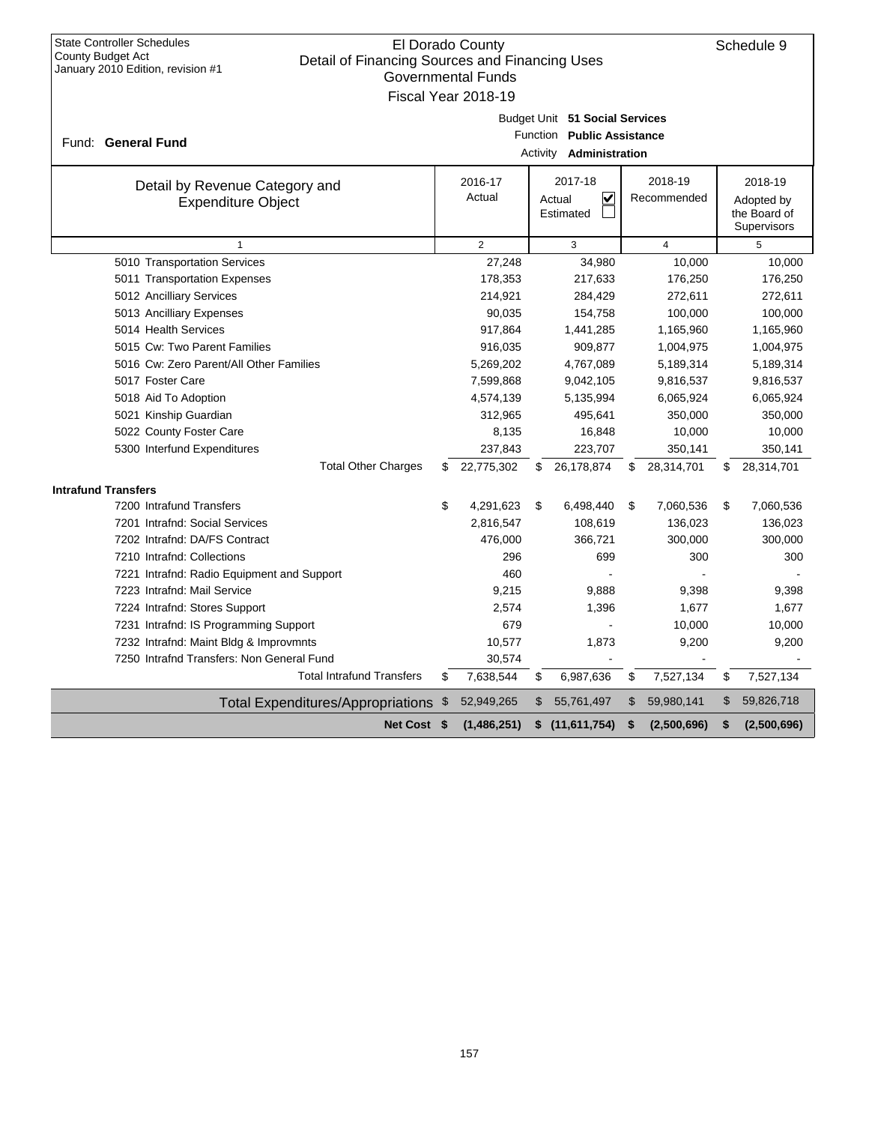| <b>State Controller Schedules</b><br>El Dorado County<br>Schedule 9<br>County Budget Act<br>Detail of Financing Sources and Financing Uses<br>January 2010 Edition, revision #1<br><b>Governmental Funds</b><br>Fiscal Year 2018-19 |    |                   |                      |                                                                              |    |                        |    |                                                      |  |
|-------------------------------------------------------------------------------------------------------------------------------------------------------------------------------------------------------------------------------------|----|-------------------|----------------------|------------------------------------------------------------------------------|----|------------------------|----|------------------------------------------------------|--|
| Fund: General Fund                                                                                                                                                                                                                  |    |                   | Function<br>Activity | Budget Unit 51 Social Services<br><b>Public Assistance</b><br>Administration |    |                        |    |                                                      |  |
| Detail by Revenue Category and<br><b>Expenditure Object</b>                                                                                                                                                                         |    | 2016-17<br>Actual |                      | 2017-18<br>✓<br>Actual<br>Estimated                                          |    | 2018-19<br>Recommended |    | 2018-19<br>Adopted by<br>the Board of<br>Supervisors |  |
| 1                                                                                                                                                                                                                                   |    | $\overline{2}$    |                      | 3                                                                            |    | $\overline{4}$         |    | 5                                                    |  |
| 5010 Transportation Services                                                                                                                                                                                                        |    | 27,248            |                      | 34,980                                                                       |    | 10,000                 |    | 10,000                                               |  |
| 5011 Transportation Expenses                                                                                                                                                                                                        |    | 178,353           |                      | 217,633                                                                      |    | 176,250                |    | 176,250                                              |  |
| 5012 Ancilliary Services                                                                                                                                                                                                            |    | 214,921           |                      | 284,429                                                                      |    | 272,611                |    | 272,611                                              |  |
| 5013 Ancilliary Expenses                                                                                                                                                                                                            |    | 90,035            |                      | 154,758                                                                      |    | 100,000                |    | 100,000                                              |  |
| 5014 Health Services                                                                                                                                                                                                                |    | 917,864           |                      | 1,441,285                                                                    |    | 1,165,960              |    | 1,165,960                                            |  |
| 5015 Cw: Two Parent Families                                                                                                                                                                                                        |    | 916,035           |                      | 909,877                                                                      |    | 1,004,975              |    | 1,004,975                                            |  |
| 5016 Cw: Zero Parent/All Other Families                                                                                                                                                                                             |    | 5,269,202         |                      | 4,767,089                                                                    |    | 5,189,314              |    | 5,189,314                                            |  |
| 5017 Foster Care                                                                                                                                                                                                                    |    | 7,599,868         |                      | 9,042,105                                                                    |    | 9,816,537              |    | 9,816,537                                            |  |
| 5018 Aid To Adoption                                                                                                                                                                                                                |    | 4,574,139         |                      | 5,135,994                                                                    |    | 6,065,924              |    | 6,065,924                                            |  |
| 5021 Kinship Guardian                                                                                                                                                                                                               |    | 312,965           |                      | 495,641                                                                      |    | 350,000                |    | 350,000                                              |  |
| 5022 County Foster Care                                                                                                                                                                                                             |    | 8,135             |                      | 16,848                                                                       |    | 10,000                 |    | 10,000                                               |  |
| 5300 Interfund Expenditures                                                                                                                                                                                                         |    | 237,843           |                      | 223,707                                                                      |    | 350,141                |    | 350,141                                              |  |
| <b>Total Other Charges</b>                                                                                                                                                                                                          | \$ | 22,775,302        | \$.                  | 26,178,874                                                                   | \$ | 28,314,701             | \$ | 28,314,701                                           |  |
| <b>Intrafund Transfers</b>                                                                                                                                                                                                          |    |                   |                      |                                                                              |    |                        |    |                                                      |  |
| 7200 Intrafund Transfers                                                                                                                                                                                                            | \$ | 4,291,623         | \$                   | 6,498,440                                                                    | \$ | 7,060,536              | \$ | 7,060,536                                            |  |
| 7201 Intrafnd: Social Services                                                                                                                                                                                                      |    | 2,816,547         |                      | 108,619                                                                      |    | 136,023                |    | 136,023                                              |  |
| 7202 Intrafnd: DA/FS Contract                                                                                                                                                                                                       |    | 476,000           |                      | 366,721                                                                      |    | 300,000                |    | 300,000                                              |  |
| 7210 Intrafnd: Collections                                                                                                                                                                                                          |    | 296               |                      | 699                                                                          |    | 300                    |    | 300                                                  |  |
| 7221 Intrafnd: Radio Equipment and Support                                                                                                                                                                                          |    | 460               |                      |                                                                              |    |                        |    |                                                      |  |
| 7223 Intrafnd: Mail Service                                                                                                                                                                                                         |    | 9,215             |                      | 9,888                                                                        |    | 9,398                  |    | 9,398                                                |  |
| 7224 Intrafnd: Stores Support                                                                                                                                                                                                       |    | 2,574             |                      | 1,396                                                                        |    | 1,677                  |    | 1,677                                                |  |
| 7231 Intrafnd: IS Programming Support                                                                                                                                                                                               |    | 679               |                      |                                                                              |    | 10,000                 |    | 10,000                                               |  |
| 7232 Intrafnd: Maint Bldg & Improvmnts                                                                                                                                                                                              |    | 10,577            |                      | 1,873                                                                        |    | 9,200                  |    | 9,200                                                |  |
| 7250 Intrafnd Transfers: Non General Fund                                                                                                                                                                                           |    | 30,574            |                      |                                                                              |    |                        |    |                                                      |  |
| <b>Total Intrafund Transfers</b>                                                                                                                                                                                                    | \$ | 7,638,544         | \$                   | 6,987,636                                                                    | \$ | 7,527,134              | \$ | 7,527,134                                            |  |
| <b>Total Expenditures/Appropriations</b>                                                                                                                                                                                            | \$ | 52,949,265        | \$                   | 55,761,497                                                                   | \$ | 59,980,141             | \$ | 59,826,718                                           |  |
| Net Cost \$                                                                                                                                                                                                                         |    | (1,486,251)       | \$                   | (11,611,754)                                                                 | S  | (2,500,696)            | \$ | (2,500,696)                                          |  |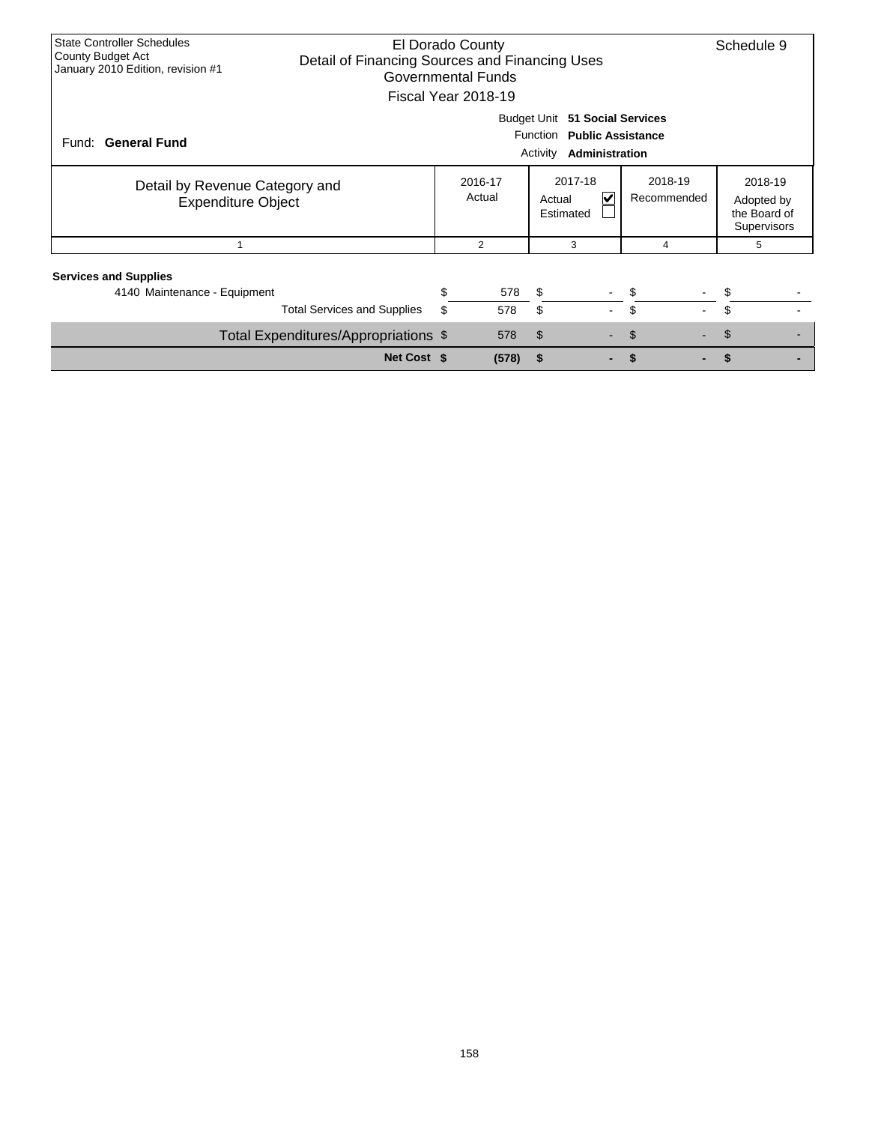| <b>State Controller Schedules</b> |                                                |    | El Dorado County   |                                |         |            | Schedule 9         |  |  |  |  |  |
|-----------------------------------|------------------------------------------------|----|--------------------|--------------------------------|---------|------------|--------------------|--|--|--|--|--|
| County Budget Act                 | Detail of Financing Sources and Financing Uses |    |                    |                                |         |            |                    |  |  |  |  |  |
| January 2010 Edition, revision #1 |                                                |    | Governmental Funds |                                |         |            |                    |  |  |  |  |  |
|                                   |                                                |    |                    |                                |         |            |                    |  |  |  |  |  |
| Fiscal Year 2018-19               |                                                |    |                    |                                |         |            |                    |  |  |  |  |  |
| Budget Unit 51 Social Services    |                                                |    |                    |                                |         |            |                    |  |  |  |  |  |
| Function Public Assistance        |                                                |    |                    |                                |         |            |                    |  |  |  |  |  |
| Fund: General Fund                |                                                |    |                    |                                |         |            |                    |  |  |  |  |  |
|                                   | Administration<br>Activity                     |    |                    |                                |         |            |                    |  |  |  |  |  |
|                                   |                                                |    | 2016-17            | 2017-18                        | 2018-19 |            | 2018-19            |  |  |  |  |  |
| Detail by Revenue Category and    |                                                |    |                    | $\blacktriangledown$<br>Actual |         |            |                    |  |  |  |  |  |
| <b>Expenditure Object</b>         |                                                |    | Actual             | Recommended                    |         | Adopted by |                    |  |  |  |  |  |
|                                   |                                                |    |                    | Estimated                      |         |            | the Board of       |  |  |  |  |  |
|                                   |                                                |    |                    |                                |         |            | <b>Supervisors</b> |  |  |  |  |  |
|                                   |                                                |    | $\overline{2}$     | 3                              | 4       |            | 5                  |  |  |  |  |  |
|                                   |                                                |    |                    |                                |         |            |                    |  |  |  |  |  |
| <b>Services and Supplies</b>      |                                                |    |                    |                                |         |            |                    |  |  |  |  |  |
| 4140 Maintenance - Equipment      |                                                | \$ | 578                | \$                             | \$      | \$         |                    |  |  |  |  |  |
|                                   | <b>Total Services and Supplies</b>             | \$ | 578                | \$                             | \$      |            |                    |  |  |  |  |  |
|                                   |                                                |    |                    |                                |         |            |                    |  |  |  |  |  |
|                                   | Total Expenditures/Appropriations \$           |    | 578                | \$                             | \$      | \$         |                    |  |  |  |  |  |
|                                   | Net Cost \$                                    |    | (578)              | \$                             | \$      |            |                    |  |  |  |  |  |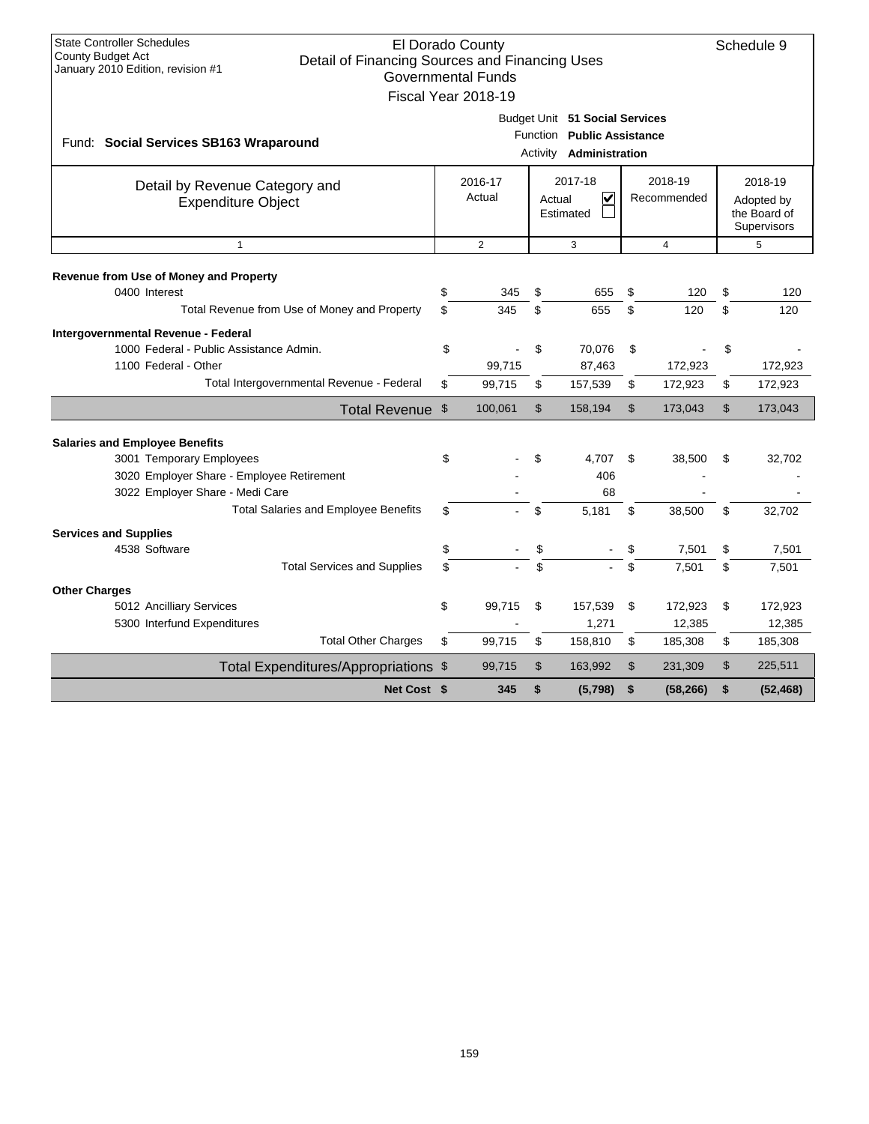| <b>State Controller Schedules</b><br>El Dorado County<br>Schedule 9<br>County Budget Act<br>Detail of Financing Sources and Financing Uses<br>January 2010 Edition, revision #1<br><b>Governmental Funds</b><br>Fiscal Year 2018-19 |          |                   |                |                                                                                                |                |                        |          |                                                      |  |  |
|-------------------------------------------------------------------------------------------------------------------------------------------------------------------------------------------------------------------------------------|----------|-------------------|----------------|------------------------------------------------------------------------------------------------|----------------|------------------------|----------|------------------------------------------------------|--|--|
| Fund: Social Services SB163 Wraparound                                                                                                                                                                                              |          |                   |                | Budget Unit 51 Social Services<br>Function Public Assistance<br>Activity <b>Administration</b> |                |                        |          |                                                      |  |  |
| Detail by Revenue Category and<br><b>Expenditure Object</b>                                                                                                                                                                         |          | 2016-17<br>Actual |                | 2017-18<br>$\overline{\mathbf{v}}$<br>Actual<br>Estimated                                      |                | 2018-19<br>Recommended |          | 2018-19<br>Adopted by<br>the Board of<br>Supervisors |  |  |
| $\mathbf{1}$                                                                                                                                                                                                                        |          | $\overline{2}$    |                | 3                                                                                              |                | $\overline{4}$         |          | 5                                                    |  |  |
| Revenue from Use of Money and Property<br>0400 Interest                                                                                                                                                                             | \$<br>\$ | 345               | \$<br>\$       | 655                                                                                            | \$<br>\$       | 120                    | \$<br>\$ | 120                                                  |  |  |
| Total Revenue from Use of Money and Property                                                                                                                                                                                        |          | 345               |                | 655                                                                                            |                | 120                    |          | 120                                                  |  |  |
| Intergovernmental Revenue - Federal<br>1000 Federal - Public Assistance Admin.<br>1100 Federal - Other                                                                                                                              | \$       | 99,715            | \$             | 70,076<br>87,463                                                                               | \$             | 172,923                | \$       | 172,923                                              |  |  |
| Total Intergovernmental Revenue - Federal                                                                                                                                                                                           | \$       | 99,715            | \$             | 157,539                                                                                        | \$             | 172,923                | \$       | 172,923                                              |  |  |
| Total Revenue \$                                                                                                                                                                                                                    |          | 100,061           | $\mathfrak{S}$ | 158,194                                                                                        | $\mathfrak{S}$ | 173,043                | \$       | 173,043                                              |  |  |
|                                                                                                                                                                                                                                     |          |                   |                |                                                                                                |                |                        |          |                                                      |  |  |
| <b>Salaries and Employee Benefits</b><br>3001 Temporary Employees                                                                                                                                                                   | \$       |                   | \$             | 4,707                                                                                          | \$             | 38.500                 | \$       | 32,702                                               |  |  |
| 3020 Employer Share - Employee Retirement                                                                                                                                                                                           |          |                   |                | 406                                                                                            |                |                        |          |                                                      |  |  |
| 3022 Employer Share - Medi Care                                                                                                                                                                                                     |          |                   |                | 68                                                                                             |                |                        |          |                                                      |  |  |
| <b>Total Salaries and Employee Benefits</b>                                                                                                                                                                                         | \$       |                   | \$             | 5,181                                                                                          | \$             | 38,500                 | \$       | 32,702                                               |  |  |
| <b>Services and Supplies</b>                                                                                                                                                                                                        |          |                   |                |                                                                                                |                |                        |          |                                                      |  |  |
| 4538 Software                                                                                                                                                                                                                       | \$       |                   | \$             |                                                                                                | \$             | 7,501                  | \$       | 7,501                                                |  |  |
| <b>Total Services and Supplies</b>                                                                                                                                                                                                  | \$       |                   | \$             |                                                                                                | \$             | 7,501                  | \$       | 7,501                                                |  |  |
|                                                                                                                                                                                                                                     |          |                   |                |                                                                                                |                |                        |          |                                                      |  |  |
| <b>Other Charges</b><br>5012 Ancilliary Services                                                                                                                                                                                    | \$       | 99,715            | \$             | 157,539                                                                                        | \$             | 172,923                | \$       | 172,923                                              |  |  |
| 5300 Interfund Expenditures                                                                                                                                                                                                         |          |                   |                | 1,271                                                                                          |                | 12,385                 |          | 12,385                                               |  |  |
| <b>Total Other Charges</b>                                                                                                                                                                                                          | \$       | 99.715            | \$             | 158,810                                                                                        | \$             | 185,308                | \$       | 185,308                                              |  |  |
| Total Expenditures/Appropriations \$                                                                                                                                                                                                |          | 99,715            | \$             | 163,992                                                                                        | \$             | 231,309                | \$       | 225,511                                              |  |  |
| Net Cost \$                                                                                                                                                                                                                         |          | 345               | \$             | (5,798)                                                                                        | \$             | (58, 266)              | \$       | (52, 468)                                            |  |  |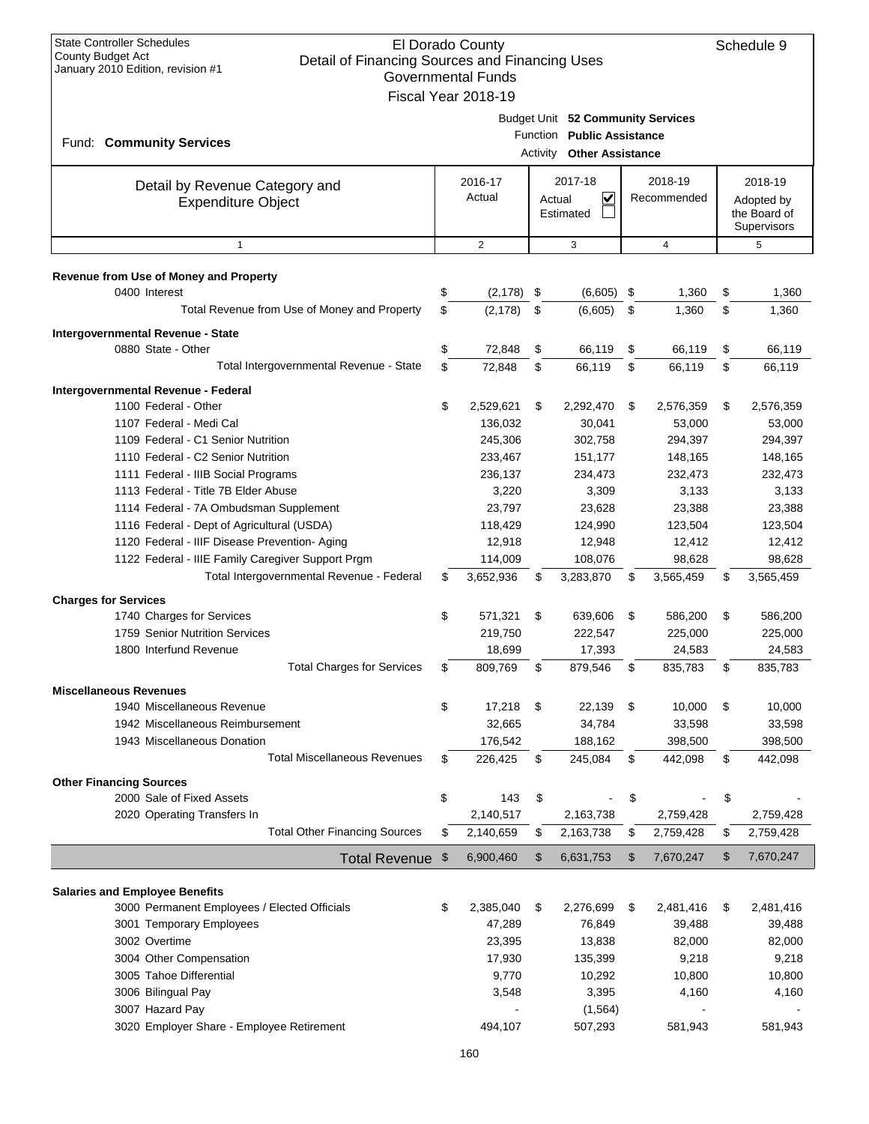| Budget Unit 52 Community Services<br>Function Public Assistance<br>Fund: Community Services<br>Activity<br><b>Other Assistance</b><br>2016-17<br>2017-18<br>2018-19<br>2018-19<br>Detail by Revenue Category and<br>Actual<br>V<br>Recommended<br>Actual<br>Adopted by<br><b>Expenditure Object</b><br>the Board of<br>Estimated<br>Supervisors<br>$\overline{2}$<br>3<br>$\overline{4}$<br>$\mathbf{1}$<br>5<br>Revenue from Use of Money and Property<br>0400 Interest<br>\$<br>\$<br>(2, 178)<br>(6,605)<br>\$<br>1,360<br>\$<br>1,360<br>Total Revenue from Use of Money and Property<br>\$<br>(2, 178)<br>\$<br>(6,605)<br>\$<br>1,360<br>\$<br>1,360<br>Intergovernmental Revenue - State<br>0880 State - Other<br>\$<br>72,848<br>\$<br>66,119<br>66,119<br>\$<br>66,119<br>\$<br>Total Intergovernmental Revenue - State<br>\$<br>\$<br>66,119<br>\$<br>\$<br>72,848<br>66,119<br>66,119<br>Intergovernmental Revenue - Federal<br>\$<br>1100 Federal - Other<br>2,529,621<br>\$<br>\$<br>2,292,470<br>\$<br>2,576,359<br>2,576,359<br>1107 Federal - Medi Cal<br>136,032<br>30,041<br>53,000<br>53,000<br>1109 Federal - C1 Senior Nutrition<br>245,306<br>302,758<br>294,397<br>294,397<br>1110 Federal - C2 Senior Nutrition<br>233,467<br>151,177<br>148,165<br>148,165<br>1111 Federal - IIIB Social Programs<br>236,137<br>232,473<br>232,473<br>234,473<br>1113 Federal - Title 7B Elder Abuse<br>3,220<br>3,309<br>3,133<br>3,133<br>23,797<br>1114 Federal - 7A Ombudsman Supplement<br>23,628<br>23,388<br>23,388<br>1116 Federal - Dept of Agricultural (USDA)<br>118,429<br>124,990<br>123,504<br>123,504<br>1120 Federal - IIIF Disease Prevention- Aging<br>12,918<br>12,948<br>12,412<br>12,412<br>1122 Federal - IIIE Family Caregiver Support Prgm<br>114,009<br>108,076<br>98,628<br>98,628<br>Total Intergovernmental Revenue - Federal<br>\$<br>3,652,936<br>3,283,870<br>\$<br>3,565,459<br>3,565,459<br>\$<br>\$<br><b>Charges for Services</b><br>\$<br>571,321<br>\$<br>639,606<br>\$<br>586,200<br>586,200<br>1740 Charges for Services<br>\$<br>1759 Senior Nutrition Services<br>219,750<br>222,547<br>225,000<br>225,000<br>1800 Interfund Revenue<br>18,699<br>17,393<br>24,583<br>24,583<br><b>Total Charges for Services</b><br>\$<br>\$<br>\$<br>\$<br>879,546<br>809,769<br>835,783<br>835,783<br><b>Miscellaneous Revenues</b><br>\$<br>1940 Miscellaneous Revenue<br>17,218<br>\$<br>22,139<br>\$<br>\$<br>10,000<br>10,000<br>34,784<br>1942 Miscellaneous Reimbursement<br>32,665<br>33,598<br>33,598<br>1943 Miscellaneous Donation<br>176,542<br>188,162<br>398,500<br>398,500<br><b>Total Miscellaneous Revenues</b><br>\$<br>226,425<br>\$<br>245,084<br>442,098<br>442,098<br>\$<br>\$<br><b>Other Financing Sources</b><br>\$<br>\$<br>\$<br>\$<br>2000 Sale of Fixed Assets<br>143<br>2020 Operating Transfers In<br>2,140,517<br>2,759,428<br>2,163,738<br>2,759,428<br><b>Total Other Financing Sources</b><br>2,140,659<br>\$<br>2,163,738<br>2,759,428<br>2,759,428<br>\$<br>\$<br>\$<br>6,900,460<br>\$<br>\$<br>\$<br>7,670,247<br>Total Revenue \$<br>6,631,753<br>7,670,247<br><b>Salaries and Employee Benefits</b><br>3000 Permanent Employees / Elected Officials<br>\$<br>2,385,040<br>\$<br>2,276,699<br>2,481,416<br>2,481,416<br>\$<br>\$<br>3001 Temporary Employees<br>47,289<br>76,849<br>39,488<br>39,488<br>3002 Overtime<br>23,395<br>13,838<br>82,000<br>82,000<br>3004 Other Compensation<br>17,930<br>135,399<br>9,218<br>9,218<br>3005 Tahoe Differential<br>9,770<br>10,292<br>10,800<br>10,800<br>3006 Bilingual Pay<br>3,548<br>3,395<br>4,160<br>4,160<br>3007 Hazard Pay<br>(1, 564)<br>3020 Employer Share - Employee Retirement<br>581,943<br>494,107<br>507,293<br>581,943 | <b>State Controller Schedules</b><br>El Dorado County<br><b>County Budget Act</b><br>Detail of Financing Sources and Financing Uses<br>January 2010 Edition, revision #1<br><b>Governmental Funds</b><br>Fiscal Year 2018-19 |  |  |  |  |  |  |  |  |  |
|-----------------------------------------------------------------------------------------------------------------------------------------------------------------------------------------------------------------------------------------------------------------------------------------------------------------------------------------------------------------------------------------------------------------------------------------------------------------------------------------------------------------------------------------------------------------------------------------------------------------------------------------------------------------------------------------------------------------------------------------------------------------------------------------------------------------------------------------------------------------------------------------------------------------------------------------------------------------------------------------------------------------------------------------------------------------------------------------------------------------------------------------------------------------------------------------------------------------------------------------------------------------------------------------------------------------------------------------------------------------------------------------------------------------------------------------------------------------------------------------------------------------------------------------------------------------------------------------------------------------------------------------------------------------------------------------------------------------------------------------------------------------------------------------------------------------------------------------------------------------------------------------------------------------------------------------------------------------------------------------------------------------------------------------------------------------------------------------------------------------------------------------------------------------------------------------------------------------------------------------------------------------------------------------------------------------------------------------------------------------------------------------------------------------------------------------------------------------------------------------------------------------------------------------------------------------------------------------------------------------------------------------------------------------------------------------------------------------------------------------------------------------------------------------------------------------------------------------------------------------------------------------------------------------------------------------------------------------------------------------------------------------------------------------------------------------------------------------------------------------------------------------------------------------------------------------------------------------------------------------------------------------------------------------------------------------------------------------------------------------------------------------------------------------------------------------------------------------------------------------------------------------------------------------------------------------------------------------------------------------------------------------------------------------------------------------------------------------------------------------------------------------|------------------------------------------------------------------------------------------------------------------------------------------------------------------------------------------------------------------------------|--|--|--|--|--|--|--|--|--|
|                                                                                                                                                                                                                                                                                                                                                                                                                                                                                                                                                                                                                                                                                                                                                                                                                                                                                                                                                                                                                                                                                                                                                                                                                                                                                                                                                                                                                                                                                                                                                                                                                                                                                                                                                                                                                                                                                                                                                                                                                                                                                                                                                                                                                                                                                                                                                                                                                                                                                                                                                                                                                                                                                                                                                                                                                                                                                                                                                                                                                                                                                                                                                                                                                                                                                                                                                                                                                                                                                                                                                                                                                                                                                                                                                                 |                                                                                                                                                                                                                              |  |  |  |  |  |  |  |  |  |
|                                                                                                                                                                                                                                                                                                                                                                                                                                                                                                                                                                                                                                                                                                                                                                                                                                                                                                                                                                                                                                                                                                                                                                                                                                                                                                                                                                                                                                                                                                                                                                                                                                                                                                                                                                                                                                                                                                                                                                                                                                                                                                                                                                                                                                                                                                                                                                                                                                                                                                                                                                                                                                                                                                                                                                                                                                                                                                                                                                                                                                                                                                                                                                                                                                                                                                                                                                                                                                                                                                                                                                                                                                                                                                                                                                 |                                                                                                                                                                                                                              |  |  |  |  |  |  |  |  |  |
|                                                                                                                                                                                                                                                                                                                                                                                                                                                                                                                                                                                                                                                                                                                                                                                                                                                                                                                                                                                                                                                                                                                                                                                                                                                                                                                                                                                                                                                                                                                                                                                                                                                                                                                                                                                                                                                                                                                                                                                                                                                                                                                                                                                                                                                                                                                                                                                                                                                                                                                                                                                                                                                                                                                                                                                                                                                                                                                                                                                                                                                                                                                                                                                                                                                                                                                                                                                                                                                                                                                                                                                                                                                                                                                                                                 |                                                                                                                                                                                                                              |  |  |  |  |  |  |  |  |  |
|                                                                                                                                                                                                                                                                                                                                                                                                                                                                                                                                                                                                                                                                                                                                                                                                                                                                                                                                                                                                                                                                                                                                                                                                                                                                                                                                                                                                                                                                                                                                                                                                                                                                                                                                                                                                                                                                                                                                                                                                                                                                                                                                                                                                                                                                                                                                                                                                                                                                                                                                                                                                                                                                                                                                                                                                                                                                                                                                                                                                                                                                                                                                                                                                                                                                                                                                                                                                                                                                                                                                                                                                                                                                                                                                                                 |                                                                                                                                                                                                                              |  |  |  |  |  |  |  |  |  |
|                                                                                                                                                                                                                                                                                                                                                                                                                                                                                                                                                                                                                                                                                                                                                                                                                                                                                                                                                                                                                                                                                                                                                                                                                                                                                                                                                                                                                                                                                                                                                                                                                                                                                                                                                                                                                                                                                                                                                                                                                                                                                                                                                                                                                                                                                                                                                                                                                                                                                                                                                                                                                                                                                                                                                                                                                                                                                                                                                                                                                                                                                                                                                                                                                                                                                                                                                                                                                                                                                                                                                                                                                                                                                                                                                                 |                                                                                                                                                                                                                              |  |  |  |  |  |  |  |  |  |
|                                                                                                                                                                                                                                                                                                                                                                                                                                                                                                                                                                                                                                                                                                                                                                                                                                                                                                                                                                                                                                                                                                                                                                                                                                                                                                                                                                                                                                                                                                                                                                                                                                                                                                                                                                                                                                                                                                                                                                                                                                                                                                                                                                                                                                                                                                                                                                                                                                                                                                                                                                                                                                                                                                                                                                                                                                                                                                                                                                                                                                                                                                                                                                                                                                                                                                                                                                                                                                                                                                                                                                                                                                                                                                                                                                 |                                                                                                                                                                                                                              |  |  |  |  |  |  |  |  |  |
|                                                                                                                                                                                                                                                                                                                                                                                                                                                                                                                                                                                                                                                                                                                                                                                                                                                                                                                                                                                                                                                                                                                                                                                                                                                                                                                                                                                                                                                                                                                                                                                                                                                                                                                                                                                                                                                                                                                                                                                                                                                                                                                                                                                                                                                                                                                                                                                                                                                                                                                                                                                                                                                                                                                                                                                                                                                                                                                                                                                                                                                                                                                                                                                                                                                                                                                                                                                                                                                                                                                                                                                                                                                                                                                                                                 |                                                                                                                                                                                                                              |  |  |  |  |  |  |  |  |  |
|                                                                                                                                                                                                                                                                                                                                                                                                                                                                                                                                                                                                                                                                                                                                                                                                                                                                                                                                                                                                                                                                                                                                                                                                                                                                                                                                                                                                                                                                                                                                                                                                                                                                                                                                                                                                                                                                                                                                                                                                                                                                                                                                                                                                                                                                                                                                                                                                                                                                                                                                                                                                                                                                                                                                                                                                                                                                                                                                                                                                                                                                                                                                                                                                                                                                                                                                                                                                                                                                                                                                                                                                                                                                                                                                                                 |                                                                                                                                                                                                                              |  |  |  |  |  |  |  |  |  |
|                                                                                                                                                                                                                                                                                                                                                                                                                                                                                                                                                                                                                                                                                                                                                                                                                                                                                                                                                                                                                                                                                                                                                                                                                                                                                                                                                                                                                                                                                                                                                                                                                                                                                                                                                                                                                                                                                                                                                                                                                                                                                                                                                                                                                                                                                                                                                                                                                                                                                                                                                                                                                                                                                                                                                                                                                                                                                                                                                                                                                                                                                                                                                                                                                                                                                                                                                                                                                                                                                                                                                                                                                                                                                                                                                                 |                                                                                                                                                                                                                              |  |  |  |  |  |  |  |  |  |
|                                                                                                                                                                                                                                                                                                                                                                                                                                                                                                                                                                                                                                                                                                                                                                                                                                                                                                                                                                                                                                                                                                                                                                                                                                                                                                                                                                                                                                                                                                                                                                                                                                                                                                                                                                                                                                                                                                                                                                                                                                                                                                                                                                                                                                                                                                                                                                                                                                                                                                                                                                                                                                                                                                                                                                                                                                                                                                                                                                                                                                                                                                                                                                                                                                                                                                                                                                                                                                                                                                                                                                                                                                                                                                                                                                 |                                                                                                                                                                                                                              |  |  |  |  |  |  |  |  |  |
|                                                                                                                                                                                                                                                                                                                                                                                                                                                                                                                                                                                                                                                                                                                                                                                                                                                                                                                                                                                                                                                                                                                                                                                                                                                                                                                                                                                                                                                                                                                                                                                                                                                                                                                                                                                                                                                                                                                                                                                                                                                                                                                                                                                                                                                                                                                                                                                                                                                                                                                                                                                                                                                                                                                                                                                                                                                                                                                                                                                                                                                                                                                                                                                                                                                                                                                                                                                                                                                                                                                                                                                                                                                                                                                                                                 |                                                                                                                                                                                                                              |  |  |  |  |  |  |  |  |  |
|                                                                                                                                                                                                                                                                                                                                                                                                                                                                                                                                                                                                                                                                                                                                                                                                                                                                                                                                                                                                                                                                                                                                                                                                                                                                                                                                                                                                                                                                                                                                                                                                                                                                                                                                                                                                                                                                                                                                                                                                                                                                                                                                                                                                                                                                                                                                                                                                                                                                                                                                                                                                                                                                                                                                                                                                                                                                                                                                                                                                                                                                                                                                                                                                                                                                                                                                                                                                                                                                                                                                                                                                                                                                                                                                                                 |                                                                                                                                                                                                                              |  |  |  |  |  |  |  |  |  |
|                                                                                                                                                                                                                                                                                                                                                                                                                                                                                                                                                                                                                                                                                                                                                                                                                                                                                                                                                                                                                                                                                                                                                                                                                                                                                                                                                                                                                                                                                                                                                                                                                                                                                                                                                                                                                                                                                                                                                                                                                                                                                                                                                                                                                                                                                                                                                                                                                                                                                                                                                                                                                                                                                                                                                                                                                                                                                                                                                                                                                                                                                                                                                                                                                                                                                                                                                                                                                                                                                                                                                                                                                                                                                                                                                                 |                                                                                                                                                                                                                              |  |  |  |  |  |  |  |  |  |
|                                                                                                                                                                                                                                                                                                                                                                                                                                                                                                                                                                                                                                                                                                                                                                                                                                                                                                                                                                                                                                                                                                                                                                                                                                                                                                                                                                                                                                                                                                                                                                                                                                                                                                                                                                                                                                                                                                                                                                                                                                                                                                                                                                                                                                                                                                                                                                                                                                                                                                                                                                                                                                                                                                                                                                                                                                                                                                                                                                                                                                                                                                                                                                                                                                                                                                                                                                                                                                                                                                                                                                                                                                                                                                                                                                 |                                                                                                                                                                                                                              |  |  |  |  |  |  |  |  |  |
|                                                                                                                                                                                                                                                                                                                                                                                                                                                                                                                                                                                                                                                                                                                                                                                                                                                                                                                                                                                                                                                                                                                                                                                                                                                                                                                                                                                                                                                                                                                                                                                                                                                                                                                                                                                                                                                                                                                                                                                                                                                                                                                                                                                                                                                                                                                                                                                                                                                                                                                                                                                                                                                                                                                                                                                                                                                                                                                                                                                                                                                                                                                                                                                                                                                                                                                                                                                                                                                                                                                                                                                                                                                                                                                                                                 |                                                                                                                                                                                                                              |  |  |  |  |  |  |  |  |  |
|                                                                                                                                                                                                                                                                                                                                                                                                                                                                                                                                                                                                                                                                                                                                                                                                                                                                                                                                                                                                                                                                                                                                                                                                                                                                                                                                                                                                                                                                                                                                                                                                                                                                                                                                                                                                                                                                                                                                                                                                                                                                                                                                                                                                                                                                                                                                                                                                                                                                                                                                                                                                                                                                                                                                                                                                                                                                                                                                                                                                                                                                                                                                                                                                                                                                                                                                                                                                                                                                                                                                                                                                                                                                                                                                                                 |                                                                                                                                                                                                                              |  |  |  |  |  |  |  |  |  |
|                                                                                                                                                                                                                                                                                                                                                                                                                                                                                                                                                                                                                                                                                                                                                                                                                                                                                                                                                                                                                                                                                                                                                                                                                                                                                                                                                                                                                                                                                                                                                                                                                                                                                                                                                                                                                                                                                                                                                                                                                                                                                                                                                                                                                                                                                                                                                                                                                                                                                                                                                                                                                                                                                                                                                                                                                                                                                                                                                                                                                                                                                                                                                                                                                                                                                                                                                                                                                                                                                                                                                                                                                                                                                                                                                                 |                                                                                                                                                                                                                              |  |  |  |  |  |  |  |  |  |
|                                                                                                                                                                                                                                                                                                                                                                                                                                                                                                                                                                                                                                                                                                                                                                                                                                                                                                                                                                                                                                                                                                                                                                                                                                                                                                                                                                                                                                                                                                                                                                                                                                                                                                                                                                                                                                                                                                                                                                                                                                                                                                                                                                                                                                                                                                                                                                                                                                                                                                                                                                                                                                                                                                                                                                                                                                                                                                                                                                                                                                                                                                                                                                                                                                                                                                                                                                                                                                                                                                                                                                                                                                                                                                                                                                 |                                                                                                                                                                                                                              |  |  |  |  |  |  |  |  |  |
|                                                                                                                                                                                                                                                                                                                                                                                                                                                                                                                                                                                                                                                                                                                                                                                                                                                                                                                                                                                                                                                                                                                                                                                                                                                                                                                                                                                                                                                                                                                                                                                                                                                                                                                                                                                                                                                                                                                                                                                                                                                                                                                                                                                                                                                                                                                                                                                                                                                                                                                                                                                                                                                                                                                                                                                                                                                                                                                                                                                                                                                                                                                                                                                                                                                                                                                                                                                                                                                                                                                                                                                                                                                                                                                                                                 |                                                                                                                                                                                                                              |  |  |  |  |  |  |  |  |  |
|                                                                                                                                                                                                                                                                                                                                                                                                                                                                                                                                                                                                                                                                                                                                                                                                                                                                                                                                                                                                                                                                                                                                                                                                                                                                                                                                                                                                                                                                                                                                                                                                                                                                                                                                                                                                                                                                                                                                                                                                                                                                                                                                                                                                                                                                                                                                                                                                                                                                                                                                                                                                                                                                                                                                                                                                                                                                                                                                                                                                                                                                                                                                                                                                                                                                                                                                                                                                                                                                                                                                                                                                                                                                                                                                                                 |                                                                                                                                                                                                                              |  |  |  |  |  |  |  |  |  |
|                                                                                                                                                                                                                                                                                                                                                                                                                                                                                                                                                                                                                                                                                                                                                                                                                                                                                                                                                                                                                                                                                                                                                                                                                                                                                                                                                                                                                                                                                                                                                                                                                                                                                                                                                                                                                                                                                                                                                                                                                                                                                                                                                                                                                                                                                                                                                                                                                                                                                                                                                                                                                                                                                                                                                                                                                                                                                                                                                                                                                                                                                                                                                                                                                                                                                                                                                                                                                                                                                                                                                                                                                                                                                                                                                                 |                                                                                                                                                                                                                              |  |  |  |  |  |  |  |  |  |
|                                                                                                                                                                                                                                                                                                                                                                                                                                                                                                                                                                                                                                                                                                                                                                                                                                                                                                                                                                                                                                                                                                                                                                                                                                                                                                                                                                                                                                                                                                                                                                                                                                                                                                                                                                                                                                                                                                                                                                                                                                                                                                                                                                                                                                                                                                                                                                                                                                                                                                                                                                                                                                                                                                                                                                                                                                                                                                                                                                                                                                                                                                                                                                                                                                                                                                                                                                                                                                                                                                                                                                                                                                                                                                                                                                 |                                                                                                                                                                                                                              |  |  |  |  |  |  |  |  |  |
|                                                                                                                                                                                                                                                                                                                                                                                                                                                                                                                                                                                                                                                                                                                                                                                                                                                                                                                                                                                                                                                                                                                                                                                                                                                                                                                                                                                                                                                                                                                                                                                                                                                                                                                                                                                                                                                                                                                                                                                                                                                                                                                                                                                                                                                                                                                                                                                                                                                                                                                                                                                                                                                                                                                                                                                                                                                                                                                                                                                                                                                                                                                                                                                                                                                                                                                                                                                                                                                                                                                                                                                                                                                                                                                                                                 |                                                                                                                                                                                                                              |  |  |  |  |  |  |  |  |  |
|                                                                                                                                                                                                                                                                                                                                                                                                                                                                                                                                                                                                                                                                                                                                                                                                                                                                                                                                                                                                                                                                                                                                                                                                                                                                                                                                                                                                                                                                                                                                                                                                                                                                                                                                                                                                                                                                                                                                                                                                                                                                                                                                                                                                                                                                                                                                                                                                                                                                                                                                                                                                                                                                                                                                                                                                                                                                                                                                                                                                                                                                                                                                                                                                                                                                                                                                                                                                                                                                                                                                                                                                                                                                                                                                                                 |                                                                                                                                                                                                                              |  |  |  |  |  |  |  |  |  |
|                                                                                                                                                                                                                                                                                                                                                                                                                                                                                                                                                                                                                                                                                                                                                                                                                                                                                                                                                                                                                                                                                                                                                                                                                                                                                                                                                                                                                                                                                                                                                                                                                                                                                                                                                                                                                                                                                                                                                                                                                                                                                                                                                                                                                                                                                                                                                                                                                                                                                                                                                                                                                                                                                                                                                                                                                                                                                                                                                                                                                                                                                                                                                                                                                                                                                                                                                                                                                                                                                                                                                                                                                                                                                                                                                                 |                                                                                                                                                                                                                              |  |  |  |  |  |  |  |  |  |
|                                                                                                                                                                                                                                                                                                                                                                                                                                                                                                                                                                                                                                                                                                                                                                                                                                                                                                                                                                                                                                                                                                                                                                                                                                                                                                                                                                                                                                                                                                                                                                                                                                                                                                                                                                                                                                                                                                                                                                                                                                                                                                                                                                                                                                                                                                                                                                                                                                                                                                                                                                                                                                                                                                                                                                                                                                                                                                                                                                                                                                                                                                                                                                                                                                                                                                                                                                                                                                                                                                                                                                                                                                                                                                                                                                 |                                                                                                                                                                                                                              |  |  |  |  |  |  |  |  |  |
|                                                                                                                                                                                                                                                                                                                                                                                                                                                                                                                                                                                                                                                                                                                                                                                                                                                                                                                                                                                                                                                                                                                                                                                                                                                                                                                                                                                                                                                                                                                                                                                                                                                                                                                                                                                                                                                                                                                                                                                                                                                                                                                                                                                                                                                                                                                                                                                                                                                                                                                                                                                                                                                                                                                                                                                                                                                                                                                                                                                                                                                                                                                                                                                                                                                                                                                                                                                                                                                                                                                                                                                                                                                                                                                                                                 |                                                                                                                                                                                                                              |  |  |  |  |  |  |  |  |  |
|                                                                                                                                                                                                                                                                                                                                                                                                                                                                                                                                                                                                                                                                                                                                                                                                                                                                                                                                                                                                                                                                                                                                                                                                                                                                                                                                                                                                                                                                                                                                                                                                                                                                                                                                                                                                                                                                                                                                                                                                                                                                                                                                                                                                                                                                                                                                                                                                                                                                                                                                                                                                                                                                                                                                                                                                                                                                                                                                                                                                                                                                                                                                                                                                                                                                                                                                                                                                                                                                                                                                                                                                                                                                                                                                                                 |                                                                                                                                                                                                                              |  |  |  |  |  |  |  |  |  |
|                                                                                                                                                                                                                                                                                                                                                                                                                                                                                                                                                                                                                                                                                                                                                                                                                                                                                                                                                                                                                                                                                                                                                                                                                                                                                                                                                                                                                                                                                                                                                                                                                                                                                                                                                                                                                                                                                                                                                                                                                                                                                                                                                                                                                                                                                                                                                                                                                                                                                                                                                                                                                                                                                                                                                                                                                                                                                                                                                                                                                                                                                                                                                                                                                                                                                                                                                                                                                                                                                                                                                                                                                                                                                                                                                                 |                                                                                                                                                                                                                              |  |  |  |  |  |  |  |  |  |
|                                                                                                                                                                                                                                                                                                                                                                                                                                                                                                                                                                                                                                                                                                                                                                                                                                                                                                                                                                                                                                                                                                                                                                                                                                                                                                                                                                                                                                                                                                                                                                                                                                                                                                                                                                                                                                                                                                                                                                                                                                                                                                                                                                                                                                                                                                                                                                                                                                                                                                                                                                                                                                                                                                                                                                                                                                                                                                                                                                                                                                                                                                                                                                                                                                                                                                                                                                                                                                                                                                                                                                                                                                                                                                                                                                 |                                                                                                                                                                                                                              |  |  |  |  |  |  |  |  |  |
|                                                                                                                                                                                                                                                                                                                                                                                                                                                                                                                                                                                                                                                                                                                                                                                                                                                                                                                                                                                                                                                                                                                                                                                                                                                                                                                                                                                                                                                                                                                                                                                                                                                                                                                                                                                                                                                                                                                                                                                                                                                                                                                                                                                                                                                                                                                                                                                                                                                                                                                                                                                                                                                                                                                                                                                                                                                                                                                                                                                                                                                                                                                                                                                                                                                                                                                                                                                                                                                                                                                                                                                                                                                                                                                                                                 |                                                                                                                                                                                                                              |  |  |  |  |  |  |  |  |  |
|                                                                                                                                                                                                                                                                                                                                                                                                                                                                                                                                                                                                                                                                                                                                                                                                                                                                                                                                                                                                                                                                                                                                                                                                                                                                                                                                                                                                                                                                                                                                                                                                                                                                                                                                                                                                                                                                                                                                                                                                                                                                                                                                                                                                                                                                                                                                                                                                                                                                                                                                                                                                                                                                                                                                                                                                                                                                                                                                                                                                                                                                                                                                                                                                                                                                                                                                                                                                                                                                                                                                                                                                                                                                                                                                                                 |                                                                                                                                                                                                                              |  |  |  |  |  |  |  |  |  |
|                                                                                                                                                                                                                                                                                                                                                                                                                                                                                                                                                                                                                                                                                                                                                                                                                                                                                                                                                                                                                                                                                                                                                                                                                                                                                                                                                                                                                                                                                                                                                                                                                                                                                                                                                                                                                                                                                                                                                                                                                                                                                                                                                                                                                                                                                                                                                                                                                                                                                                                                                                                                                                                                                                                                                                                                                                                                                                                                                                                                                                                                                                                                                                                                                                                                                                                                                                                                                                                                                                                                                                                                                                                                                                                                                                 |                                                                                                                                                                                                                              |  |  |  |  |  |  |  |  |  |
|                                                                                                                                                                                                                                                                                                                                                                                                                                                                                                                                                                                                                                                                                                                                                                                                                                                                                                                                                                                                                                                                                                                                                                                                                                                                                                                                                                                                                                                                                                                                                                                                                                                                                                                                                                                                                                                                                                                                                                                                                                                                                                                                                                                                                                                                                                                                                                                                                                                                                                                                                                                                                                                                                                                                                                                                                                                                                                                                                                                                                                                                                                                                                                                                                                                                                                                                                                                                                                                                                                                                                                                                                                                                                                                                                                 |                                                                                                                                                                                                                              |  |  |  |  |  |  |  |  |  |
|                                                                                                                                                                                                                                                                                                                                                                                                                                                                                                                                                                                                                                                                                                                                                                                                                                                                                                                                                                                                                                                                                                                                                                                                                                                                                                                                                                                                                                                                                                                                                                                                                                                                                                                                                                                                                                                                                                                                                                                                                                                                                                                                                                                                                                                                                                                                                                                                                                                                                                                                                                                                                                                                                                                                                                                                                                                                                                                                                                                                                                                                                                                                                                                                                                                                                                                                                                                                                                                                                                                                                                                                                                                                                                                                                                 |                                                                                                                                                                                                                              |  |  |  |  |  |  |  |  |  |
|                                                                                                                                                                                                                                                                                                                                                                                                                                                                                                                                                                                                                                                                                                                                                                                                                                                                                                                                                                                                                                                                                                                                                                                                                                                                                                                                                                                                                                                                                                                                                                                                                                                                                                                                                                                                                                                                                                                                                                                                                                                                                                                                                                                                                                                                                                                                                                                                                                                                                                                                                                                                                                                                                                                                                                                                                                                                                                                                                                                                                                                                                                                                                                                                                                                                                                                                                                                                                                                                                                                                                                                                                                                                                                                                                                 |                                                                                                                                                                                                                              |  |  |  |  |  |  |  |  |  |
|                                                                                                                                                                                                                                                                                                                                                                                                                                                                                                                                                                                                                                                                                                                                                                                                                                                                                                                                                                                                                                                                                                                                                                                                                                                                                                                                                                                                                                                                                                                                                                                                                                                                                                                                                                                                                                                                                                                                                                                                                                                                                                                                                                                                                                                                                                                                                                                                                                                                                                                                                                                                                                                                                                                                                                                                                                                                                                                                                                                                                                                                                                                                                                                                                                                                                                                                                                                                                                                                                                                                                                                                                                                                                                                                                                 |                                                                                                                                                                                                                              |  |  |  |  |  |  |  |  |  |
|                                                                                                                                                                                                                                                                                                                                                                                                                                                                                                                                                                                                                                                                                                                                                                                                                                                                                                                                                                                                                                                                                                                                                                                                                                                                                                                                                                                                                                                                                                                                                                                                                                                                                                                                                                                                                                                                                                                                                                                                                                                                                                                                                                                                                                                                                                                                                                                                                                                                                                                                                                                                                                                                                                                                                                                                                                                                                                                                                                                                                                                                                                                                                                                                                                                                                                                                                                                                                                                                                                                                                                                                                                                                                                                                                                 |                                                                                                                                                                                                                              |  |  |  |  |  |  |  |  |  |
|                                                                                                                                                                                                                                                                                                                                                                                                                                                                                                                                                                                                                                                                                                                                                                                                                                                                                                                                                                                                                                                                                                                                                                                                                                                                                                                                                                                                                                                                                                                                                                                                                                                                                                                                                                                                                                                                                                                                                                                                                                                                                                                                                                                                                                                                                                                                                                                                                                                                                                                                                                                                                                                                                                                                                                                                                                                                                                                                                                                                                                                                                                                                                                                                                                                                                                                                                                                                                                                                                                                                                                                                                                                                                                                                                                 |                                                                                                                                                                                                                              |  |  |  |  |  |  |  |  |  |
|                                                                                                                                                                                                                                                                                                                                                                                                                                                                                                                                                                                                                                                                                                                                                                                                                                                                                                                                                                                                                                                                                                                                                                                                                                                                                                                                                                                                                                                                                                                                                                                                                                                                                                                                                                                                                                                                                                                                                                                                                                                                                                                                                                                                                                                                                                                                                                                                                                                                                                                                                                                                                                                                                                                                                                                                                                                                                                                                                                                                                                                                                                                                                                                                                                                                                                                                                                                                                                                                                                                                                                                                                                                                                                                                                                 |                                                                                                                                                                                                                              |  |  |  |  |  |  |  |  |  |
|                                                                                                                                                                                                                                                                                                                                                                                                                                                                                                                                                                                                                                                                                                                                                                                                                                                                                                                                                                                                                                                                                                                                                                                                                                                                                                                                                                                                                                                                                                                                                                                                                                                                                                                                                                                                                                                                                                                                                                                                                                                                                                                                                                                                                                                                                                                                                                                                                                                                                                                                                                                                                                                                                                                                                                                                                                                                                                                                                                                                                                                                                                                                                                                                                                                                                                                                                                                                                                                                                                                                                                                                                                                                                                                                                                 |                                                                                                                                                                                                                              |  |  |  |  |  |  |  |  |  |
|                                                                                                                                                                                                                                                                                                                                                                                                                                                                                                                                                                                                                                                                                                                                                                                                                                                                                                                                                                                                                                                                                                                                                                                                                                                                                                                                                                                                                                                                                                                                                                                                                                                                                                                                                                                                                                                                                                                                                                                                                                                                                                                                                                                                                                                                                                                                                                                                                                                                                                                                                                                                                                                                                                                                                                                                                                                                                                                                                                                                                                                                                                                                                                                                                                                                                                                                                                                                                                                                                                                                                                                                                                                                                                                                                                 |                                                                                                                                                                                                                              |  |  |  |  |  |  |  |  |  |
|                                                                                                                                                                                                                                                                                                                                                                                                                                                                                                                                                                                                                                                                                                                                                                                                                                                                                                                                                                                                                                                                                                                                                                                                                                                                                                                                                                                                                                                                                                                                                                                                                                                                                                                                                                                                                                                                                                                                                                                                                                                                                                                                                                                                                                                                                                                                                                                                                                                                                                                                                                                                                                                                                                                                                                                                                                                                                                                                                                                                                                                                                                                                                                                                                                                                                                                                                                                                                                                                                                                                                                                                                                                                                                                                                                 |                                                                                                                                                                                                                              |  |  |  |  |  |  |  |  |  |
|                                                                                                                                                                                                                                                                                                                                                                                                                                                                                                                                                                                                                                                                                                                                                                                                                                                                                                                                                                                                                                                                                                                                                                                                                                                                                                                                                                                                                                                                                                                                                                                                                                                                                                                                                                                                                                                                                                                                                                                                                                                                                                                                                                                                                                                                                                                                                                                                                                                                                                                                                                                                                                                                                                                                                                                                                                                                                                                                                                                                                                                                                                                                                                                                                                                                                                                                                                                                                                                                                                                                                                                                                                                                                                                                                                 |                                                                                                                                                                                                                              |  |  |  |  |  |  |  |  |  |
|                                                                                                                                                                                                                                                                                                                                                                                                                                                                                                                                                                                                                                                                                                                                                                                                                                                                                                                                                                                                                                                                                                                                                                                                                                                                                                                                                                                                                                                                                                                                                                                                                                                                                                                                                                                                                                                                                                                                                                                                                                                                                                                                                                                                                                                                                                                                                                                                                                                                                                                                                                                                                                                                                                                                                                                                                                                                                                                                                                                                                                                                                                                                                                                                                                                                                                                                                                                                                                                                                                                                                                                                                                                                                                                                                                 |                                                                                                                                                                                                                              |  |  |  |  |  |  |  |  |  |
|                                                                                                                                                                                                                                                                                                                                                                                                                                                                                                                                                                                                                                                                                                                                                                                                                                                                                                                                                                                                                                                                                                                                                                                                                                                                                                                                                                                                                                                                                                                                                                                                                                                                                                                                                                                                                                                                                                                                                                                                                                                                                                                                                                                                                                                                                                                                                                                                                                                                                                                                                                                                                                                                                                                                                                                                                                                                                                                                                                                                                                                                                                                                                                                                                                                                                                                                                                                                                                                                                                                                                                                                                                                                                                                                                                 |                                                                                                                                                                                                                              |  |  |  |  |  |  |  |  |  |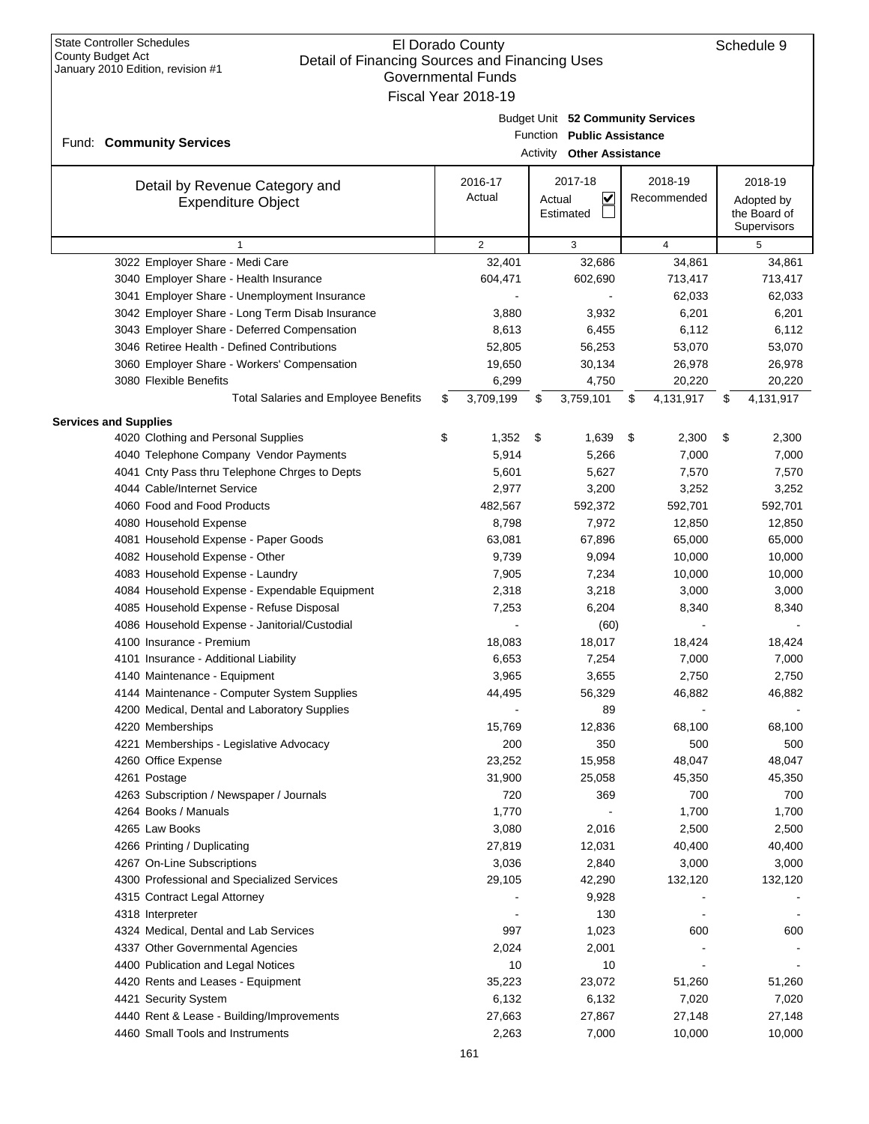|                              | January 2010 Edition, revision #1                           | <b>Governmental Funds</b> |     |                                                                                                     |                 |                                           |
|------------------------------|-------------------------------------------------------------|---------------------------|-----|-----------------------------------------------------------------------------------------------------|-----------------|-------------------------------------------|
|                              |                                                             | Fiscal Year 2018-19       |     |                                                                                                     |                 |                                           |
|                              | Fund: Community Services                                    |                           |     | Budget Unit 52 Community Services<br>Function Public Assistance<br><b>Activity Other Assistance</b> |                 |                                           |
|                              |                                                             | 2016-17                   |     | 2017-18                                                                                             | 2018-19         | 2018-19                                   |
|                              | Detail by Revenue Category and<br><b>Expenditure Object</b> | Actual                    |     | $\overline{\mathbf{v}}$<br>Actual<br>Estimated                                                      | Recommended     | Adopted by<br>the Board of<br>Supervisors |
|                              | $\mathbf{1}$                                                | 2                         |     | 3                                                                                                   | $\overline{4}$  | 5                                         |
|                              | 3022 Employer Share - Medi Care                             | 32,401                    |     | 32,686                                                                                              | 34,861          | 34,861                                    |
|                              | 3040 Employer Share - Health Insurance                      | 604,471                   |     | 602,690                                                                                             | 713,417         | 713,417                                   |
|                              | 3041 Employer Share - Unemployment Insurance                |                           |     |                                                                                                     | 62,033          | 62,033                                    |
|                              | 3042 Employer Share - Long Term Disab Insurance             | 3,880                     |     | 3,932                                                                                               | 6,201           | 6,201                                     |
|                              | 3043 Employer Share - Deferred Compensation                 | 8,613                     |     | 6,455                                                                                               | 6,112           | 6,112                                     |
|                              | 3046 Retiree Health - Defined Contributions                 | 52,805                    |     | 56,253                                                                                              | 53,070          | 53,070                                    |
|                              | 3060 Employer Share - Workers' Compensation                 | 19,650                    |     | 30,134                                                                                              | 26,978          | 26,978                                    |
|                              | 3080 Flexible Benefits                                      | 6,299                     |     | 4,750                                                                                               | 20,220          | 20,220                                    |
|                              | <b>Total Salaries and Employee Benefits</b>                 | \$<br>3,709,199           | S   | 3,759,101                                                                                           | \$<br>4,131,917 | \$<br>4,131,917                           |
|                              |                                                             |                           |     |                                                                                                     |                 |                                           |
| <b>Services and Supplies</b> | 4020 Clothing and Personal Supplies                         | \$<br>1,352               | -\$ | 1,639                                                                                               | \$<br>2,300     | \$<br>2,300                               |
|                              | 4040 Telephone Company Vendor Payments                      | 5,914                     |     | 5,266                                                                                               | 7,000           | 7,000                                     |
|                              | 4041 Cnty Pass thru Telephone Chrges to Depts               | 5,601                     |     | 5,627                                                                                               | 7,570           | 7,570                                     |
|                              | 4044 Cable/Internet Service                                 | 2,977                     |     | 3,200                                                                                               | 3,252           | 3,252                                     |
|                              | 4060 Food and Food Products                                 | 482,567                   |     | 592,372                                                                                             | 592,701         | 592,701                                   |
|                              | 4080 Household Expense                                      | 8,798                     |     | 7,972                                                                                               | 12,850          | 12,850                                    |
|                              | 4081 Household Expense - Paper Goods                        | 63,081                    |     | 67,896                                                                                              | 65,000          | 65,000                                    |
|                              | 4082 Household Expense - Other                              | 9,739                     |     | 9,094                                                                                               | 10,000          | 10,000                                    |
|                              | 4083 Household Expense - Laundry                            | 7,905                     |     | 7,234                                                                                               | 10,000          | 10,000                                    |
|                              | 4084 Household Expense - Expendable Equipment               | 2,318                     |     | 3,218                                                                                               | 3,000           | 3,000                                     |
|                              | 4085 Household Expense - Refuse Disposal                    | 7,253                     |     | 6,204                                                                                               | 8,340           | 8,340                                     |
|                              | 4086 Household Expense - Janitorial/Custodial               |                           |     | (60)                                                                                                |                 |                                           |
|                              | 4100 Insurance - Premium                                    | 18,083                    |     | 18,017                                                                                              | 18,424          | 18,424                                    |
|                              | 4101 Insurance - Additional Liability                       | 6,653                     |     | 7,254                                                                                               | 7,000           | 7,000                                     |
|                              | 4140 Maintenance - Equipment                                | 3,965                     |     | 3,655                                                                                               | 2,750           | 2,750                                     |
|                              | 4144 Maintenance - Computer System Supplies                 | 44,495                    |     | 56,329                                                                                              | 46,882          | 46,882                                    |
|                              | 4200 Medical, Dental and Laboratory Supplies                |                           |     | 89                                                                                                  |                 |                                           |
|                              | 4220 Memberships                                            | 15,769                    |     | 12,836                                                                                              | 68,100          | 68,100                                    |
|                              | 4221 Memberships - Legislative Advocacy                     | 200                       |     | 350                                                                                                 | 500             | 500                                       |
|                              | 4260 Office Expense                                         | 23,252                    |     | 15,958                                                                                              | 48,047          | 48,047                                    |
|                              | 4261 Postage                                                | 31,900                    |     | 25,058                                                                                              | 45,350          | 45,350                                    |
|                              | 4263 Subscription / Newspaper / Journals                    | 720                       |     | 369                                                                                                 | 700             | 700                                       |
|                              | 4264 Books / Manuals                                        | 1,770                     |     |                                                                                                     | 1,700           | 1,700                                     |
|                              | 4265 Law Books                                              | 3,080                     |     | 2,016                                                                                               | 2,500           | 2,500                                     |
|                              | 4266 Printing / Duplicating                                 | 27,819                    |     | 12,031                                                                                              | 40,400          | 40,400                                    |
|                              | 4267 On-Line Subscriptions                                  | 3,036                     |     | 2,840                                                                                               | 3,000           | 3,000                                     |
|                              | 4300 Professional and Specialized Services                  | 29,105                    |     | 42,290                                                                                              | 132,120         | 132,120                                   |
|                              | 4315 Contract Legal Attorney                                |                           |     | 9,928                                                                                               |                 |                                           |
|                              | 4318 Interpreter                                            |                           |     | 130                                                                                                 |                 |                                           |
|                              | 4324 Medical, Dental and Lab Services                       | 997                       |     | 1,023                                                                                               | 600             | 600                                       |
|                              | 4337 Other Governmental Agencies                            | 2,024                     |     | 2,001                                                                                               |                 |                                           |
|                              | 4400 Publication and Legal Notices                          | 10                        |     | 10                                                                                                  |                 |                                           |
|                              | 4420 Rents and Leases - Equipment                           | 35,223                    |     | 23,072                                                                                              | 51,260          | 51,260                                    |
|                              | 4421 Security System                                        | 6,132                     |     | 6,132                                                                                               | 7,020           | 7,020                                     |
|                              | 4440 Rent & Lease - Building/Improvements                   | 27,663                    |     | 27,867                                                                                              | 27,148          | 27,148                                    |
|                              | 4460 Small Tools and Instruments                            | 2,263                     |     | 7,000                                                                                               | 10,000          | 10,000                                    |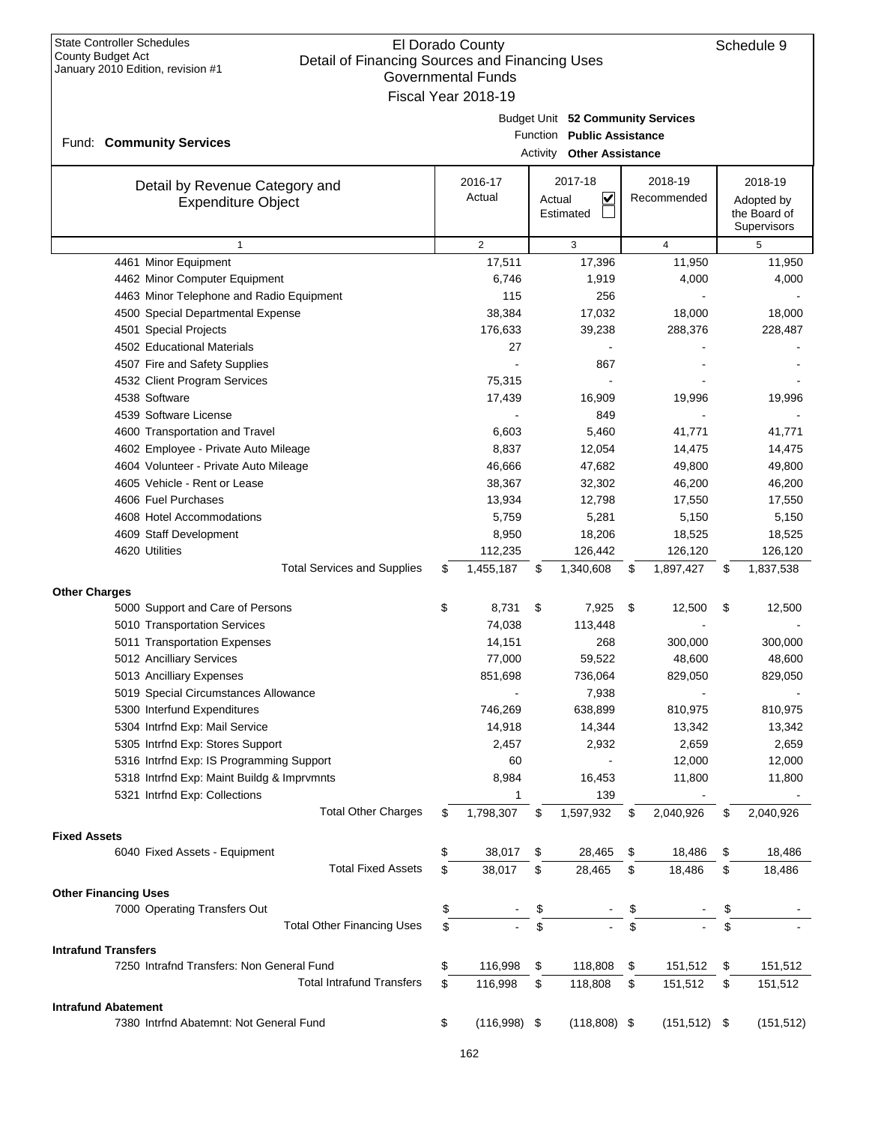| <b>State Controller Schedules</b><br>El Dorado County<br>County Budget Act<br>Detail of Financing Sources and Financing Uses<br>January 2010 Edition, revision #1<br><b>Governmental Funds</b><br>Fiscal Year 2018-19 |    |                   |          |                                                                                            |    |                        |    | Schedule 9                                           |
|-----------------------------------------------------------------------------------------------------------------------------------------------------------------------------------------------------------------------|----|-------------------|----------|--------------------------------------------------------------------------------------------|----|------------------------|----|------------------------------------------------------|
| Fund: Community Services                                                                                                                                                                                              |    |                   | Activity | Budget Unit 52 Community Services<br>Function Public Assistance<br><b>Other Assistance</b> |    |                        |    |                                                      |
| Detail by Revenue Category and<br><b>Expenditure Object</b>                                                                                                                                                           |    | 2016-17<br>Actual | Actual   | 2017-18<br>V<br>Estimated                                                                  |    | 2018-19<br>Recommended |    | 2018-19<br>Adopted by<br>the Board of<br>Supervisors |
| $\mathbf{1}$                                                                                                                                                                                                          |    | $\overline{2}$    |          | 3                                                                                          |    | $\overline{4}$         |    | 5                                                    |
| 4461 Minor Equipment                                                                                                                                                                                                  |    | 17,511            |          | 17,396                                                                                     |    | 11,950                 |    | 11,950                                               |
| 4462 Minor Computer Equipment                                                                                                                                                                                         |    | 6,746             |          | 1,919                                                                                      |    | 4,000                  |    | 4,000                                                |
| 4463 Minor Telephone and Radio Equipment                                                                                                                                                                              |    | 115               |          | 256                                                                                        |    |                        |    |                                                      |
| 4500 Special Departmental Expense                                                                                                                                                                                     |    | 38,384            |          | 17,032                                                                                     |    | 18,000                 |    | 18,000                                               |
| 4501 Special Projects                                                                                                                                                                                                 |    | 176,633           |          | 39,238                                                                                     |    | 288,376                |    | 228,487                                              |
| 4502 Educational Materials                                                                                                                                                                                            |    | 27                |          |                                                                                            |    |                        |    |                                                      |
| 4507 Fire and Safety Supplies                                                                                                                                                                                         |    |                   |          | 867                                                                                        |    |                        |    |                                                      |
| 4532 Client Program Services                                                                                                                                                                                          |    | 75,315            |          |                                                                                            |    |                        |    |                                                      |
| 4538 Software                                                                                                                                                                                                         |    | 17,439            |          | 16,909                                                                                     |    | 19,996                 |    | 19,996                                               |
| 4539 Software License                                                                                                                                                                                                 |    |                   |          | 849                                                                                        |    |                        |    |                                                      |
| 4600 Transportation and Travel                                                                                                                                                                                        |    | 6,603             |          | 5,460                                                                                      |    | 41,771                 |    | 41,771                                               |
| 4602 Employee - Private Auto Mileage                                                                                                                                                                                  |    | 8,837             |          | 12,054                                                                                     |    | 14,475                 |    | 14,475                                               |
| 4604 Volunteer - Private Auto Mileage                                                                                                                                                                                 |    | 46,666            |          | 47,682                                                                                     |    | 49,800                 |    | 49,800                                               |
| 4605 Vehicle - Rent or Lease                                                                                                                                                                                          |    | 38,367            |          | 32,302                                                                                     |    | 46,200                 |    | 46,200                                               |
| 4606 Fuel Purchases                                                                                                                                                                                                   |    | 13,934            |          | 12,798                                                                                     |    | 17,550                 |    | 17,550                                               |
| 4608 Hotel Accommodations                                                                                                                                                                                             |    | 5,759             |          | 5,281                                                                                      |    | 5,150                  |    | 5,150                                                |
| 4609 Staff Development                                                                                                                                                                                                |    | 8,950             |          | 18,206                                                                                     |    | 18,525                 |    | 18,525                                               |
| 4620 Utilities                                                                                                                                                                                                        |    | 112,235           |          | 126,442                                                                                    |    | 126,120                |    | 126,120                                              |
| <b>Total Services and Supplies</b>                                                                                                                                                                                    | \$ | 1,455,187         | \$       | 1,340,608                                                                                  | \$ | 1,897,427              | \$ | 1,837,538                                            |
| <b>Other Charges</b>                                                                                                                                                                                                  |    |                   |          |                                                                                            |    |                        |    |                                                      |
| 5000 Support and Care of Persons                                                                                                                                                                                      | \$ | 8,731             | \$       | 7,925                                                                                      | \$ | 12,500                 | \$ | 12,500                                               |
| 5010 Transportation Services                                                                                                                                                                                          |    | 74,038            |          | 113,448                                                                                    |    |                        |    |                                                      |
| 5011 Transportation Expenses                                                                                                                                                                                          |    | 14,151            |          | 268                                                                                        |    | 300,000                |    | 300,000                                              |
| 5012 Ancilliary Services                                                                                                                                                                                              |    | 77,000            |          | 59,522                                                                                     |    | 48,600                 |    | 48,600                                               |
| 5013 Ancilliary Expenses                                                                                                                                                                                              |    | 851,698           |          | 736,064                                                                                    |    | 829,050                |    | 829,050                                              |
| 5019 Special Circumstances Allowance                                                                                                                                                                                  |    |                   |          | 7,938                                                                                      |    |                        |    |                                                      |
| 5300 Interfund Expenditures                                                                                                                                                                                           |    | 746,269           |          | 638,899                                                                                    |    | 810,975                |    | 810,975                                              |
| 5304 Intrfnd Exp: Mail Service                                                                                                                                                                                        |    | 14,918            |          | 14,344                                                                                     |    | 13,342                 |    | 13,342                                               |
| 5305 Intrfnd Exp: Stores Support                                                                                                                                                                                      |    | 2,457             |          | 2,932                                                                                      |    | 2,659                  |    | 2,659                                                |
| 5316 Intrfnd Exp: IS Programming Support                                                                                                                                                                              |    | 60                |          |                                                                                            |    | 12,000                 |    | 12,000                                               |
| 5318 Intrfnd Exp: Maint Buildg & Imprvmnts                                                                                                                                                                            |    | 8,984             |          | 16,453                                                                                     |    | 11,800                 |    | 11,800                                               |
| 5321 Intrfnd Exp: Collections                                                                                                                                                                                         |    | 1                 |          | 139                                                                                        |    |                        |    |                                                      |
| <b>Total Other Charges</b>                                                                                                                                                                                            | \$ | 1,798,307         | \$       | 1,597,932                                                                                  | \$ | 2,040,926              | \$ | 2,040,926                                            |
|                                                                                                                                                                                                                       |    |                   |          |                                                                                            |    |                        |    |                                                      |
| <b>Fixed Assets</b>                                                                                                                                                                                                   |    |                   |          |                                                                                            |    |                        |    |                                                      |
| 6040 Fixed Assets - Equipment                                                                                                                                                                                         | \$ | 38,017            | \$       | 28,465                                                                                     | \$ | 18,486                 | \$ | 18,486                                               |
| <b>Total Fixed Assets</b>                                                                                                                                                                                             | \$ | 38,017            | \$       | 28,465                                                                                     | \$ | 18,486                 | \$ | 18,486                                               |
| <b>Other Financing Uses</b>                                                                                                                                                                                           |    |                   |          |                                                                                            |    |                        |    |                                                      |
| 7000 Operating Transfers Out                                                                                                                                                                                          | \$ |                   | \$       |                                                                                            |    |                        | \$ |                                                      |
| <b>Total Other Financing Uses</b>                                                                                                                                                                                     | \$ |                   | \$       |                                                                                            | \$ |                        | \$ |                                                      |
| <b>Intrafund Transfers</b>                                                                                                                                                                                            |    |                   |          |                                                                                            |    |                        |    |                                                      |
| 7250 Intrafnd Transfers: Non General Fund                                                                                                                                                                             | \$ | 116,998           | \$       | 118,808                                                                                    | \$ | 151,512                | \$ | 151,512                                              |
| <b>Total Intrafund Transfers</b>                                                                                                                                                                                      | \$ | 116,998           | \$       | 118,808                                                                                    | \$ | 151,512                | \$ | 151,512                                              |
|                                                                                                                                                                                                                       |    |                   |          |                                                                                            |    |                        |    |                                                      |
| <b>Intrafund Abatement</b><br>7380 Intrfnd Abatemnt: Not General Fund                                                                                                                                                 | \$ | $(116,998)$ \$    |          | $(118,808)$ \$                                                                             |    | (151, 512)             | \$ | (151, 512)                                           |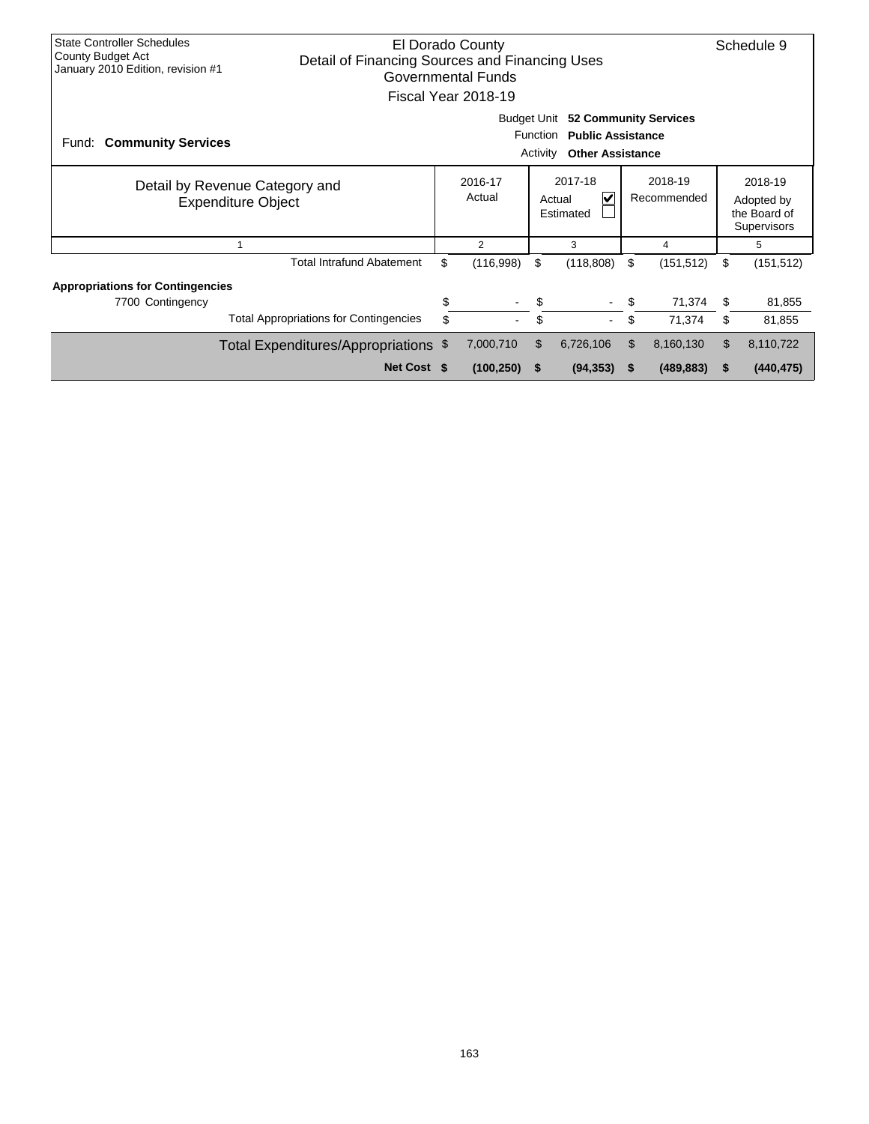| <b>State Controller Schedules</b><br>El Dorado County<br>County Budget Act<br>Detail of Financing Sources and Financing Uses<br>January 2010 Edition, revision #1<br>Governmental Funds<br>Fiscal Year 2018-19 |                                                                     |    |            |          |                |                        |                                                             |    |            |  |  |  |
|----------------------------------------------------------------------------------------------------------------------------------------------------------------------------------------------------------------|---------------------------------------------------------------------|----|------------|----------|----------------|------------------------|-------------------------------------------------------------|----|------------|--|--|--|
| <b>Budget Unit</b><br><b>52 Community Services</b><br>Function<br><b>Public Assistance</b><br><b>Community Services</b><br>Fund:<br><b>Other Assistance</b><br>Activity                                        |                                                                     |    |            |          |                |                        |                                                             |    |            |  |  |  |
| Detail by Revenue Category and<br><b>Expenditure Object</b>                                                                                                                                                    | 2017-18<br>2016-17<br>Actual<br>$\checkmark$<br>Actual<br>Estimated |    |            |          |                | 2018-19<br>Recommended | 2018-19<br>Adopted by<br>the Board of<br><b>Supervisors</b> |    |            |  |  |  |
|                                                                                                                                                                                                                |                                                                     |    | 2          |          | 3              |                        | 4                                                           |    | 5          |  |  |  |
|                                                                                                                                                                                                                | <b>Total Intrafund Abatement</b>                                    | \$ | (116,998)  | \$       | (118, 808)     | \$                     | (151, 512)                                                  | \$ | (151, 512) |  |  |  |
| <b>Appropriations for Contingencies</b>                                                                                                                                                                        |                                                                     |    |            |          |                |                        |                                                             |    |            |  |  |  |
| 7700 Contingency                                                                                                                                                                                               |                                                                     | \$ | $\sim$     | \$       |                | \$                     | 71,374                                                      | \$ | 81,855     |  |  |  |
|                                                                                                                                                                                                                | <b>Total Appropriations for Contingencies</b>                       | \$ |            | \$       | $\blacksquare$ | \$                     | 71,374                                                      | \$ | 81,855     |  |  |  |
|                                                                                                                                                                                                                | Total Expenditures/Appropriations \$                                |    | 7,000,710  | \$       | 6,726,106      | \$                     | 8,160,130                                                   | \$ | 8,110,722  |  |  |  |
|                                                                                                                                                                                                                | Net Cost \$                                                         |    | (100, 250) | <b>S</b> | (94, 353)      |                        | (489, 883)                                                  | S  | (440, 475) |  |  |  |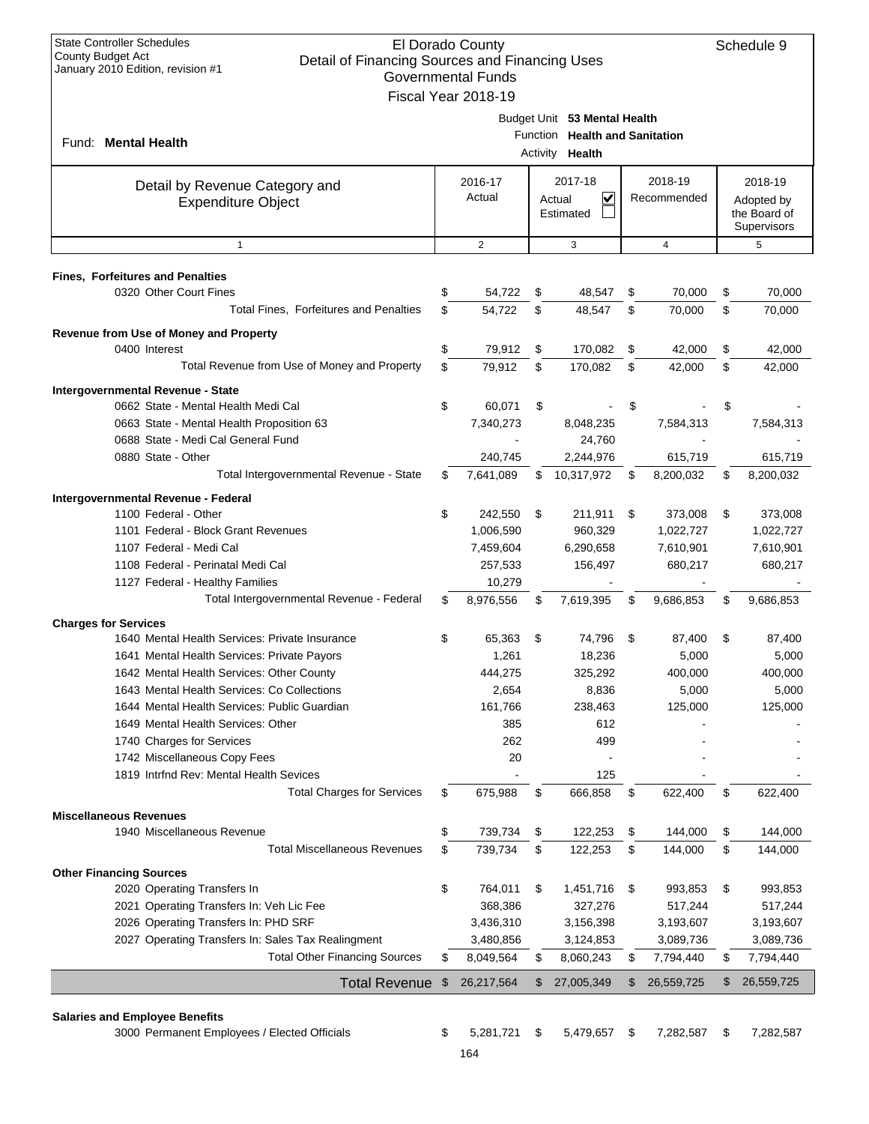| <b>State Controller Schedules</b><br>El Dorado County<br>County Budget Act<br>Detail of Financing Sources and Financing Uses<br>January 2010 Edition, revision #1<br><b>Governmental Funds</b><br>Fiscal Year 2018-19 |                |                   |                      |                                                                        |    |                        |    |                                                      |  |  |
|-----------------------------------------------------------------------------------------------------------------------------------------------------------------------------------------------------------------------|----------------|-------------------|----------------------|------------------------------------------------------------------------|----|------------------------|----|------------------------------------------------------|--|--|
| Fund: Mental Health                                                                                                                                                                                                   |                |                   | Function<br>Activity | Budget Unit 53 Mental Health<br><b>Health and Sanitation</b><br>Health |    |                        |    |                                                      |  |  |
| Detail by Revenue Category and<br><b>Expenditure Object</b>                                                                                                                                                           |                | 2016-17<br>Actual |                      | 2017-18<br>$\checkmark$<br>Actual<br>Estimated                         |    | 2018-19<br>Recommended |    | 2018-19<br>Adopted by<br>the Board of<br>Supervisors |  |  |
| $\mathbf{1}$                                                                                                                                                                                                          |                | $\overline{2}$    |                      | 3                                                                      |    | $\overline{4}$         |    | 5                                                    |  |  |
| <b>Fines, Forfeitures and Penalties</b>                                                                                                                                                                               |                |                   |                      |                                                                        |    |                        |    |                                                      |  |  |
| 0320 Other Court Fines                                                                                                                                                                                                | \$             | 54,722            | \$                   | 48,547                                                                 | \$ | 70,000                 | \$ | 70,000                                               |  |  |
| Total Fines, Forfeitures and Penalties                                                                                                                                                                                | \$             | 54,722            | \$                   | 48.547                                                                 | \$ | 70,000                 | \$ | 70,000                                               |  |  |
| Revenue from Use of Money and Property                                                                                                                                                                                |                |                   |                      |                                                                        |    |                        |    |                                                      |  |  |
| 0400 Interest                                                                                                                                                                                                         | \$             | 79,912            | \$                   | 170,082                                                                | \$ | 42,000                 | \$ | 42,000                                               |  |  |
| Total Revenue from Use of Money and Property                                                                                                                                                                          | \$             | 79,912            | \$                   | 170,082                                                                | \$ | 42,000                 | \$ | 42,000                                               |  |  |
| Intergovernmental Revenue - State                                                                                                                                                                                     |                |                   |                      |                                                                        |    |                        |    |                                                      |  |  |
| 0662 State - Mental Health Medi Cal                                                                                                                                                                                   | \$             | 60.071            | \$                   |                                                                        | \$ |                        | \$ |                                                      |  |  |
| 0663 State - Mental Health Proposition 63                                                                                                                                                                             |                | 7,340,273         |                      | 8,048,235                                                              |    | 7,584,313              |    | 7,584,313                                            |  |  |
| 0688 State - Medi Cal General Fund                                                                                                                                                                                    |                |                   |                      | 24,760                                                                 |    |                        |    |                                                      |  |  |
| 0880 State - Other                                                                                                                                                                                                    |                | 240,745           |                      | 2,244,976                                                              |    | 615,719                |    | 615,719                                              |  |  |
| Total Intergovernmental Revenue - State                                                                                                                                                                               | \$             | 7,641,089         | \$                   | 10,317,972                                                             | \$ | 8,200,032              | \$ | 8,200,032                                            |  |  |
| Intergovernmental Revenue - Federal                                                                                                                                                                                   |                |                   |                      |                                                                        |    |                        |    |                                                      |  |  |
| 1100 Federal - Other                                                                                                                                                                                                  | \$             | 242,550           | \$                   | 211,911                                                                | \$ | 373,008                | \$ | 373,008                                              |  |  |
| 1101 Federal - Block Grant Revenues                                                                                                                                                                                   |                | 1,006,590         |                      | 960,329                                                                |    | 1,022,727              |    | 1,022,727                                            |  |  |
| 1107 Federal - Medi Cal                                                                                                                                                                                               |                | 7,459,604         |                      | 6,290,658                                                              |    | 7,610,901              |    | 7,610,901                                            |  |  |
| 1108 Federal - Perinatal Medi Cal                                                                                                                                                                                     |                | 257,533           |                      | 156,497                                                                |    | 680,217                |    | 680,217                                              |  |  |
| 1127 Federal - Healthy Families                                                                                                                                                                                       |                | 10,279            |                      |                                                                        |    |                        |    |                                                      |  |  |
| Total Intergovernmental Revenue - Federal                                                                                                                                                                             | \$             | 8,976,556         | \$                   | 7,619,395                                                              | \$ | 9,686,853              | \$ | 9,686,853                                            |  |  |
| <b>Charges for Services</b>                                                                                                                                                                                           |                |                   |                      |                                                                        |    |                        |    |                                                      |  |  |
| 1640 Mental Health Services: Private Insurance                                                                                                                                                                        | \$             | 65,363            | \$                   | 74,796                                                                 | \$ | 87,400                 | \$ | 87,400                                               |  |  |
| 1641 Mental Health Services: Private Payors                                                                                                                                                                           |                | 1,261             |                      | 18,236                                                                 |    | 5,000                  |    | 5,000                                                |  |  |
| 1642 Mental Health Services: Other County                                                                                                                                                                             |                | 444,275           |                      | 325,292                                                                |    | 400,000                |    | 400,000                                              |  |  |
| 1643 Mental Health Services: Co Collections<br>1644 Mental Health Services: Public Guardian                                                                                                                           |                | 2,654<br>161,766  |                      | 8,836<br>238,463                                                       |    | 5,000                  |    | 5,000                                                |  |  |
| 1649 Mental Health Services: Other                                                                                                                                                                                    |                | 385               |                      | 612                                                                    |    | 125,000                |    | 125,000                                              |  |  |
| 1740 Charges for Services                                                                                                                                                                                             |                | 262               |                      | 499                                                                    |    |                        |    |                                                      |  |  |
| 1742 Miscellaneous Copy Fees                                                                                                                                                                                          |                | 20                |                      |                                                                        |    |                        |    |                                                      |  |  |
| 1819 Intrfnd Rev: Mental Health Sevices                                                                                                                                                                               |                |                   |                      | 125                                                                    |    |                        |    |                                                      |  |  |
| <b>Total Charges for Services</b>                                                                                                                                                                                     | \$             | 675,988           | \$                   | 666,858                                                                | \$ | 622,400                | \$ | 622,400                                              |  |  |
| <b>Miscellaneous Revenues</b>                                                                                                                                                                                         |                |                   |                      |                                                                        |    |                        |    |                                                      |  |  |
| 1940 Miscellaneous Revenue                                                                                                                                                                                            | \$             | 739,734           | \$                   | 122,253                                                                | \$ | 144,000                | \$ | 144,000                                              |  |  |
| <b>Total Miscellaneous Revenues</b>                                                                                                                                                                                   | \$             | 739,734           | \$                   | 122,253                                                                | \$ | 144,000                | \$ | 144,000                                              |  |  |
| <b>Other Financing Sources</b>                                                                                                                                                                                        |                |                   |                      |                                                                        |    |                        |    |                                                      |  |  |
| 2020 Operating Transfers In                                                                                                                                                                                           | \$             | 764,011           | \$                   | 1,451,716                                                              | \$ | 993,853                | \$ | 993,853                                              |  |  |
| 2021 Operating Transfers In: Veh Lic Fee                                                                                                                                                                              |                | 368,386           |                      | 327,276                                                                |    | 517,244                |    | 517,244                                              |  |  |
| 2026 Operating Transfers In: PHD SRF                                                                                                                                                                                  |                | 3,436,310         |                      | 3,156,398                                                              |    | 3,193,607              |    | 3,193,607                                            |  |  |
| 2027 Operating Transfers In: Sales Tax Realingment                                                                                                                                                                    |                | 3,480,856         |                      | 3,124,853                                                              |    | 3,089,736              |    | 3,089,736                                            |  |  |
| <b>Total Other Financing Sources</b>                                                                                                                                                                                  | \$             | 8,049,564         | \$                   | 8,060,243                                                              | \$ | 7,794,440              | \$ | 7,794,440                                            |  |  |
| <b>Total Revenue</b>                                                                                                                                                                                                  | $\mathfrak{S}$ | 26,217,564        | \$                   | 27,005,349                                                             | \$ | 26,559,725             | \$ | 26,559,725                                           |  |  |
|                                                                                                                                                                                                                       |                |                   |                      |                                                                        |    |                        |    |                                                      |  |  |
| <b>Salaries and Employee Benefits</b><br>3000 Permanent Employees / Elected Officials                                                                                                                                 | \$             | 5,281,721         | \$                   | 5,479,657                                                              | \$ | 7,282,587              | \$ | 7,282,587                                            |  |  |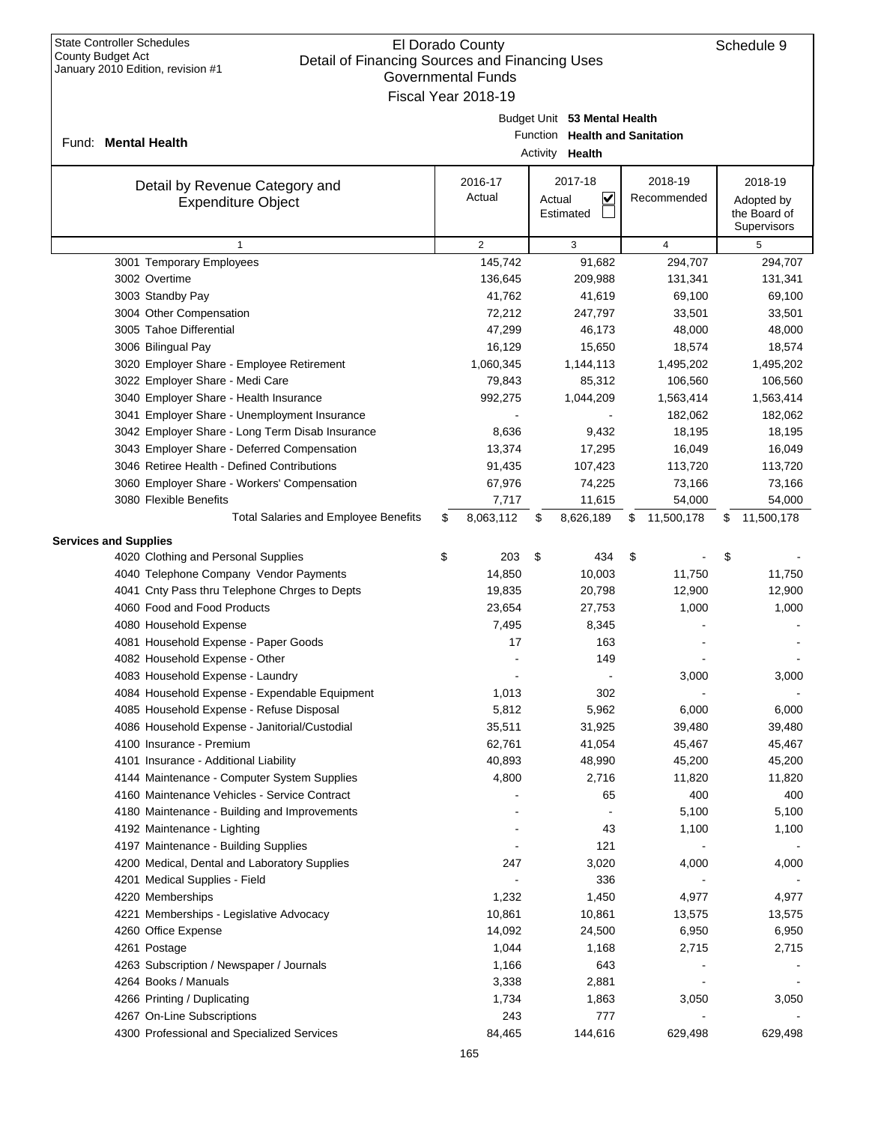| $3a$ $10a$ $y$ $2010$ Eq. $101$ , $15v$ $3001$ $\pi$ $1$                               |                 | Governmental Funds<br>Fiscal Year 2018-19 |    |                                   |    |                      |    |                      |
|----------------------------------------------------------------------------------------|-----------------|-------------------------------------------|----|-----------------------------------|----|----------------------|----|----------------------|
|                                                                                        |                 |                                           |    | Budget Unit 53 Mental Health      |    |                      |    |                      |
|                                                                                        |                 |                                           |    | Function Health and Sanitation    |    |                      |    |                      |
| Fund: Mental Health                                                                    | Activity Health |                                           |    |                                   |    |                      |    |                      |
| Detail by Revenue Category and                                                         |                 | 2016-17                                   |    | 2017-18                           |    | 2018-19              |    | 2018-19              |
| <b>Expenditure Object</b>                                                              |                 | Actual                                    |    | $\overline{\mathsf{v}}$<br>Actual |    | Recommended          |    | Adopted by           |
|                                                                                        |                 |                                           |    | Estimated                         |    |                      |    | the Board of         |
|                                                                                        |                 |                                           |    |                                   |    |                      |    | Supervisors          |
| $\mathbf{1}$                                                                           |                 | $\overline{2}$                            |    | 3                                 |    | 4                    |    | 5                    |
| 3001 Temporary Employees                                                               |                 | 145,742                                   |    | 91,682                            |    | 294,707              |    | 294,707              |
| 3002 Overtime                                                                          |                 | 136,645                                   |    | 209,988                           |    | 131,341              |    | 131,341              |
| 3003 Standby Pay                                                                       |                 | 41,762                                    |    | 41,619                            |    | 69,100               |    | 69,100               |
| 3004 Other Compensation                                                                |                 | 72,212                                    |    | 247,797                           |    | 33,501               |    | 33,501               |
| 3005 Tahoe Differential                                                                |                 | 47,299                                    |    | 46,173                            |    | 48,000               |    | 48,000               |
| 3006 Bilingual Pay                                                                     |                 | 16,129                                    |    | 15,650                            |    | 18,574               |    | 18,574               |
| 3020 Employer Share - Employee Retirement                                              |                 | 1,060,345                                 |    | 1,144,113                         |    | 1,495,202            |    | 1,495,202            |
| 3022 Employer Share - Medi Care                                                        |                 | 79,843<br>992,275                         |    | 85,312                            |    | 106,560              |    | 106,560              |
| 3040 Employer Share - Health Insurance<br>3041 Employer Share - Unemployment Insurance |                 |                                           |    | 1,044,209                         |    | 1,563,414<br>182,062 |    | 1,563,414<br>182,062 |
| 3042 Employer Share - Long Term Disab Insurance                                        |                 | 8,636                                     |    | 9,432                             |    | 18,195               |    | 18,195               |
| 3043 Employer Share - Deferred Compensation                                            |                 | 13,374                                    |    | 17,295                            |    | 16,049               |    | 16,049               |
| 3046 Retiree Health - Defined Contributions                                            |                 | 91,435                                    |    | 107,423                           |    | 113,720              |    | 113,720              |
| 3060 Employer Share - Workers' Compensation                                            |                 | 67,976                                    |    | 74,225                            |    | 73,166               |    | 73,166               |
| 3080 Flexible Benefits                                                                 |                 | 7,717                                     |    | 11,615                            |    | 54,000               |    | 54,000               |
| <b>Total Salaries and Employee Benefits</b>                                            | \$              | 8,063,112                                 | \$ | 8,626,189                         | \$ | 11,500,178           | \$ | 11,500,178           |
| <b>Services and Supplies</b>                                                           |                 |                                           |    |                                   |    |                      |    |                      |
| 4020 Clothing and Personal Supplies                                                    | \$              | 203                                       | \$ | 434                               | \$ |                      | \$ |                      |
| 4040 Telephone Company Vendor Payments                                                 |                 | 14,850                                    |    | 10,003                            |    | 11,750               |    | 11,750               |
| 4041 Cnty Pass thru Telephone Chrges to Depts                                          |                 | 19,835                                    |    | 20,798                            |    | 12,900               |    | 12,900               |
| 4060 Food and Food Products                                                            |                 | 23,654                                    |    | 27,753                            |    | 1,000                |    | 1,000                |
| 4080 Household Expense                                                                 |                 | 7,495                                     |    | 8,345                             |    |                      |    |                      |
| 4081 Household Expense - Paper Goods                                                   |                 | 17                                        |    | 163                               |    |                      |    |                      |
| 4082 Household Expense - Other                                                         |                 |                                           |    | 149                               |    |                      |    |                      |
| 4083 Household Expense - Laundry                                                       |                 |                                           |    |                                   |    | 3,000                |    | 3,000                |
| 4084 Household Expense - Expendable Equipment                                          |                 | 1,013                                     |    | 302                               |    |                      |    |                      |
| 4085 Household Expense - Refuse Disposal                                               |                 | 5,812                                     |    | 5,962                             |    | 6,000                |    | 6,000                |
| 4086 Household Expense - Janitorial/Custodial                                          |                 | 35,511                                    |    | 31,925                            |    | 39,480               |    | 39,480               |
| 4100 Insurance - Premium                                                               |                 | 62,761                                    |    | 41,054                            |    | 45,467               |    | 45,467               |
| 4101 Insurance - Additional Liability                                                  |                 | 40,893                                    |    | 48,990                            |    | 45,200               |    | 45,200               |
| 4144 Maintenance - Computer System Supplies                                            |                 | 4,800                                     |    | 2,716                             |    | 11,820               |    | 11,820               |
| 4160 Maintenance Vehicles - Service Contract                                           |                 |                                           |    | 65                                |    | 400                  |    | 400                  |
| 4180 Maintenance - Building and Improvements                                           |                 |                                           |    |                                   |    | 5,100                |    | 5,100                |
| 4192 Maintenance - Lighting                                                            |                 |                                           |    | 43                                |    | 1,100                |    | 1,100                |
| 4197 Maintenance - Building Supplies                                                   |                 |                                           |    | 121                               |    |                      |    |                      |
| 4200 Medical, Dental and Laboratory Supplies                                           |                 | 247                                       |    | 3,020                             |    | 4,000                |    | 4,000                |
| 4201 Medical Supplies - Field                                                          |                 |                                           |    | 336                               |    |                      |    |                      |
| 4220 Memberships                                                                       |                 | 1,232                                     |    | 1,450                             |    | 4,977                |    | 4,977                |
| 4221 Memberships - Legislative Advocacy                                                |                 | 10,861                                    |    | 10,861                            |    | 13,575               |    | 13,575               |
| 4260 Office Expense                                                                    |                 | 14,092                                    |    | 24,500                            |    | 6,950                |    | 6,950                |
| 4261 Postage                                                                           |                 | 1,044                                     |    | 1,168                             |    | 2,715                |    | 2,715                |
| 4263 Subscription / Newspaper / Journals                                               |                 | 1,166                                     |    | 643                               |    |                      |    |                      |
| 4264 Books / Manuals                                                                   |                 | 3,338                                     |    | 2,881                             |    |                      |    |                      |
| 4266 Printing / Duplicating                                                            |                 | 1,734                                     |    | 1,863                             |    | 3,050                |    | 3,050                |
| 4267 On-Line Subscriptions                                                             |                 | 243                                       |    | 777                               |    |                      |    |                      |
| 4300 Professional and Specialized Services                                             |                 | 84,465                                    |    | 144,616                           |    | 629,498              |    | 629,498              |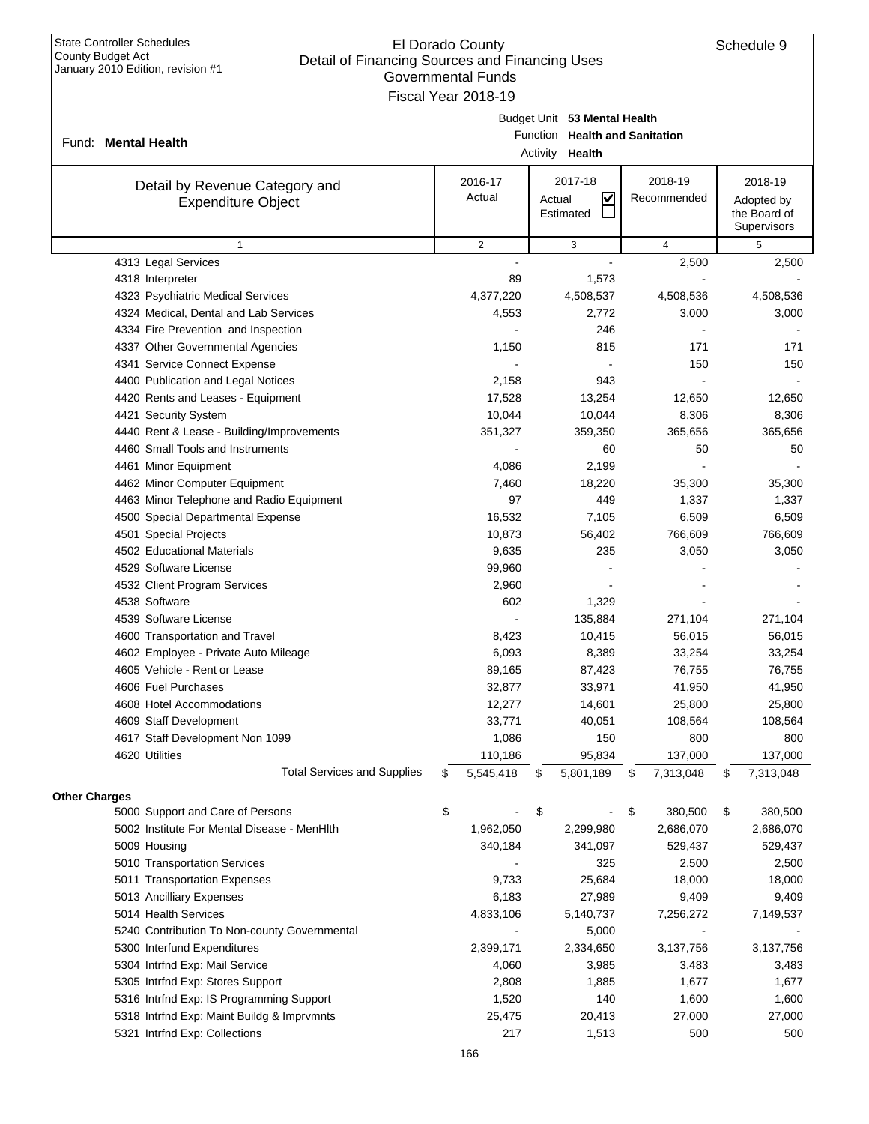|                      | January $2010$ Edition, revision $\#1$                      | Governmental Funds<br>Fiscal Year 2018-19 |                                                                                   |                        |                                                      |
|----------------------|-------------------------------------------------------------|-------------------------------------------|-----------------------------------------------------------------------------------|------------------------|------------------------------------------------------|
|                      | Fund: Mental Health                                         |                                           | Budget Unit 53 Mental Health<br>Function Health and Sanitation<br>Activity Health |                        |                                                      |
|                      | Detail by Revenue Category and<br><b>Expenditure Object</b> | 2016-17<br>Actual                         | 2017-18<br>$\checkmark$<br>Actual<br>Estimated                                    | 2018-19<br>Recommended | 2018-19<br>Adopted by<br>the Board of<br>Supervisors |
|                      | $\mathbf{1}$                                                | $\overline{2}$                            | 3                                                                                 | $\overline{4}$         | 5                                                    |
|                      | 4313 Legal Services                                         |                                           | ÷.                                                                                | 2,500                  | 2,500                                                |
|                      | 4318 Interpreter                                            | 89                                        | 1,573                                                                             |                        |                                                      |
|                      | 4323 Psychiatric Medical Services                           | 4,377,220                                 | 4,508,537                                                                         | 4,508,536              | 4,508,536                                            |
|                      | 4324 Medical, Dental and Lab Services                       | 4,553                                     | 2,772                                                                             | 3,000                  | 3,000                                                |
|                      | 4334 Fire Prevention and Inspection                         |                                           | 246                                                                               |                        |                                                      |
|                      | 4337 Other Governmental Agencies                            | 1,150                                     | 815                                                                               | 171                    | 171                                                  |
|                      | 4341 Service Connect Expense                                |                                           |                                                                                   | 150                    | 150                                                  |
|                      | 4400 Publication and Legal Notices                          | 2,158                                     | 943                                                                               |                        |                                                      |
|                      | 4420 Rents and Leases - Equipment                           | 17,528                                    | 13,254                                                                            | 12,650                 | 12,650                                               |
|                      | 4421 Security System                                        | 10,044                                    | 10,044                                                                            | 8,306                  | 8,306                                                |
|                      | 4440 Rent & Lease - Building/Improvements                   | 351,327                                   | 359,350                                                                           | 365,656                | 365,656                                              |
|                      | 4460 Small Tools and Instruments                            |                                           | 60                                                                                | 50                     | 50                                                   |
|                      | 4461 Minor Equipment                                        | 4,086                                     | 2,199                                                                             |                        |                                                      |
|                      | 4462 Minor Computer Equipment                               | 7,460                                     | 18,220                                                                            | 35,300                 | 35,300                                               |
|                      | 4463 Minor Telephone and Radio Equipment                    | 97                                        | 449                                                                               | 1,337                  | 1,337                                                |
|                      | 4500 Special Departmental Expense                           | 16,532                                    | 7,105                                                                             | 6,509                  | 6,509                                                |
|                      | 4501 Special Projects                                       | 10,873                                    | 56,402                                                                            | 766,609                | 766,609                                              |
|                      | 4502 Educational Materials                                  | 9,635                                     | 235                                                                               | 3,050                  | 3,050                                                |
|                      | 4529 Software License                                       | 99,960                                    |                                                                                   |                        |                                                      |
|                      | 4532 Client Program Services                                | 2,960                                     |                                                                                   |                        |                                                      |
|                      | 4538 Software                                               | 602                                       | 1,329                                                                             |                        |                                                      |
|                      | 4539 Software License                                       |                                           | 135,884                                                                           | 271,104                | 271,104                                              |
|                      | 4600 Transportation and Travel                              | 8,423                                     | 10,415                                                                            | 56,015                 | 56,015                                               |
|                      | 4602 Employee - Private Auto Mileage                        | 6,093                                     | 8,389                                                                             | 33,254                 | 33,254                                               |
|                      | 4605 Vehicle - Rent or Lease                                | 89,165                                    | 87,423                                                                            | 76,755                 | 76,755                                               |
|                      | 4606 Fuel Purchases                                         | 32,877                                    | 33,971                                                                            | 41,950                 | 41,950                                               |
|                      | 4608 Hotel Accommodations                                   | 12,277                                    | 14,601                                                                            | 25,800                 | 25,800                                               |
|                      | 4609 Staff Development                                      | 33,771                                    | 40,051                                                                            | 108,564                | 108,564                                              |
|                      | 4617 Staff Development Non 1099                             | 1,086                                     | 150                                                                               | 800                    | 800                                                  |
|                      | 4620 Utilities                                              | 110,186                                   | 95,834                                                                            | 137,000                | 137,000                                              |
|                      | <b>Total Services and Supplies</b>                          | \$<br>5,545,418                           | \$<br>5,801,189                                                                   | \$<br>7,313,048        | \$<br>7,313,048                                      |
| <b>Other Charges</b> |                                                             |                                           |                                                                                   |                        |                                                      |
|                      | 5000 Support and Care of Persons                            | \$                                        | \$                                                                                | \$<br>380,500          | \$<br>380,500                                        |
|                      | 5002 Institute For Mental Disease - MenHIth                 | 1,962,050                                 | 2,299,980                                                                         | 2,686,070              | 2,686,070                                            |
|                      | 5009 Housing                                                | 340,184                                   | 341,097                                                                           | 529,437                | 529,437                                              |
|                      | 5010 Transportation Services                                |                                           | 325                                                                               | 2,500                  | 2,500                                                |
|                      | 5011 Transportation Expenses                                | 9,733                                     | 25,684                                                                            | 18,000                 | 18,000                                               |
|                      | 5013 Ancilliary Expenses                                    | 6,183                                     | 27,989                                                                            | 9,409                  | 9,409                                                |
|                      | 5014 Health Services                                        | 4,833,106                                 | 5,140,737                                                                         | 7,256,272              | 7,149,537                                            |
|                      | 5240 Contribution To Non-county Governmental                |                                           | 5,000                                                                             |                        |                                                      |
|                      | 5300 Interfund Expenditures                                 | 2,399,171                                 | 2,334,650                                                                         | 3,137,756              | 3,137,756                                            |
|                      | 5304 Intrfnd Exp: Mail Service                              | 4,060                                     | 3,985                                                                             | 3,483                  | 3,483                                                |
|                      | 5305 Intrfnd Exp: Stores Support                            | 2,808                                     | 1,885                                                                             | 1,677                  | 1,677                                                |
|                      | 5316 Intrfnd Exp: IS Programming Support                    | 1,520                                     | 140                                                                               | 1,600                  | 1,600                                                |
|                      |                                                             |                                           |                                                                                   |                        | 27,000                                               |
|                      | 5318 Intrfnd Exp: Maint Buildg & Imprvmnts                  | 25,475                                    | 20,413                                                                            | 27,000                 |                                                      |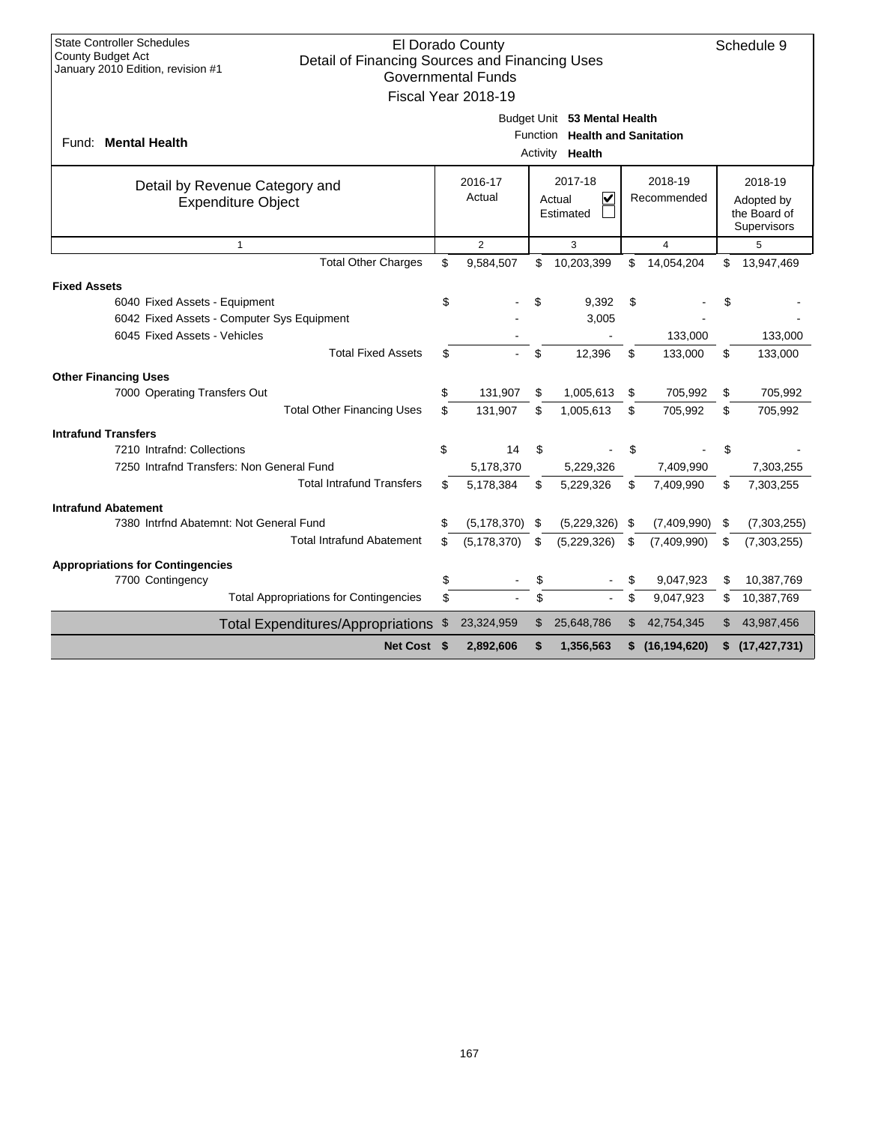| <b>State Controller Schedules</b>                                                                        | El Dorado County          |         |                                   |    |                | Schedule 9                  |
|----------------------------------------------------------------------------------------------------------|---------------------------|---------|-----------------------------------|----|----------------|-----------------------------|
| County Budget Act<br>Detail of Financing Sources and Financing Uses<br>January 2010 Edition, revision #1 |                           |         |                                   |    |                |                             |
|                                                                                                          | <b>Governmental Funds</b> |         |                                   |    |                |                             |
|                                                                                                          | Fiscal Year 2018-19       |         |                                   |    |                |                             |
|                                                                                                          |                           |         | Budget Unit 53 Mental Health      |    |                |                             |
| Fund: Mental Health                                                                                      |                           |         | Function Health and Sanitation    |    |                |                             |
|                                                                                                          |                           |         | Activity Health                   |    |                |                             |
| Detail by Revenue Category and                                                                           | 2016-17                   | 2017-18 |                                   |    | 2018-19        | 2018-19                     |
| <b>Expenditure Object</b>                                                                                | Actual                    |         | $\overline{\mathbf{v}}$<br>Actual |    | Recommended    | Adopted by                  |
|                                                                                                          |                           |         | Estimated                         |    |                | the Board of<br>Supervisors |
| $\mathbf{1}$                                                                                             | $\overline{2}$            |         | 3                                 |    | 4              | 5                           |
| <b>Total Other Charges</b>                                                                               | \$<br>9,584,507           | \$      | 10,203,399                        | \$ | 14,054,204     | \$<br>13,947,469            |
|                                                                                                          |                           |         |                                   |    |                |                             |
| <b>Fixed Assets</b><br>6040 Fixed Assets - Equipment                                                     | \$                        | \$      | 9,392                             | \$ |                | \$                          |
| 6042 Fixed Assets - Computer Sys Equipment                                                               |                           |         | 3,005                             |    |                |                             |
| 6045 Fixed Assets - Vehicles                                                                             |                           |         |                                   |    | 133,000        | 133,000                     |
| <b>Total Fixed Assets</b>                                                                                | \$                        | \$      | 12,396                            | \$ | 133,000        | \$<br>133,000               |
| <b>Other Financing Uses</b>                                                                              |                           |         |                                   |    |                |                             |
| 7000 Operating Transfers Out                                                                             | \$<br>131,907             | \$      | 1,005,613                         | \$ | 705,992        | \$<br>705,992               |
| <b>Total Other Financing Uses</b>                                                                        | \$<br>131,907             | \$      | 1,005,613                         | \$ | 705,992        | \$<br>705,992               |
| <b>Intrafund Transfers</b>                                                                               |                           |         |                                   |    |                |                             |
| 7210 Intrafnd: Collections                                                                               | \$<br>14                  | \$      |                                   | \$ |                |                             |
| 7250 Intrafnd Transfers: Non General Fund                                                                | 5,178,370                 |         | 5,229,326                         |    | 7,409,990      | 7,303,255                   |
| <b>Total Intrafund Transfers</b>                                                                         | \$<br>5,178,384           | \$      | 5,229,326                         | \$ | 7,409,990      | \$<br>7,303,255             |
| <b>Intrafund Abatement</b>                                                                               |                           |         |                                   |    |                |                             |
| 7380 Intrind Abatemnt: Not General Fund                                                                  | \$<br>(5, 178, 370)       | -S      | (5,229,326)                       | \$ | (7,409,990)    | \$<br>(7,303,255)           |
| <b>Total Intrafund Abatement</b>                                                                         | \$<br>(5, 178, 370)       | \$      | (5,229,326)                       | \$ | (7,409,990)    | \$<br>(7, 303, 255)         |
| <b>Appropriations for Contingencies</b>                                                                  |                           |         |                                   |    |                |                             |
| 7700 Contingency                                                                                         | \$                        | \$      |                                   | \$ | 9,047,923      | \$<br>10,387,769            |
| <b>Total Appropriations for Contingencies</b>                                                            | \$                        | \$      |                                   | \$ | 9,047,923      | \$<br>10,387,769            |
| <b>Total Expenditures/Appropriations</b>                                                                 | \$<br>23,324,959          | \$      | 25,648,786                        | \$ | 42,754,345     | \$<br>43,987,456            |
| Net Cost \$                                                                                              | 2,892,606                 | \$      | 1,356,563                         | S. | (16, 194, 620) | \$<br>(17, 427, 731)        |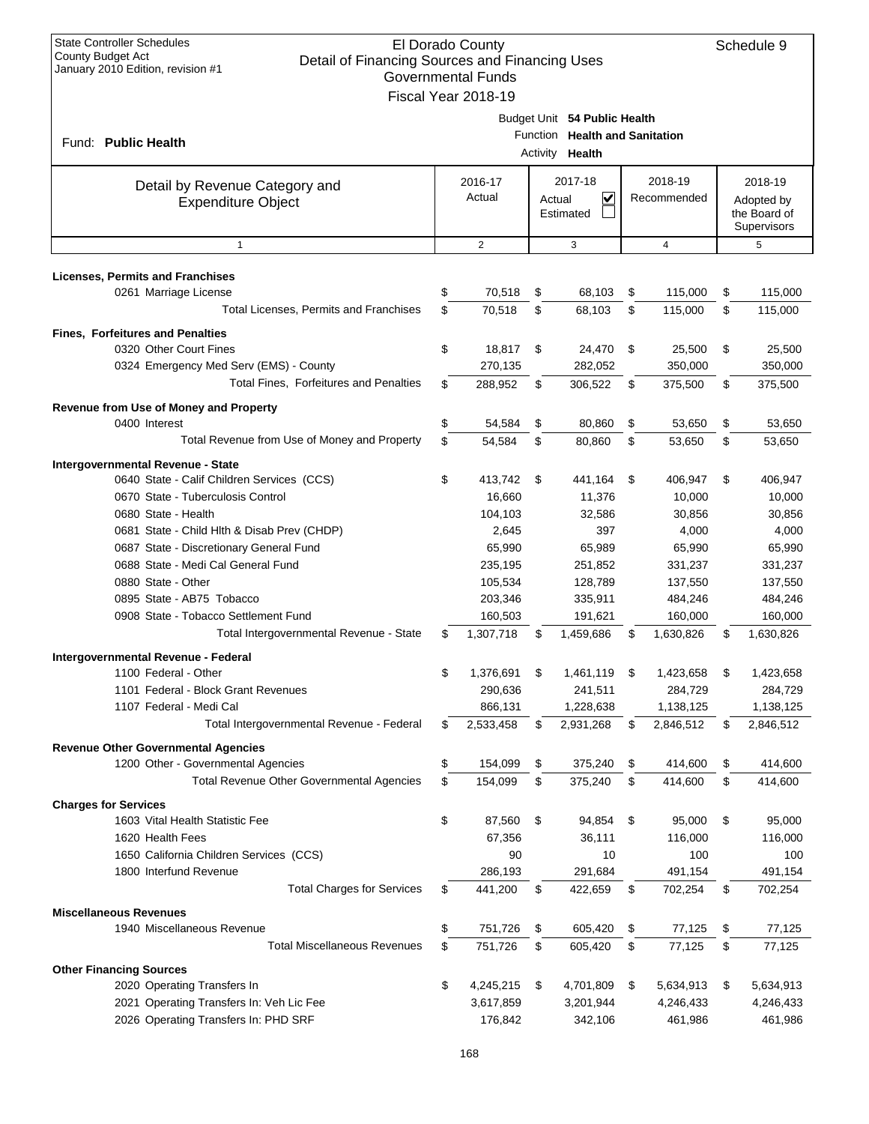| <b>State Controller Schedules</b><br>El Dorado County<br>County Budget Act<br>Detail of Financing Sources and Financing Uses<br>January 2010 Edition, revision #1<br><b>Governmental Funds</b><br>Fiscal Year 2018-19 |    |                   |    |                                                                                   |    |                        |    |                                                      |
|-----------------------------------------------------------------------------------------------------------------------------------------------------------------------------------------------------------------------|----|-------------------|----|-----------------------------------------------------------------------------------|----|------------------------|----|------------------------------------------------------|
| Fund: <b>Public Health</b>                                                                                                                                                                                            |    |                   |    | Budget Unit 54 Public Health<br>Function Health and Sanitation<br>Activity Health |    |                        |    |                                                      |
| Detail by Revenue Category and<br><b>Expenditure Object</b>                                                                                                                                                           |    | 2016-17<br>Actual |    | 2017-18<br>V<br>Actual<br>Estimated                                               |    | 2018-19<br>Recommended |    | 2018-19<br>Adopted by<br>the Board of<br>Supervisors |
| $\mathbf{1}$                                                                                                                                                                                                          |    | $\overline{2}$    |    | 3                                                                                 |    | $\overline{4}$         |    | 5                                                    |
| Licenses, Permits and Franchises                                                                                                                                                                                      |    |                   |    |                                                                                   |    |                        |    |                                                      |
| 0261 Marriage License                                                                                                                                                                                                 | \$ | 70,518            | \$ | 68,103                                                                            | \$ | 115,000                | \$ | 115,000                                              |
| Total Licenses, Permits and Franchises                                                                                                                                                                                | \$ | 70,518            | \$ | 68,103                                                                            | \$ | 115,000                | \$ | 115,000                                              |
| <b>Fines, Forfeitures and Penalties</b>                                                                                                                                                                               |    |                   |    |                                                                                   |    |                        |    |                                                      |
| 0320 Other Court Fines                                                                                                                                                                                                | \$ | 18,817            | \$ | 24,470                                                                            | \$ | 25,500                 | \$ | 25,500                                               |
| 0324 Emergency Med Serv (EMS) - County                                                                                                                                                                                |    | 270,135           |    | 282,052                                                                           |    | 350,000                |    | 350,000                                              |
| <b>Total Fines, Forfeitures and Penalties</b>                                                                                                                                                                         | \$ | 288,952           | \$ | 306,522                                                                           | \$ | 375,500                | \$ | 375,500                                              |
| Revenue from Use of Money and Property                                                                                                                                                                                |    |                   |    |                                                                                   |    |                        |    |                                                      |
| 0400 Interest                                                                                                                                                                                                         | \$ | 54,584            | \$ | 80,860                                                                            | \$ | 53,650                 | \$ | 53,650                                               |
| Total Revenue from Use of Money and Property                                                                                                                                                                          | \$ | 54,584            | \$ | 80,860                                                                            | \$ | 53,650                 | \$ | 53,650                                               |
|                                                                                                                                                                                                                       |    |                   |    |                                                                                   |    |                        |    |                                                      |
| Intergovernmental Revenue - State<br>0640 State - Calif Children Services (CCS)                                                                                                                                       | \$ | 413,742           | \$ | 441,164                                                                           | \$ | 406,947                | \$ | 406,947                                              |
| 0670 State - Tuberculosis Control                                                                                                                                                                                     |    | 16,660            |    | 11,376                                                                            |    | 10,000                 |    | 10,000                                               |
| 0680 State - Health                                                                                                                                                                                                   |    | 104,103           |    | 32,586                                                                            |    | 30,856                 |    | 30,856                                               |
| 0681 State - Child Hlth & Disab Prev (CHDP)                                                                                                                                                                           |    | 2,645             |    | 397                                                                               |    | 4,000                  |    | 4,000                                                |
| 0687 State - Discretionary General Fund                                                                                                                                                                               |    | 65,990            |    | 65,989                                                                            |    | 65,990                 |    | 65,990                                               |
| 0688 State - Medi Cal General Fund                                                                                                                                                                                    |    | 235,195           |    | 251,852                                                                           |    | 331,237                |    | 331,237                                              |
| 0880 State - Other                                                                                                                                                                                                    |    | 105,534           |    | 128,789                                                                           |    | 137,550                |    | 137,550                                              |
| 0895 State - AB75 Tobacco                                                                                                                                                                                             |    | 203,346           |    | 335,911                                                                           |    | 484,246                |    | 484,246                                              |
| 0908 State - Tobacco Settlement Fund                                                                                                                                                                                  |    | 160,503           |    | 191,621                                                                           |    | 160,000                |    | 160,000                                              |
| Total Intergovernmental Revenue - State                                                                                                                                                                               | \$ | 1,307,718         | \$ | 1,459,686                                                                         | \$ | 1,630,826              | S  | 1,630,826                                            |
|                                                                                                                                                                                                                       |    |                   |    |                                                                                   |    |                        |    |                                                      |
| Intergovernmental Revenue - Federal                                                                                                                                                                                   |    |                   |    |                                                                                   |    |                        |    |                                                      |
| 1100 Federal - Other                                                                                                                                                                                                  | \$ | 1,376,691         | \$ | 1,461,119                                                                         | \$ | 1,423,658              | \$ | 1,423,658                                            |
| 1101 Federal - Block Grant Revenues<br>1107 Federal - Medi Cal                                                                                                                                                        |    | 290,636           |    | 241,511                                                                           |    | 284,729                |    | 284,729                                              |
| Total Intergovernmental Revenue - Federal                                                                                                                                                                             | S  | 866,131           |    | 1,228,638<br>2,931,268                                                            |    | 1,138,125<br>2,846,512 |    | 1,138,125                                            |
|                                                                                                                                                                                                                       |    | 2,533,458         | \$ |                                                                                   | \$ |                        | \$ | 2,846,512                                            |
| <b>Revenue Other Governmental Agencies</b>                                                                                                                                                                            |    |                   |    |                                                                                   |    |                        |    |                                                      |
| 1200 Other - Governmental Agencies                                                                                                                                                                                    | \$ | 154,099           | \$ | 375,240                                                                           | \$ | 414,600                | \$ | 414,600                                              |
| Total Revenue Other Governmental Agencies                                                                                                                                                                             | \$ | 154,099           | \$ | 375,240                                                                           | \$ | 414,600                | \$ | 414,600                                              |
| <b>Charges for Services</b>                                                                                                                                                                                           |    |                   |    |                                                                                   |    |                        |    |                                                      |
| 1603 Vital Health Statistic Fee                                                                                                                                                                                       | \$ | 87,560            | \$ | 94,854                                                                            | \$ | 95,000                 | \$ | 95,000                                               |
| 1620 Health Fees                                                                                                                                                                                                      |    | 67,356            |    | 36,111                                                                            |    | 116,000                |    | 116,000                                              |
| 1650 California Children Services (CCS)                                                                                                                                                                               |    | 90                |    | 10                                                                                |    | 100                    |    | 100                                                  |
| 1800 Interfund Revenue                                                                                                                                                                                                |    | 286,193           |    | 291,684                                                                           |    | 491,154                |    | 491,154                                              |
| <b>Total Charges for Services</b>                                                                                                                                                                                     | \$ | 441,200           | \$ | 422,659                                                                           | \$ | 702,254                | \$ | 702,254                                              |
| <b>Miscellaneous Revenues</b>                                                                                                                                                                                         |    |                   |    |                                                                                   |    |                        |    |                                                      |
| 1940 Miscellaneous Revenue                                                                                                                                                                                            | \$ | 751,726           | \$ | 605,420                                                                           | \$ | 77,125                 | \$ | 77,125                                               |
| <b>Total Miscellaneous Revenues</b>                                                                                                                                                                                   | \$ | 751,726           | \$ | 605,420                                                                           | \$ | 77,125                 | \$ | 77,125                                               |
| <b>Other Financing Sources</b>                                                                                                                                                                                        |    |                   |    |                                                                                   |    |                        |    |                                                      |
| 2020 Operating Transfers In                                                                                                                                                                                           | \$ | 4,245,215         | \$ | 4,701,809                                                                         | \$ | 5,634,913              | \$ | 5,634,913                                            |
| 2021 Operating Transfers In: Veh Lic Fee                                                                                                                                                                              |    | 3,617,859         |    | 3,201,944                                                                         |    | 4,246,433              |    | 4,246,433                                            |
| 2026 Operating Transfers In: PHD SRF                                                                                                                                                                                  |    | 176,842           |    | 342,106                                                                           |    | 461,986                |    | 461,986                                              |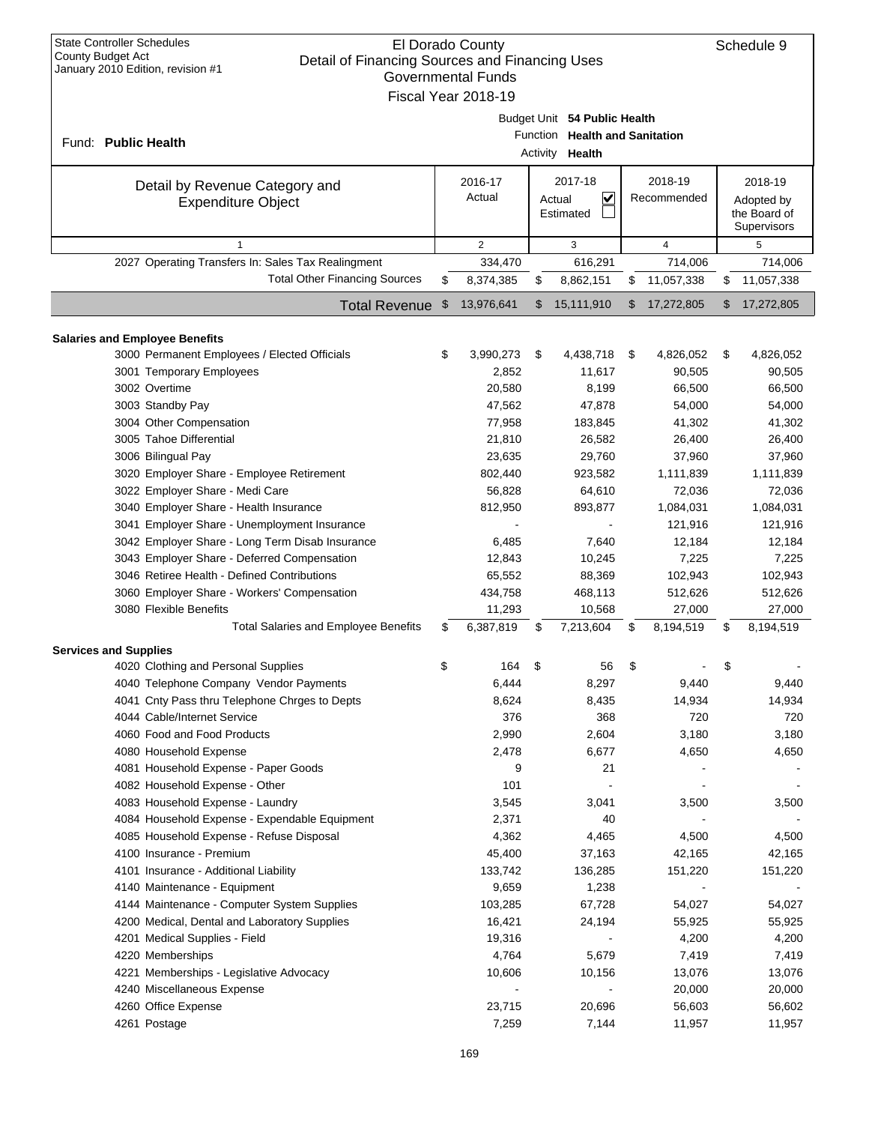| <b>State Controller Schedules</b><br>El Dorado County<br><b>County Budget Act</b><br>Detail of Financing Sources and Financing Uses<br>January 2010 Edition, revision #1<br><b>Governmental Funds</b> |                |                     |    |                                   |    |                     |    |                             |  |  |  |
|-------------------------------------------------------------------------------------------------------------------------------------------------------------------------------------------------------|----------------|---------------------|----|-----------------------------------|----|---------------------|----|-----------------------------|--|--|--|
|                                                                                                                                                                                                       |                | Fiscal Year 2018-19 |    |                                   |    |                     |    |                             |  |  |  |
|                                                                                                                                                                                                       |                |                     |    | Budget Unit 54 Public Health      |    |                     |    |                             |  |  |  |
| Fund: Public Health                                                                                                                                                                                   |                |                     |    | Function Health and Sanitation    |    |                     |    |                             |  |  |  |
| Activity Health                                                                                                                                                                                       |                |                     |    |                                   |    |                     |    |                             |  |  |  |
| Detail by Revenue Category and                                                                                                                                                                        |                | 2016-17             |    | 2017-18                           |    | 2018-19             |    | 2018-19                     |  |  |  |
| <b>Expenditure Object</b>                                                                                                                                                                             |                | Actual              |    | $\overline{\mathsf{v}}$<br>Actual |    | Recommended         |    | Adopted by                  |  |  |  |
|                                                                                                                                                                                                       |                |                     |    | Estimated                         |    |                     |    | the Board of<br>Supervisors |  |  |  |
| $\mathbf{1}$                                                                                                                                                                                          |                | $\overline{2}$      |    | 3                                 |    | $\overline{4}$      |    | 5                           |  |  |  |
| 2027 Operating Transfers In: Sales Tax Realingment                                                                                                                                                    |                | 334,470             |    | 616,291                           |    | 714,006             |    | 714,006                     |  |  |  |
| <b>Total Other Financing Sources</b>                                                                                                                                                                  | \$             | 8,374,385           | \$ | 8,862,151                         | \$ | 11,057,338          |    | 11,057,338                  |  |  |  |
| <b>Total Revenue</b>                                                                                                                                                                                  | $\mathfrak{S}$ | 13,976,641          | \$ | 15,111,910                        | \$ | 17,272,805          | \$ | 17,272,805                  |  |  |  |
|                                                                                                                                                                                                       |                |                     |    |                                   |    |                     |    |                             |  |  |  |
| <b>Salaries and Employee Benefits</b><br>3000 Permanent Employees / Elected Officials                                                                                                                 | \$             | 3,990,273           | \$ | 4,438,718                         | \$ | 4,826,052           | \$ | 4,826,052                   |  |  |  |
| 3001 Temporary Employees                                                                                                                                                                              |                | 2,852               |    | 11,617                            |    | 90,505              |    | 90,505                      |  |  |  |
| 3002 Overtime                                                                                                                                                                                         |                | 20,580              |    | 8,199                             |    | 66,500              |    | 66,500                      |  |  |  |
| 3003 Standby Pay                                                                                                                                                                                      |                | 47,562              |    | 47,878                            |    | 54,000              |    | 54,000                      |  |  |  |
| 3004 Other Compensation                                                                                                                                                                               |                | 77,958              |    | 183,845                           |    | 41,302              |    | 41,302                      |  |  |  |
| 3005 Tahoe Differential                                                                                                                                                                               |                | 21,810              |    | 26,582                            |    | 26,400              |    | 26,400                      |  |  |  |
| 3006 Bilingual Pay                                                                                                                                                                                    |                | 23,635              |    | 29,760                            |    | 37,960              |    | 37,960                      |  |  |  |
| 3020 Employer Share - Employee Retirement                                                                                                                                                             |                | 802,440             |    | 923,582                           |    | 1,111,839           |    | 1,111,839                   |  |  |  |
| 3022 Employer Share - Medi Care                                                                                                                                                                       |                | 56,828              |    | 64,610                            |    | 72,036              |    | 72,036                      |  |  |  |
| 3040 Employer Share - Health Insurance                                                                                                                                                                |                | 812,950             |    | 893,877                           |    | 1,084,031           |    | 1,084,031                   |  |  |  |
| 3041 Employer Share - Unemployment Insurance                                                                                                                                                          |                |                     |    |                                   |    | 121,916             |    | 121,916                     |  |  |  |
| 3042 Employer Share - Long Term Disab Insurance                                                                                                                                                       |                | 6,485               |    | 7,640                             |    | 12,184              |    | 12,184                      |  |  |  |
| 3043 Employer Share - Deferred Compensation                                                                                                                                                           |                | 12,843              |    | 10,245                            |    | 7,225               |    | 7,225                       |  |  |  |
| 3046 Retiree Health - Defined Contributions                                                                                                                                                           |                | 65,552              |    | 88,369                            |    | 102,943             |    | 102,943                     |  |  |  |
| 3060 Employer Share - Workers' Compensation                                                                                                                                                           |                | 434,758             |    | 468,113                           |    | 512,626             |    | 512,626                     |  |  |  |
| 3080 Flexible Benefits<br><b>Total Salaries and Employee Benefits</b>                                                                                                                                 | \$             | 11,293<br>6,387,819 | \$ | 10,568<br>7,213,604               | S  | 27,000<br>8,194,519 | \$ | 27,000<br>8,194,519         |  |  |  |
|                                                                                                                                                                                                       |                |                     |    |                                   |    |                     |    |                             |  |  |  |
| <b>Services and Supplies</b>                                                                                                                                                                          |                |                     |    |                                   |    |                     |    |                             |  |  |  |
| 4020 Clothing and Personal Supplies<br>4040 Telephone Company Vendor Payments                                                                                                                         | \$             | 164<br>6,444        | \$ | 56<br>8,297                       | \$ |                     | \$ |                             |  |  |  |
| 4041 Cnty Pass thru Telephone Chrges to Depts                                                                                                                                                         |                | 8,624               |    | 8,435                             |    | 9,440<br>14,934     |    | 9,440<br>14,934             |  |  |  |
| 4044 Cable/Internet Service                                                                                                                                                                           |                | 376                 |    | 368                               |    | 720                 |    | 720                         |  |  |  |
| 4060 Food and Food Products                                                                                                                                                                           |                | 2,990               |    | 2,604                             |    | 3,180               |    | 3,180                       |  |  |  |
| 4080 Household Expense                                                                                                                                                                                |                | 2,478               |    | 6,677                             |    | 4,650               |    | 4,650                       |  |  |  |
| 4081 Household Expense - Paper Goods                                                                                                                                                                  |                | 9                   |    | 21                                |    |                     |    |                             |  |  |  |
| 4082 Household Expense - Other                                                                                                                                                                        |                | 101                 |    |                                   |    |                     |    |                             |  |  |  |
| 4083 Household Expense - Laundry                                                                                                                                                                      |                | 3,545               |    | 3,041                             |    | 3,500               |    | 3,500                       |  |  |  |
| 4084 Household Expense - Expendable Equipment                                                                                                                                                         |                | 2,371               |    | 40                                |    |                     |    |                             |  |  |  |
| 4085 Household Expense - Refuse Disposal                                                                                                                                                              |                | 4,362               |    | 4,465                             |    | 4,500               |    | 4,500                       |  |  |  |
| 4100 Insurance - Premium                                                                                                                                                                              |                | 45,400              |    | 37,163                            |    | 42,165              |    | 42,165                      |  |  |  |
| 4101 Insurance - Additional Liability                                                                                                                                                                 |                | 133,742             |    | 136,285                           |    | 151,220             |    | 151,220                     |  |  |  |
| 4140 Maintenance - Equipment                                                                                                                                                                          |                | 9,659               |    | 1,238                             |    |                     |    |                             |  |  |  |
| 4144 Maintenance - Computer System Supplies                                                                                                                                                           |                | 103,285             |    | 67,728                            |    | 54,027              |    | 54,027                      |  |  |  |
| 4200 Medical, Dental and Laboratory Supplies                                                                                                                                                          |                | 16,421              |    | 24,194                            |    | 55,925              |    | 55,925                      |  |  |  |
| 4201 Medical Supplies - Field                                                                                                                                                                         |                | 19,316              |    |                                   |    | 4,200               |    | 4,200                       |  |  |  |
| 4220 Memberships                                                                                                                                                                                      |                | 4,764               |    | 5,679                             |    | 7,419               |    | 7,419                       |  |  |  |
| 4221 Memberships - Legislative Advocacy                                                                                                                                                               |                | 10,606              |    | 10,156                            |    | 13,076              |    | 13,076                      |  |  |  |
| 4240 Miscellaneous Expense<br>4260 Office Expense                                                                                                                                                     |                | 23,715              |    | 20,696                            |    | 20,000<br>56,603    |    | 20,000<br>56,602            |  |  |  |
| 4261 Postage                                                                                                                                                                                          |                | 7,259               |    | 7,144                             |    | 11,957              |    | 11,957                      |  |  |  |
|                                                                                                                                                                                                       |                |                     |    |                                   |    |                     |    |                             |  |  |  |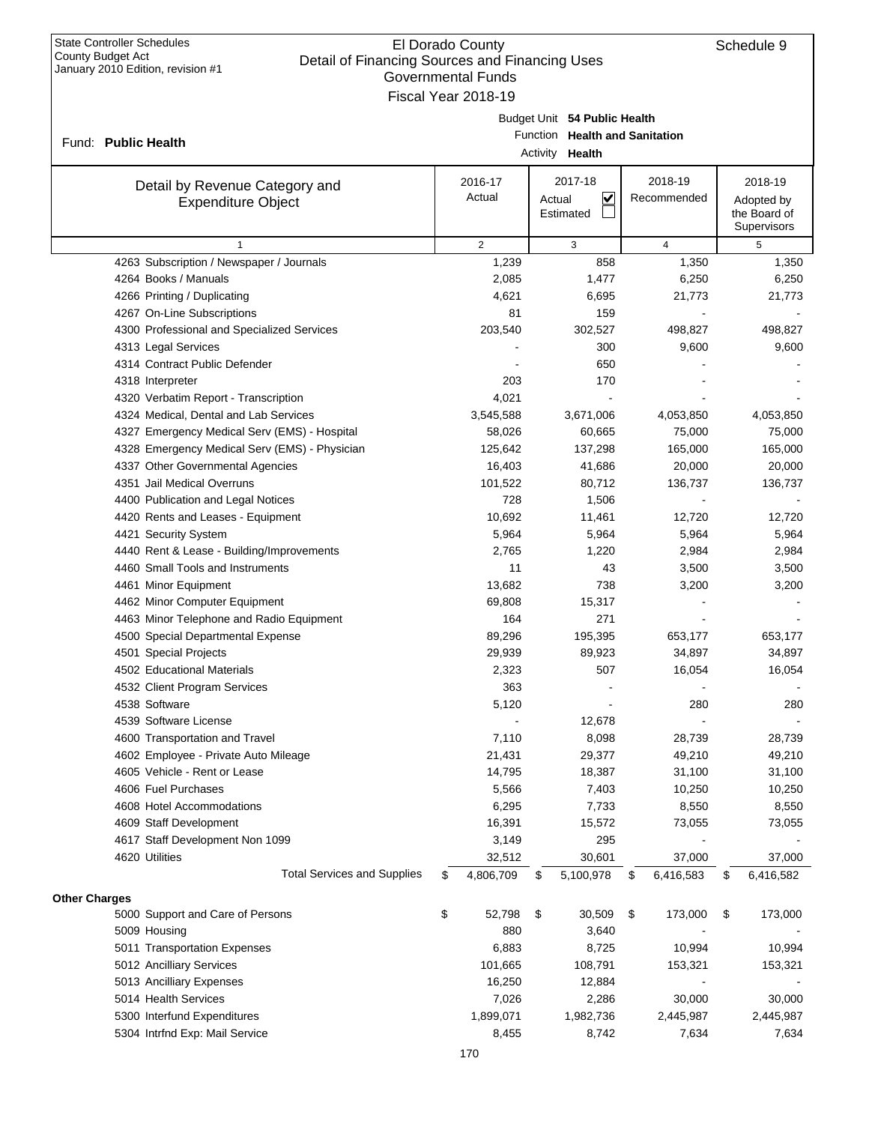|                      |                                                             | <b>GUVENNINGI LUNUS</b><br>Fiscal Year 2018-19 |        |                                                   |                 |                                           |
|----------------------|-------------------------------------------------------------|------------------------------------------------|--------|---------------------------------------------------|-----------------|-------------------------------------------|
|                      |                                                             |                                                |        | Budget Unit 54 Public Health                      |                 |                                           |
|                      | Fund: Public Health                                         |                                                |        | Function Health and Sanitation<br>Activity Health |                 |                                           |
|                      |                                                             | 2016-17                                        |        | 2017-18                                           | 2018-19         | 2018-19                                   |
|                      | Detail by Revenue Category and<br><b>Expenditure Object</b> | Actual                                         | Actual | V<br>Estimated                                    | Recommended     | Adopted by<br>the Board of<br>Supervisors |
|                      | $\mathbf{1}$                                                | 2                                              |        | 3                                                 | $\overline{4}$  | 5                                         |
|                      | 4263 Subscription / Newspaper / Journals                    | 1,239                                          |        | 858                                               | 1,350           | 1,350                                     |
|                      | 4264 Books / Manuals                                        | 2,085                                          |        | 1,477                                             | 6,250           | 6,250                                     |
|                      | 4266 Printing / Duplicating                                 | 4,621                                          |        | 6,695                                             | 21,773          | 21,773                                    |
|                      | 4267 On-Line Subscriptions                                  | 81                                             |        | 159                                               |                 |                                           |
|                      | 4300 Professional and Specialized Services                  | 203,540                                        |        | 302,527                                           | 498,827         | 498,827                                   |
|                      | 4313 Legal Services                                         |                                                |        | 300                                               | 9,600           | 9,600                                     |
|                      | 4314 Contract Public Defender                               |                                                |        | 650                                               |                 |                                           |
|                      | 4318 Interpreter                                            | 203                                            |        | 170                                               |                 |                                           |
|                      | 4320 Verbatim Report - Transcription                        | 4,021                                          |        |                                                   |                 |                                           |
|                      | 4324 Medical, Dental and Lab Services                       | 3,545,588                                      |        | 3,671,006                                         | 4,053,850       | 4,053,850                                 |
|                      | 4327 Emergency Medical Serv (EMS) - Hospital                | 58,026                                         |        | 60,665                                            | 75,000          | 75,000                                    |
|                      | 4328 Emergency Medical Serv (EMS) - Physician               | 125,642                                        |        | 137,298                                           | 165,000         | 165,000                                   |
|                      | 4337 Other Governmental Agencies                            | 16,403                                         |        | 41,686                                            | 20,000          | 20,000                                    |
|                      | 4351 Jail Medical Overruns                                  | 101,522                                        |        | 80,712                                            | 136,737         | 136,737                                   |
|                      | 4400 Publication and Legal Notices                          | 728                                            |        | 1,506                                             |                 |                                           |
|                      | 4420 Rents and Leases - Equipment                           | 10,692                                         |        | 11,461                                            | 12,720          | 12,720                                    |
|                      | 4421 Security System                                        | 5,964                                          |        | 5,964                                             | 5,964           | 5,964                                     |
|                      | 4440 Rent & Lease - Building/Improvements                   | 2,765                                          |        | 1,220                                             | 2,984           | 2,984                                     |
|                      | 4460 Small Tools and Instruments                            | 11                                             |        | 43                                                | 3,500           | 3,500                                     |
|                      | 4461 Minor Equipment                                        | 13,682                                         |        | 738                                               | 3,200           | 3,200                                     |
|                      | 4462 Minor Computer Equipment                               | 69,808                                         |        | 15,317                                            |                 |                                           |
|                      | 4463 Minor Telephone and Radio Equipment                    | 164                                            |        | 271                                               |                 |                                           |
|                      | 4500 Special Departmental Expense                           | 89,296                                         |        | 195,395                                           | 653,177         | 653,177                                   |
|                      | 4501 Special Projects                                       | 29,939                                         |        | 89,923                                            | 34,897          | 34,897                                    |
|                      | 4502 Educational Materials                                  | 2,323                                          |        | 507                                               | 16,054          | 16,054                                    |
|                      | 4532 Client Program Services                                | 363                                            |        |                                                   |                 |                                           |
|                      | 4538 Software                                               | 5,120                                          |        |                                                   | 280             | 280                                       |
|                      | 4539 Software License                                       |                                                |        | 12,678                                            |                 |                                           |
|                      | 4600 Transportation and Travel                              | 7,110                                          |        | 8,098                                             | 28,739          | 28,739                                    |
|                      | 4602 Employee - Private Auto Mileage                        | 21,431                                         |        | 29,377                                            | 49,210          | 49,210                                    |
|                      | 4605 Vehicle - Rent or Lease                                | 14,795                                         |        | 18,387                                            | 31,100          | 31,100                                    |
|                      | 4606 Fuel Purchases                                         | 5,566                                          |        | 7,403                                             | 10,250          | 10,250                                    |
|                      | 4608 Hotel Accommodations                                   | 6,295                                          |        | 7,733                                             | 8,550           | 8,550                                     |
|                      | 4609 Staff Development                                      | 16,391                                         |        | 15,572                                            | 73,055          | 73,055                                    |
|                      | 4617 Staff Development Non 1099                             | 3,149                                          |        | 295                                               |                 |                                           |
|                      | 4620 Utilities                                              | 32,512                                         |        | 30,601                                            | 37,000          | 37,000                                    |
|                      | <b>Total Services and Supplies</b>                          | \$<br>4,806,709                                | \$     | 5,100,978                                         | \$<br>6,416,583 | \$<br>6,416,582                           |
| <b>Other Charges</b> |                                                             |                                                |        |                                                   |                 |                                           |
|                      | 5000 Support and Care of Persons                            | \$<br>52,798                                   | \$     | 30,509                                            | \$<br>173,000   | \$<br>173,000                             |
|                      | 5009 Housing                                                | 880                                            |        | 3,640                                             |                 |                                           |
|                      | 5011 Transportation Expenses                                | 6,883                                          |        | 8,725                                             | 10,994          | 10,994                                    |
|                      | 5012 Ancilliary Services                                    | 101,665                                        |        | 108,791                                           | 153,321         | 153,321                                   |
|                      | 5013 Ancilliary Expenses                                    | 16,250                                         |        | 12,884                                            |                 |                                           |
|                      | 5014 Health Services                                        | 7,026                                          |        | 2,286                                             | 30,000          | 30,000                                    |
|                      | 5300 Interfund Expenditures                                 | 1,899,071                                      |        | 1,982,736                                         | 2,445,987       | 2,445,987                                 |
|                      | 5304 Intrfnd Exp: Mail Service                              | 8,455                                          |        | 8,742                                             | 7,634           | 7,634                                     |
|                      |                                                             |                                                |        |                                                   |                 |                                           |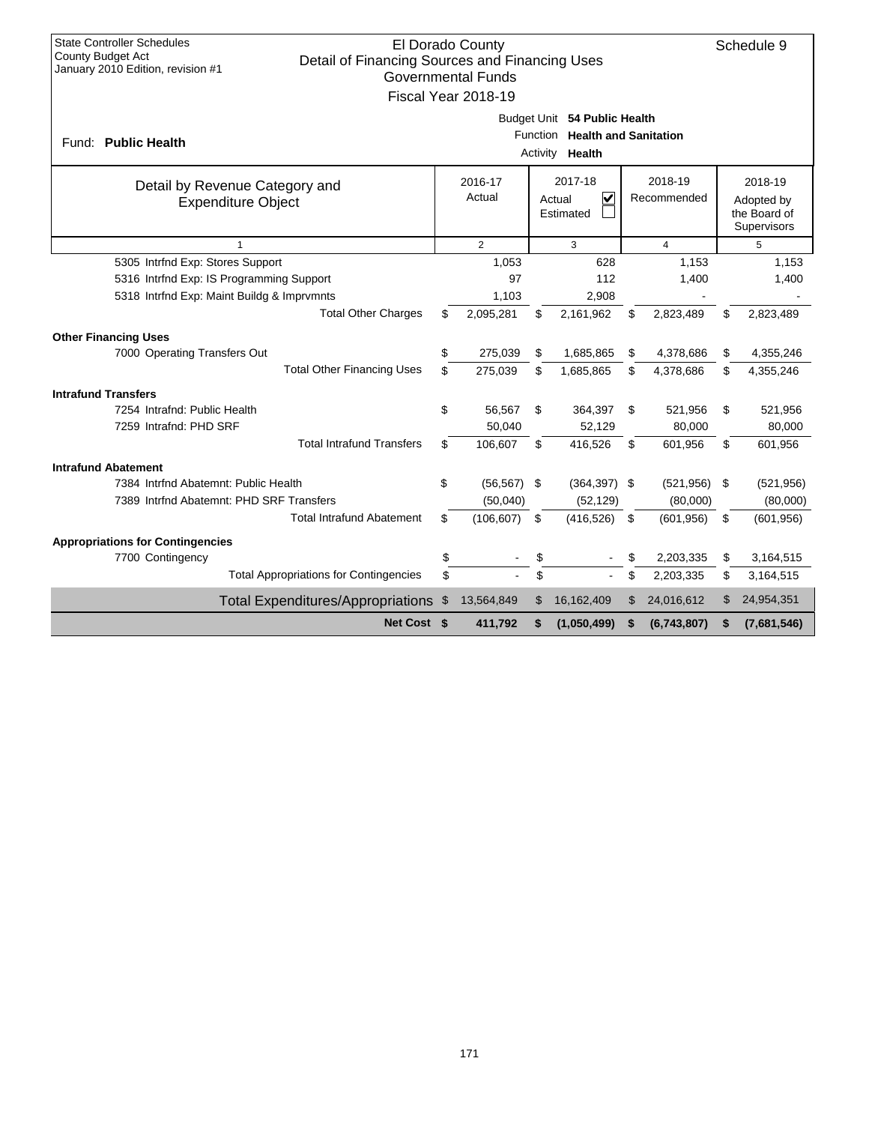| <b>State Controller Schedules</b><br>El Dorado County<br>Schedule 9<br><b>County Budget Act</b><br>Detail of Financing Sources and Financing Uses |                              |                |                    |                                   |    |                |     |                             |  |  |
|---------------------------------------------------------------------------------------------------------------------------------------------------|------------------------------|----------------|--------------------|-----------------------------------|----|----------------|-----|-----------------------------|--|--|
| January 2010 Edition, revision #1<br><b>Governmental Funds</b>                                                                                    |                              |                |                    |                                   |    |                |     |                             |  |  |
| Fiscal Year 2018-19                                                                                                                               |                              |                |                    |                                   |    |                |     |                             |  |  |
|                                                                                                                                                   | Budget Unit 54 Public Health |                |                    |                                   |    |                |     |                             |  |  |
|                                                                                                                                                   |                              |                | Function           | <b>Health and Sanitation</b>      |    |                |     |                             |  |  |
| Fund: Public Health                                                                                                                               |                              |                | Activity           | Health                            |    |                |     |                             |  |  |
| Detail by Revenue Category and                                                                                                                    |                              | 2016-17        | 2017-18<br>2018-19 |                                   |    |                |     | 2018-19                     |  |  |
| <b>Expenditure Object</b>                                                                                                                         |                              | Actual         |                    | $\overline{\mathbf{v}}$<br>Actual |    | Recommended    |     | Adopted by                  |  |  |
|                                                                                                                                                   |                              |                | Estimated          |                                   |    |                |     | the Board of<br>Supervisors |  |  |
| 1                                                                                                                                                 |                              | $\overline{2}$ | 3                  |                                   |    | $\overline{4}$ | 5   |                             |  |  |
| 5305 Intrfnd Exp: Stores Support                                                                                                                  |                              | 1,053          |                    | 628                               |    | 1,153          |     | 1,153                       |  |  |
| 5316 Intrfnd Exp: IS Programming Support                                                                                                          |                              | 97             |                    | 112                               |    | 1,400          |     | 1,400                       |  |  |
| 5318 Intrfnd Exp: Maint Buildg & Imprvmnts                                                                                                        |                              | 1,103          |                    | 2,908                             |    |                |     |                             |  |  |
| <b>Total Other Charges</b>                                                                                                                        | \$                           | 2,095,281      | \$                 | 2,161,962                         | \$ | 2,823,489      | \$  | 2,823,489                   |  |  |
| <b>Other Financing Uses</b>                                                                                                                       |                              |                |                    |                                   |    |                |     |                             |  |  |
| 7000 Operating Transfers Out                                                                                                                      | \$                           | 275,039        | \$                 | 1,685,865                         | \$ | 4,378,686      | \$  | 4,355,246                   |  |  |
| <b>Total Other Financing Uses</b>                                                                                                                 | \$                           | 275,039        | \$                 | 1,685,865                         | \$ | 4,378,686      | \$  | 4,355,246                   |  |  |
| <b>Intrafund Transfers</b>                                                                                                                        |                              |                |                    |                                   |    |                |     |                             |  |  |
| 7254 Intrafnd: Public Health                                                                                                                      | \$                           | 56,567         | \$                 | 364,397                           | \$ | 521,956        | \$  | 521,956                     |  |  |
| 7259 Intrafnd: PHD SRF                                                                                                                            |                              | 50,040         |                    | 52.129                            |    | 80,000         |     | 80,000                      |  |  |
| <b>Total Intrafund Transfers</b>                                                                                                                  | \$                           | 106,607        | \$                 | 416,526                           | \$ | 601,956        | \$  | 601,956                     |  |  |
| <b>Intrafund Abatement</b>                                                                                                                        |                              |                |                    |                                   |    |                |     |                             |  |  |
| 7384 Intrfnd Abatemnt: Public Health                                                                                                              | \$                           | $(56, 567)$ \$ |                    | $(364, 397)$ \$                   |    | (521, 956)     | -\$ | (521, 956)                  |  |  |
| 7389 Intrind Abatemnt: PHD SRF Transfers                                                                                                          |                              | (50,040)       |                    | (52, 129)                         |    | (80,000)       |     | (80,000)                    |  |  |
| <b>Total Intrafund Abatement</b>                                                                                                                  | \$                           | (106, 607)     | \$                 | (416, 526)                        | \$ | (601, 956)     | \$  | (601, 956)                  |  |  |
| <b>Appropriations for Contingencies</b>                                                                                                           |                              |                |                    |                                   |    |                |     |                             |  |  |
| 7700 Contingency                                                                                                                                  | \$                           |                | \$                 |                                   | \$ | 2,203,335      | \$  | 3,164,515                   |  |  |
| <b>Total Appropriations for Contingencies</b>                                                                                                     | \$                           |                | \$                 | $\omega$                          | \$ | 2,203,335      | \$  | 3,164,515                   |  |  |
| <b>Total Expenditures/Appropriations</b>                                                                                                          | \$                           | 13,564,849     | \$                 | 16,162,409                        | \$ | 24,016,612     | \$  | 24,954,351                  |  |  |
| Net Cost \$                                                                                                                                       |                              | 411,792        | S                  | (1,050,499)                       | \$ | (6,743,807)    | S   | (7,681,546)                 |  |  |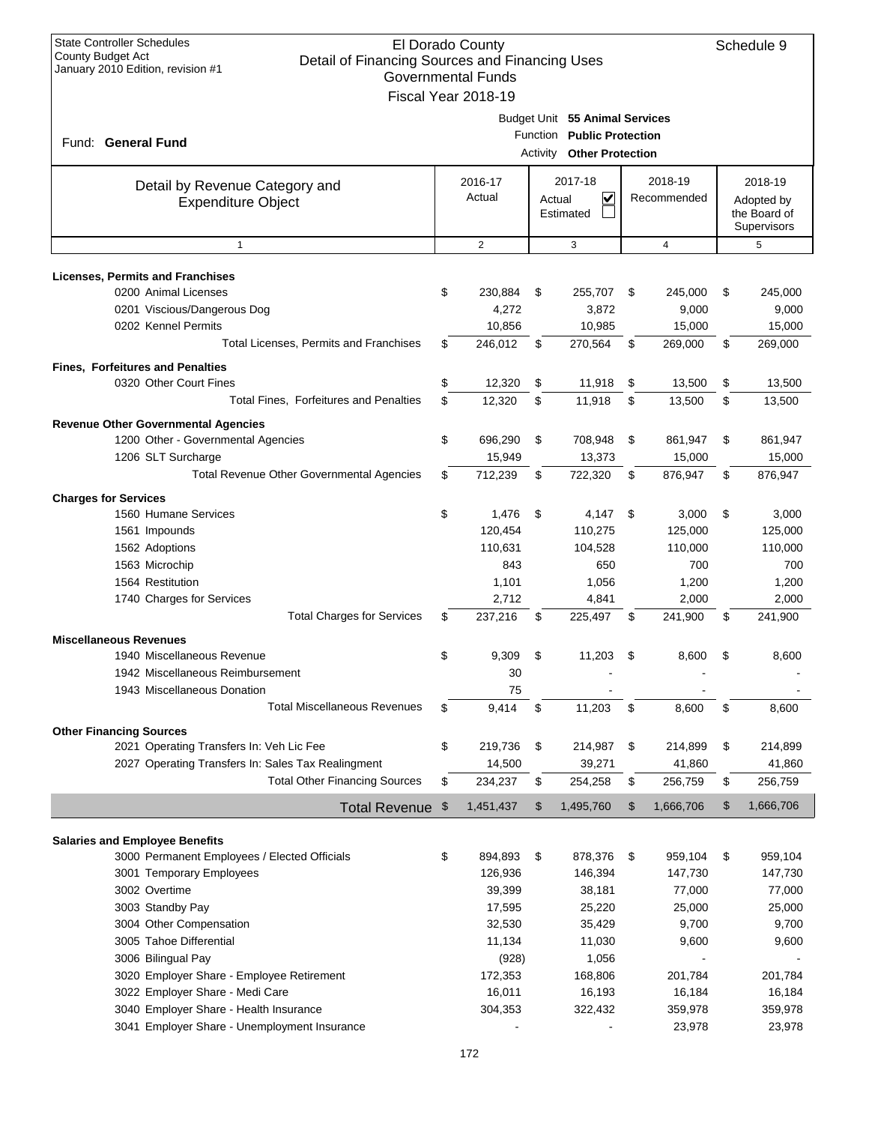| <b>State Controller Schedules</b><br>El Dorado County<br><b>County Budget Act</b><br>Detail of Financing Sources and Financing Uses<br>January 2010 Edition, revision #1<br><b>Governmental Funds</b> |    |                     |        |                                |    |                  |    |                  |  |
|-------------------------------------------------------------------------------------------------------------------------------------------------------------------------------------------------------|----|---------------------|--------|--------------------------------|----|------------------|----|------------------|--|
|                                                                                                                                                                                                       |    | Fiscal Year 2018-19 |        |                                |    |                  |    |                  |  |
|                                                                                                                                                                                                       |    |                     |        | Budget Unit 55 Animal Services |    |                  |    |                  |  |
| Fund: General Fund                                                                                                                                                                                    |    |                     |        | Function Public Protection     |    |                  |    |                  |  |
| <b>Activity Other Protection</b>                                                                                                                                                                      |    |                     |        |                                |    |                  |    |                  |  |
|                                                                                                                                                                                                       |    | 2016-17             |        | 2017-18                        |    | 2018-19          |    | 2018-19          |  |
| Detail by Revenue Category and<br><b>Expenditure Object</b>                                                                                                                                           |    | Actual              | Actual | V                              |    | Recommended      |    | Adopted by       |  |
|                                                                                                                                                                                                       |    |                     |        | Estimated                      |    |                  |    | the Board of     |  |
|                                                                                                                                                                                                       |    |                     |        |                                |    |                  |    | Supervisors      |  |
| $\mathbf{1}$                                                                                                                                                                                          |    | $\overline{2}$      |        | 3                              |    | $\overline{4}$   |    | 5                |  |
|                                                                                                                                                                                                       |    |                     |        |                                |    |                  |    |                  |  |
| <b>Licenses, Permits and Franchises</b><br>0200 Animal Licenses                                                                                                                                       | \$ | 230,884             | \$     |                                | \$ |                  | \$ |                  |  |
| 0201 Viscious/Dangerous Dog                                                                                                                                                                           |    | 4,272               |        | 255,707<br>3,872               |    | 245,000<br>9,000 |    | 245,000<br>9,000 |  |
| 0202 Kennel Permits                                                                                                                                                                                   |    | 10,856              |        | 10,985                         |    | 15,000           |    | 15,000           |  |
| Total Licenses, Permits and Franchises                                                                                                                                                                | \$ | 246,012             | \$     | 270,564                        | \$ | 269,000          | \$ | 269,000          |  |
|                                                                                                                                                                                                       |    |                     |        |                                |    |                  |    |                  |  |
| <b>Fines, Forfeitures and Penalties</b>                                                                                                                                                               |    |                     |        |                                |    |                  |    |                  |  |
| 0320 Other Court Fines                                                                                                                                                                                | \$ | 12,320              | \$     | 11,918                         | \$ | 13,500           | \$ | 13,500           |  |
| <b>Total Fines. Forfeitures and Penalties</b>                                                                                                                                                         | \$ | 12,320              | \$     | 11,918                         | \$ | 13,500           | \$ | 13,500           |  |
| <b>Revenue Other Governmental Agencies</b>                                                                                                                                                            |    |                     |        |                                |    |                  |    |                  |  |
| 1200 Other - Governmental Agencies                                                                                                                                                                    | \$ | 696,290             | \$     | 708,948                        | \$ | 861,947          | \$ | 861,947          |  |
| 1206 SLT Surcharge                                                                                                                                                                                    |    | 15,949              |        | 13,373                         |    | 15,000           |    | 15,000           |  |
| Total Revenue Other Governmental Agencies                                                                                                                                                             | \$ | 712,239             | \$     | 722,320                        | \$ | 876,947          | \$ | 876,947          |  |
| <b>Charges for Services</b>                                                                                                                                                                           |    |                     |        |                                |    |                  |    |                  |  |
| 1560 Humane Services                                                                                                                                                                                  | \$ | 1,476               | \$     | 4,147                          | \$ | 3,000            | \$ | 3,000            |  |
| 1561 Impounds                                                                                                                                                                                         |    | 120,454             |        | 110,275                        |    | 125,000          |    | 125,000          |  |
| 1562 Adoptions                                                                                                                                                                                        |    | 110,631             |        | 104,528                        |    | 110,000          |    | 110,000          |  |
| 1563 Microchip                                                                                                                                                                                        |    | 843                 |        | 650                            |    | 700              |    | 700              |  |
| 1564 Restitution                                                                                                                                                                                      |    | 1,101               |        | 1,056                          |    | 1,200            |    | 1,200            |  |
| 1740 Charges for Services                                                                                                                                                                             |    | 2,712               |        | 4,841                          |    | 2,000            |    | 2,000            |  |
| <b>Total Charges for Services</b>                                                                                                                                                                     | S  | 237,216             | \$     | 225,497                        | \$ | 241,900          | \$ | 241,900          |  |
|                                                                                                                                                                                                       |    |                     |        |                                |    |                  |    |                  |  |
| <b>Miscellaneous Revenues</b>                                                                                                                                                                         |    |                     |        |                                |    |                  |    |                  |  |
| 1940 Miscellaneous Revenue                                                                                                                                                                            | \$ | 9,309               | \$     | 11,203                         | \$ | 8,600            | \$ | 8,600            |  |
| 1942 Miscellaneous Reimbursement                                                                                                                                                                      |    | 30                  |        |                                |    |                  |    |                  |  |
| 1943 Miscellaneous Donation                                                                                                                                                                           |    | 75                  |        |                                |    |                  |    |                  |  |
| <b>Total Miscellaneous Revenues</b>                                                                                                                                                                   | \$ | 9,414               | \$     | 11,203                         | \$ | 8,600            | \$ | 8,600            |  |
| <b>Other Financing Sources</b>                                                                                                                                                                        |    |                     |        |                                |    |                  |    |                  |  |
| 2021 Operating Transfers In: Veh Lic Fee                                                                                                                                                              | \$ | 219,736             | \$     | 214,987                        | \$ | 214,899          | \$ | 214,899          |  |
| 2027 Operating Transfers In: Sales Tax Realingment                                                                                                                                                    |    | 14,500              |        | 39,271                         |    | 41,860           |    | 41,860           |  |
| <b>Total Other Financing Sources</b>                                                                                                                                                                  | \$ | 234,237             | \$     | 254,258                        | \$ | 256,759          | \$ | 256,759          |  |
| <b>Total Revenue</b>                                                                                                                                                                                  | \$ | 1,451,437           | \$     | 1,495,760                      | \$ | 1,666,706        | \$ | 1,666,706        |  |
|                                                                                                                                                                                                       |    |                     |        |                                |    |                  |    |                  |  |
| <b>Salaries and Employee Benefits</b>                                                                                                                                                                 |    |                     |        |                                |    |                  |    |                  |  |
| 3000 Permanent Employees / Elected Officials                                                                                                                                                          | \$ | 894,893             | \$     | 878,376                        | \$ | 959,104          | \$ | 959,104          |  |
| 3001 Temporary Employees                                                                                                                                                                              |    | 126,936             |        | 146,394                        |    | 147,730          |    | 147,730          |  |
| 3002 Overtime                                                                                                                                                                                         |    | 39,399              |        | 38,181                         |    | 77,000           |    | 77,000           |  |
| 3003 Standby Pay                                                                                                                                                                                      |    | 17,595              |        | 25,220                         |    | 25,000           |    | 25,000           |  |
| 3004 Other Compensation                                                                                                                                                                               |    | 32,530              |        | 35,429                         |    | 9,700            |    | 9,700            |  |
| 3005 Tahoe Differential                                                                                                                                                                               |    | 11,134              |        | 11,030                         |    | 9,600            |    | 9,600            |  |
| 3006 Bilingual Pay                                                                                                                                                                                    |    | (928)               |        | 1,056                          |    |                  |    |                  |  |
| 3020 Employer Share - Employee Retirement                                                                                                                                                             |    | 172,353             |        | 168,806                        |    | 201,784          |    | 201,784          |  |
| 3022 Employer Share - Medi Care                                                                                                                                                                       |    | 16,011              |        | 16,193                         |    | 16,184           |    | 16,184           |  |
| 3040 Employer Share - Health Insurance                                                                                                                                                                |    | 304,353             |        | 322,432                        |    | 359,978          |    | 359,978          |  |
| 3041 Employer Share - Unemployment Insurance                                                                                                                                                          |    |                     |        |                                |    | 23,978           |    | 23,978           |  |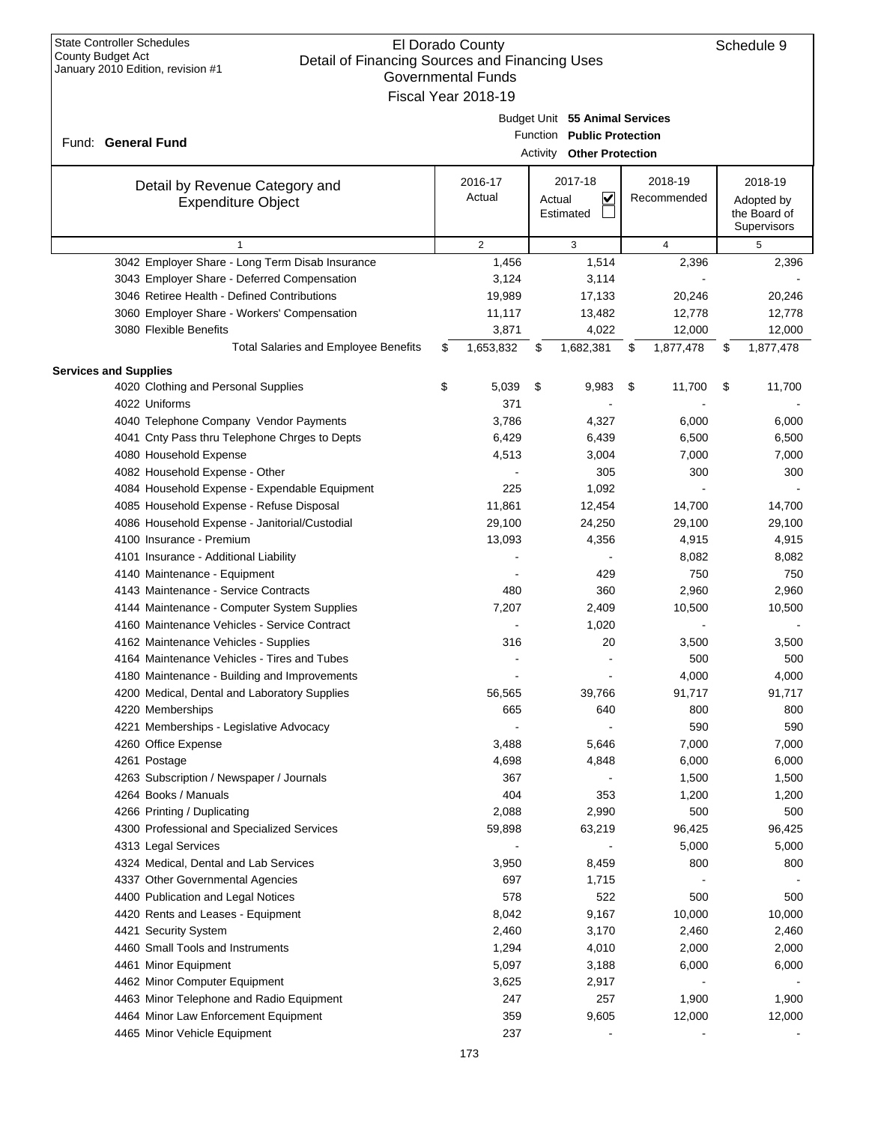| <b>Governmental Funds</b> |                                                 |    |                     |                           |                                |    |                        |    |                            |  |
|---------------------------|-------------------------------------------------|----|---------------------|---------------------------|--------------------------------|----|------------------------|----|----------------------------|--|
|                           |                                                 |    | Fiscal Year 2018-19 |                           |                                |    |                        |    |                            |  |
|                           |                                                 |    |                     |                           | Budget Unit 55 Animal Services |    |                        |    |                            |  |
|                           | Fund: General Fund                              |    |                     |                           | Function Public Protection     |    |                        |    |                            |  |
|                           |                                                 |    |                     | Activity Other Protection |                                |    |                        |    |                            |  |
|                           |                                                 |    |                     |                           |                                |    |                        |    |                            |  |
|                           | Detail by Revenue Category and                  |    | 2016-17<br>Actual   |                           | 2017-18<br>$\checkmark$        |    | 2018-19<br>Recommended |    | 2018-19                    |  |
|                           | <b>Expenditure Object</b>                       |    |                     |                           | Actual<br>Estimated            |    |                        |    | Adopted by<br>the Board of |  |
|                           |                                                 |    |                     |                           |                                |    |                        |    | Supervisors                |  |
|                           | $\mathbf{1}$                                    |    | $\overline{2}$      |                           | 3                              |    | 4                      |    | 5                          |  |
|                           | 3042 Employer Share - Long Term Disab Insurance |    | 1,456               |                           | 1,514                          |    | 2,396                  |    | 2,396                      |  |
|                           | 3043 Employer Share - Deferred Compensation     |    | 3,124               |                           | 3,114                          |    |                        |    |                            |  |
|                           | 3046 Retiree Health - Defined Contributions     |    | 19,989              |                           | 17,133                         |    | 20,246                 |    | 20,246                     |  |
|                           | 3060 Employer Share - Workers' Compensation     |    | 11,117              |                           | 13,482                         |    | 12,778                 |    | 12,778                     |  |
|                           | 3080 Flexible Benefits                          |    | 3,871               |                           | 4,022                          |    | 12,000                 |    | 12,000                     |  |
|                           | <b>Total Salaries and Employee Benefits</b>     | \$ | 1,653,832           | \$                        | 1,682,381                      | \$ | 1,877,478              | \$ | 1,877,478                  |  |
|                           | <b>Services and Supplies</b>                    |    |                     |                           |                                |    |                        |    |                            |  |
|                           | 4020 Clothing and Personal Supplies             | \$ | 5,039               | \$                        | 9,983                          | \$ | 11,700                 | \$ | 11,700                     |  |
|                           | 4022 Uniforms                                   |    | 371                 |                           |                                |    |                        |    |                            |  |
|                           | 4040 Telephone Company Vendor Payments          |    | 3,786               |                           | 4,327                          |    | 6,000                  |    | 6,000                      |  |
|                           | 4041 Cnty Pass thru Telephone Chrges to Depts   |    | 6,429               |                           | 6,439                          |    | 6,500                  |    | 6,500                      |  |
|                           | 4080 Household Expense                          |    | 4,513               |                           | 3,004                          |    | 7,000                  |    | 7,000                      |  |
|                           | 4082 Household Expense - Other                  |    |                     |                           | 305                            |    | 300                    |    | 300                        |  |
|                           | 4084 Household Expense - Expendable Equipment   |    | 225                 |                           | 1,092                          |    |                        |    |                            |  |
|                           | 4085 Household Expense - Refuse Disposal        |    | 11,861              |                           | 12,454                         |    | 14,700                 |    | 14,700                     |  |
|                           | 4086 Household Expense - Janitorial/Custodial   |    | 29,100              |                           | 24,250                         |    | 29,100                 |    | 29,100                     |  |
|                           | 4100 Insurance - Premium                        |    | 13,093              |                           | 4,356                          |    | 4,915                  |    | 4,915                      |  |
|                           | 4101 Insurance - Additional Liability           |    |                     |                           |                                |    | 8,082                  |    | 8,082                      |  |
|                           | 4140 Maintenance - Equipment                    |    |                     |                           | 429                            |    | 750                    |    | 750                        |  |
|                           | 4143 Maintenance - Service Contracts            |    | 480                 |                           | 360                            |    | 2,960                  |    | 2,960                      |  |
|                           | 4144 Maintenance - Computer System Supplies     |    | 7,207               |                           | 2,409                          |    | 10,500                 |    | 10,500                     |  |
|                           | 4160 Maintenance Vehicles - Service Contract    |    |                     |                           | 1,020                          |    |                        |    |                            |  |
|                           | 4162 Maintenance Vehicles - Supplies            |    | 316                 |                           | 20                             |    | 3,500                  |    | 3,500                      |  |
|                           | 4164 Maintenance Vehicles - Tires and Tubes     |    |                     |                           |                                |    | 500                    |    | 500                        |  |
|                           | 4180 Maintenance - Building and Improvements    |    |                     |                           |                                |    | 4,000                  |    | 4,000                      |  |
|                           | 4200 Medical, Dental and Laboratory Supplies    |    | 56,565              |                           | 39,766                         |    | 91,717                 |    | 91,717                     |  |
|                           | 4220 Memberships                                |    | 665                 |                           | 640                            |    | 800                    |    | 800                        |  |
|                           | 4221 Memberships - Legislative Advocacy         |    |                     |                           |                                |    | 590                    |    | 590                        |  |
|                           | 4260 Office Expense                             |    | 3,488               |                           | 5,646                          |    | 7,000                  |    | 7,000                      |  |
|                           | 4261 Postage                                    |    | 4,698               |                           | 4,848                          |    | 6,000                  |    | 6,000                      |  |
|                           | 4263 Subscription / Newspaper / Journals        |    | 367                 |                           |                                |    | 1,500                  |    | 1,500                      |  |
|                           | 4264 Books / Manuals                            |    | 404                 |                           | 353                            |    | 1,200                  |    | 1,200                      |  |
|                           | 4266 Printing / Duplicating                     |    | 2,088               |                           | 2,990                          |    | 500                    |    | 500                        |  |
|                           | 4300 Professional and Specialized Services      |    | 59,898              |                           | 63,219                         |    | 96,425                 |    | 96,425                     |  |
|                           | 4313 Legal Services                             |    |                     |                           |                                |    | 5,000                  |    | 5,000                      |  |
|                           | 4324 Medical, Dental and Lab Services           |    | 3,950               |                           | 8,459                          |    | 800                    |    | 800                        |  |
|                           | 4337 Other Governmental Agencies                |    | 697                 |                           | 1,715                          |    |                        |    |                            |  |
|                           | 4400 Publication and Legal Notices              |    | 578                 |                           | 522                            |    | 500                    |    | 500                        |  |
|                           | 4420 Rents and Leases - Equipment               |    | 8,042               |                           | 9,167                          |    | 10,000                 |    | 10,000                     |  |
|                           | 4421 Security System                            |    | 2,460               |                           | 3,170                          |    | 2,460                  |    | 2,460                      |  |
|                           | 4460 Small Tools and Instruments                |    | 1,294               |                           | 4,010                          |    | 2,000                  |    | 2,000                      |  |
|                           | 4461 Minor Equipment                            |    | 5,097               |                           | 3,188                          |    | 6,000                  |    | 6,000                      |  |
|                           | 4462 Minor Computer Equipment                   |    | 3,625               |                           | 2,917                          |    |                        |    |                            |  |
|                           | 4463 Minor Telephone and Radio Equipment        |    | 247                 |                           | 257                            |    | 1,900                  |    | 1,900                      |  |
|                           | 4464 Minor Law Enforcement Equipment            |    | 359                 |                           | 9,605                          |    | 12,000                 |    | 12,000                     |  |
|                           | 4465 Minor Vehicle Equipment                    |    | 237                 |                           |                                |    |                        |    |                            |  |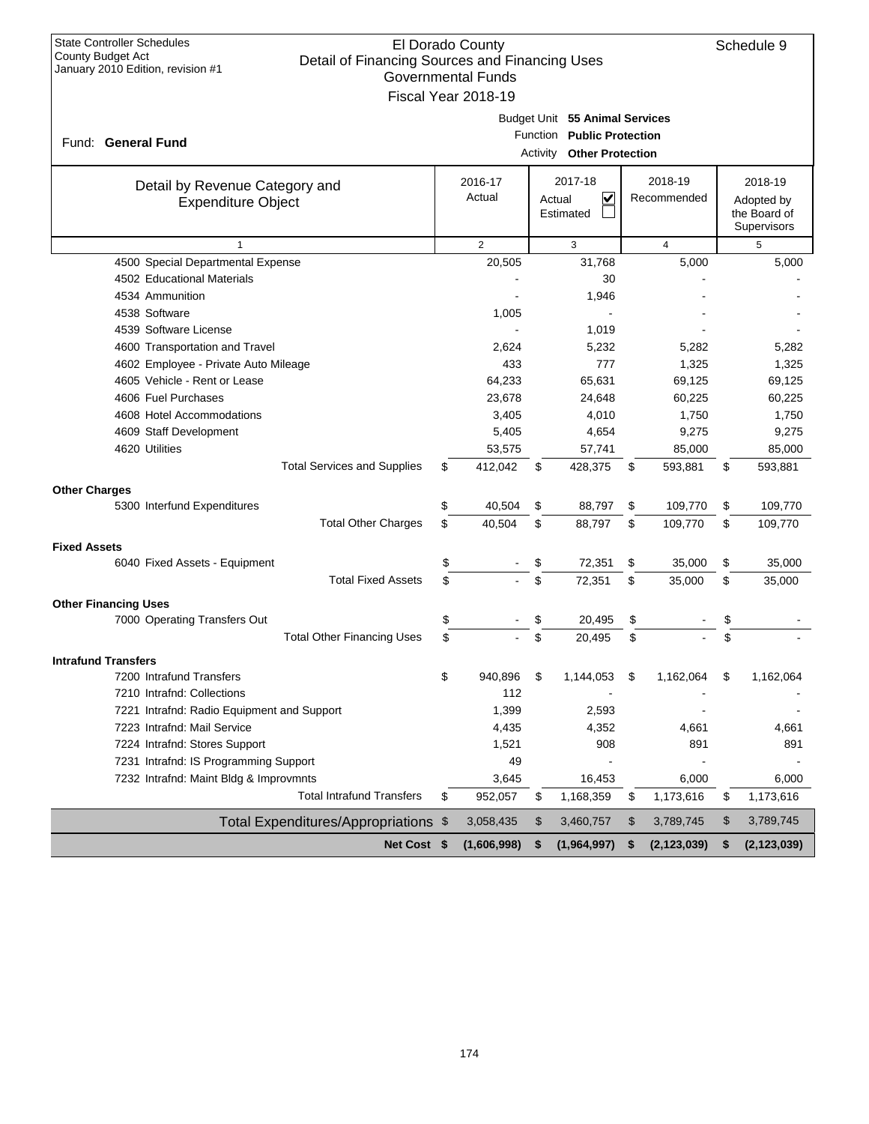| <b>State Controller Schedules</b><br>County Budget Act          |                                                                             | El Dorado County    |                          |                                |    |                |    | Schedule 9    |  |  |
|-----------------------------------------------------------------|-----------------------------------------------------------------------------|---------------------|--------------------------|--------------------------------|----|----------------|----|---------------|--|--|
| January 2010 Edition, revision #1                               | Detail of Financing Sources and Financing Uses<br><b>Governmental Funds</b> |                     |                          |                                |    |                |    |               |  |  |
|                                                                 |                                                                             | Fiscal Year 2018-19 |                          |                                |    |                |    |               |  |  |
|                                                                 |                                                                             |                     |                          |                                |    |                |    |               |  |  |
|                                                                 |                                                                             |                     |                          | Budget Unit 55 Animal Services |    |                |    |               |  |  |
| Fund: General Fund                                              |                                                                             | <b>Function</b>     | <b>Public Protection</b> |                                |    |                |    |               |  |  |
|                                                                 |                                                                             |                     | Activity                 | <b>Other Protection</b>        |    |                |    |               |  |  |
| Detail by Revenue Category and                                  |                                                                             | 2016-17             |                          | 2017-18                        |    | 2018-19        |    | 2018-19       |  |  |
| <b>Expenditure Object</b>                                       |                                                                             | Actual              |                          | V<br>Actual                    |    | Recommended    |    | Adopted by    |  |  |
|                                                                 |                                                                             |                     |                          | Estimated                      |    |                |    | the Board of  |  |  |
|                                                                 |                                                                             |                     |                          |                                |    |                |    | Supervisors   |  |  |
| $\mathbf{1}$                                                    |                                                                             | 2                   |                          | 3                              |    | $\overline{4}$ |    | 5             |  |  |
| 4500 Special Departmental Expense<br>4502 Educational Materials |                                                                             | 20,505              |                          | 31,768                         |    | 5,000          |    | 5,000         |  |  |
| 4534 Ammunition                                                 |                                                                             |                     |                          | 30                             |    |                |    |               |  |  |
| 4538 Software                                                   |                                                                             | 1,005               |                          | 1,946                          |    |                |    |               |  |  |
| 4539 Software License                                           |                                                                             |                     |                          | 1,019                          |    |                |    |               |  |  |
| 4600 Transportation and Travel                                  |                                                                             | 2,624               |                          | 5,232                          |    | 5,282          |    | 5,282         |  |  |
| 4602 Employee - Private Auto Mileage                            |                                                                             | 433                 |                          | 777                            |    | 1,325          |    | 1,325         |  |  |
| 4605 Vehicle - Rent or Lease                                    |                                                                             | 64,233              |                          | 65,631                         |    | 69,125         |    | 69,125        |  |  |
| 4606 Fuel Purchases                                             |                                                                             | 23,678              |                          | 24,648                         |    | 60,225         |    | 60,225        |  |  |
| 4608 Hotel Accommodations                                       |                                                                             | 3,405               |                          | 4,010                          |    | 1,750          |    | 1,750         |  |  |
| 4609 Staff Development                                          |                                                                             | 5,405               |                          | 4,654                          |    | 9,275          |    | 9,275         |  |  |
| 4620 Utilities                                                  |                                                                             | 53,575              |                          | 57,741                         |    | 85,000         |    | 85,000        |  |  |
| <b>Total Services and Supplies</b>                              | \$                                                                          | 412,042             | \$                       | 428,375                        | \$ | 593,881        | \$ | 593,881       |  |  |
| <b>Other Charges</b>                                            |                                                                             |                     |                          |                                |    |                |    |               |  |  |
| 5300 Interfund Expenditures                                     | \$                                                                          | 40,504              | \$                       | 88,797                         | \$ | 109,770        | \$ | 109,770       |  |  |
| <b>Total Other Charges</b>                                      | \$                                                                          | 40,504              | \$                       | 88,797                         | \$ | 109,770        | \$ | 109,770       |  |  |
| <b>Fixed Assets</b>                                             |                                                                             |                     |                          |                                |    |                |    |               |  |  |
| 6040 Fixed Assets - Equipment                                   | \$                                                                          |                     | \$                       | 72,351                         | \$ | 35,000         | \$ | 35,000        |  |  |
| <b>Total Fixed Assets</b>                                       | \$                                                                          |                     | \$                       | 72,351                         | \$ | 35,000         | \$ | 35,000        |  |  |
| <b>Other Financing Uses</b>                                     |                                                                             |                     |                          |                                |    |                |    |               |  |  |
| 7000 Operating Transfers Out                                    | \$                                                                          |                     | \$                       | 20,495                         | \$ |                | \$ |               |  |  |
| <b>Total Other Financing Uses</b>                               | \$                                                                          |                     | \$                       | 20,495                         | \$ |                | \$ |               |  |  |
| <b>Intrafund Transfers</b>                                      |                                                                             |                     |                          |                                |    |                |    |               |  |  |
| 7200 Intrafund Transfers                                        | \$                                                                          | 940,896             | \$                       | 1,144,053                      | \$ | 1,162,064      | \$ | 1,162,064     |  |  |
| 7210 Intrafnd: Collections                                      |                                                                             | 112                 |                          |                                |    |                |    |               |  |  |
| 7221 Intrafnd: Radio Equipment and Support                      |                                                                             | 1,399               |                          | 2,593                          |    |                |    |               |  |  |
| 7223 Intrafnd: Mail Service                                     |                                                                             | 4,435               |                          | 4,352                          |    | 4,661          |    | 4,661         |  |  |
| 7224 Intrafnd: Stores Support                                   |                                                                             | 1,521               |                          | 908                            |    | 891            |    | 891           |  |  |
| 7231 Intrafnd: IS Programming Support                           |                                                                             | 49                  |                          |                                |    |                |    |               |  |  |
| 7232 Intrafnd: Maint Bldg & Improvmnts                          |                                                                             | 3,645               |                          | 16,453                         |    | 6,000          |    | 6,000         |  |  |
| <b>Total Intrafund Transfers</b>                                | \$                                                                          | 952,057             | \$                       | 1,168,359                      | \$ | 1,173,616      | \$ | 1,173,616     |  |  |
| Total Expenditures/Appropriations \$                            |                                                                             | 3,058,435           | \$                       | 3,460,757                      | \$ | 3,789,745      | \$ | 3,789,745     |  |  |
| Net Cost \$                                                     |                                                                             | (1,606,998)         | \$                       | (1,964,997)                    | \$ | (2, 123, 039)  | \$ | (2, 123, 039) |  |  |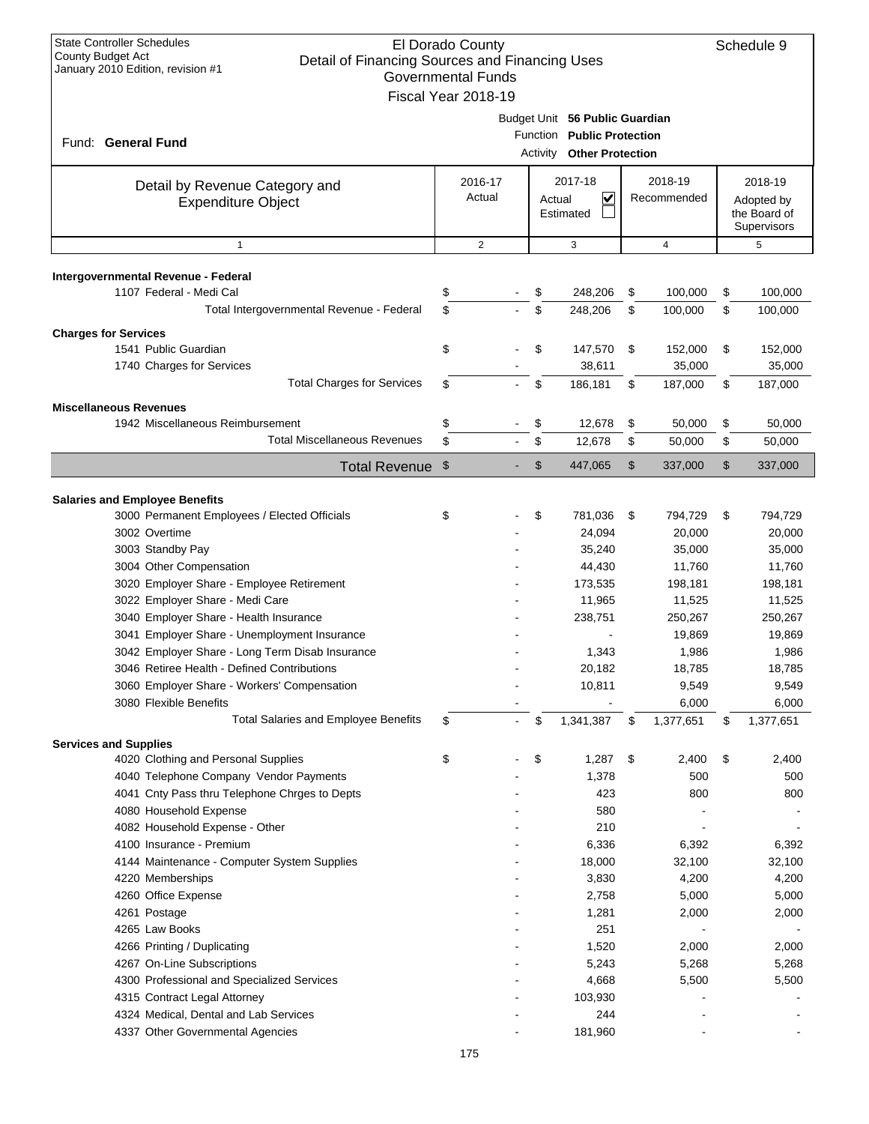| <b>State Controller Schedules</b><br>El Dorado County<br><b>County Budget Act</b><br>Detail of Financing Sources and Financing Uses<br>January 2010 Edition, revision #1<br><b>Governmental Funds</b><br>Fiscal Year 2018-19 |                                                                                           |                   |                |                                            |                |                        |                |                                                      | Schedule 9   |
|------------------------------------------------------------------------------------------------------------------------------------------------------------------------------------------------------------------------------|-------------------------------------------------------------------------------------------|-------------------|----------------|--------------------------------------------|----------------|------------------------|----------------|------------------------------------------------------|--------------|
| Fund: General Fund                                                                                                                                                                                                           | Budget Unit 56 Public Guardian<br>Function Public Protection<br>Activity Other Protection |                   |                |                                            |                |                        |                |                                                      |              |
| Detail by Revenue Category and<br><b>Expenditure Object</b>                                                                                                                                                                  |                                                                                           | 2016-17<br>Actual |                | 2017-18<br><u>V</u><br>Actual<br>Estimated |                | 2018-19<br>Recommended |                | 2018-19<br>Adopted by<br>the Board of<br>Supervisors |              |
| $\mathbf{1}$                                                                                                                                                                                                                 |                                                                                           | $\overline{2}$    |                |                                            | 3              |                        | $\overline{4}$ |                                                      | 5            |
| Intergovernmental Revenue - Federal                                                                                                                                                                                          |                                                                                           |                   |                |                                            |                |                        |                |                                                      |              |
| 1107 Federal - Medi Cal                                                                                                                                                                                                      | \$                                                                                        |                   |                | \$                                         | 248,206        | \$                     | 100,000        | \$                                                   | 100,000      |
| Total Intergovernmental Revenue - Federal                                                                                                                                                                                    | \$                                                                                        |                   |                | \$                                         | 248,206        | \$                     | 100,000        | \$                                                   | 100,000      |
| <b>Charges for Services</b>                                                                                                                                                                                                  |                                                                                           |                   |                |                                            |                |                        |                |                                                      |              |
| 1541 Public Guardian                                                                                                                                                                                                         | \$                                                                                        |                   |                | \$                                         | 147,570        | \$                     | 152,000        | \$                                                   | 152,000      |
| 1740 Charges for Services                                                                                                                                                                                                    |                                                                                           |                   |                |                                            | 38,611         |                        | 35,000         |                                                      | 35,000       |
| <b>Total Charges for Services</b>                                                                                                                                                                                            | \$                                                                                        |                   |                | \$                                         | 186,181        | \$                     | 187,000        | \$                                                   | 187,000      |
| <b>Miscellaneous Revenues</b>                                                                                                                                                                                                |                                                                                           |                   |                |                                            |                |                        |                |                                                      |              |
| 1942 Miscellaneous Reimbursement                                                                                                                                                                                             | \$                                                                                        |                   |                | \$                                         | 12,678         | \$                     | 50,000         | \$                                                   | 50,000       |
| <b>Total Miscellaneous Revenues</b>                                                                                                                                                                                          | \$                                                                                        |                   |                | \$                                         | 12,678         | \$                     | 50,000         | \$                                                   | 50,000       |
| <b>Total Revenue</b>                                                                                                                                                                                                         | $\mathfrak{F}$                                                                            |                   |                | $\mathfrak{S}$                             | 447,065        | \$                     | 337,000        | \$                                                   | 337,000      |
|                                                                                                                                                                                                                              |                                                                                           |                   |                |                                            |                |                        |                |                                                      |              |
| <b>Salaries and Employee Benefits</b><br>3000 Permanent Employees / Elected Officials                                                                                                                                        | \$                                                                                        |                   |                | \$                                         | 781,036        | \$                     | 794,729        | \$                                                   | 794,729      |
| 3002 Overtime                                                                                                                                                                                                                |                                                                                           |                   |                |                                            | 24,094         |                        | 20,000         |                                                      | 20,000       |
| 3003 Standby Pay                                                                                                                                                                                                             |                                                                                           |                   |                |                                            | 35,240         |                        | 35,000         |                                                      | 35,000       |
| 3004 Other Compensation                                                                                                                                                                                                      |                                                                                           |                   |                |                                            | 44,430         |                        | 11,760         |                                                      | 11,760       |
| 3020 Employer Share - Employee Retirement                                                                                                                                                                                    |                                                                                           |                   |                |                                            | 173,535        |                        | 198,181        |                                                      | 198,181      |
| 3022 Employer Share - Medi Care                                                                                                                                                                                              |                                                                                           |                   |                |                                            | 11,965         |                        | 11,525         |                                                      | 11,525       |
| 3040 Employer Share - Health Insurance                                                                                                                                                                                       |                                                                                           |                   |                |                                            | 238,751        |                        | 250,267        |                                                      | 250,267      |
| 3041 Employer Share - Unemployment Insurance                                                                                                                                                                                 |                                                                                           |                   |                |                                            |                |                        | 19,869         |                                                      | 19,869       |
| 3042 Employer Share - Long Term Disab Insurance                                                                                                                                                                              |                                                                                           |                   |                |                                            | 1,343          |                        | 1,986          |                                                      | 1,986        |
| 3046 Retiree Health - Defined Contributions                                                                                                                                                                                  |                                                                                           |                   |                |                                            | 20,182         |                        | 18,785         |                                                      | 18,785       |
| 3060 Employer Share - Workers' Compensation                                                                                                                                                                                  |                                                                                           |                   |                |                                            | 10,811         |                        | 9,549          |                                                      | 9,549        |
| 3080 Flexible Benefits                                                                                                                                                                                                       |                                                                                           |                   |                |                                            |                |                        | 6,000          |                                                      | 6,000        |
| <b>Total Salaries and Employee Benefits</b>                                                                                                                                                                                  | \$                                                                                        |                   | $\blacksquare$ | \$                                         | 1,341,387      | \$                     | 1,377,651      | \$                                                   | 1,377,651    |
| <b>Services and Supplies</b>                                                                                                                                                                                                 |                                                                                           |                   |                |                                            |                |                        |                |                                                      |              |
| 4020 Clothing and Personal Supplies<br>4040 Telephone Company Vendor Payments                                                                                                                                                | \$                                                                                        |                   |                | \$                                         | 1,287<br>1,378 | \$                     | 2,400<br>500   | \$                                                   | 2,400<br>500 |
| 4041 Cnty Pass thru Telephone Chrges to Depts                                                                                                                                                                                |                                                                                           |                   |                |                                            | 423            |                        | 800            |                                                      | 800          |
| 4080 Household Expense                                                                                                                                                                                                       |                                                                                           |                   |                |                                            | 580            |                        |                |                                                      |              |
| 4082 Household Expense - Other                                                                                                                                                                                               |                                                                                           |                   |                |                                            | 210            |                        |                |                                                      |              |
| 4100 Insurance - Premium                                                                                                                                                                                                     |                                                                                           |                   |                |                                            | 6,336          |                        | 6,392          |                                                      | 6,392        |
| 4144 Maintenance - Computer System Supplies                                                                                                                                                                                  |                                                                                           |                   |                |                                            | 18,000         |                        | 32,100         |                                                      | 32,100       |
| 4220 Memberships                                                                                                                                                                                                             |                                                                                           |                   |                |                                            | 3,830          |                        | 4,200          |                                                      | 4,200        |
| 4260 Office Expense                                                                                                                                                                                                          |                                                                                           |                   |                |                                            | 2,758          |                        | 5,000          |                                                      | 5,000        |
| 4261 Postage                                                                                                                                                                                                                 |                                                                                           |                   |                |                                            | 1,281          |                        | 2,000          |                                                      | 2,000        |
| 4265 Law Books                                                                                                                                                                                                               |                                                                                           |                   |                |                                            | 251            |                        |                |                                                      |              |
| 4266 Printing / Duplicating                                                                                                                                                                                                  |                                                                                           |                   |                |                                            | 1,520          |                        | 2,000          |                                                      | 2,000        |
| 4267 On-Line Subscriptions<br>4300 Professional and Specialized Services                                                                                                                                                     |                                                                                           |                   |                |                                            | 5,243<br>4,668 |                        | 5,268<br>5,500 |                                                      | 5,268        |
| 4315 Contract Legal Attorney                                                                                                                                                                                                 |                                                                                           |                   |                |                                            | 103,930        |                        |                |                                                      | 5,500        |
| 4324 Medical, Dental and Lab Services                                                                                                                                                                                        |                                                                                           |                   |                |                                            | 244            |                        |                |                                                      |              |
| 4337 Other Governmental Agencies                                                                                                                                                                                             |                                                                                           |                   |                |                                            | 181,960        |                        |                |                                                      |              |